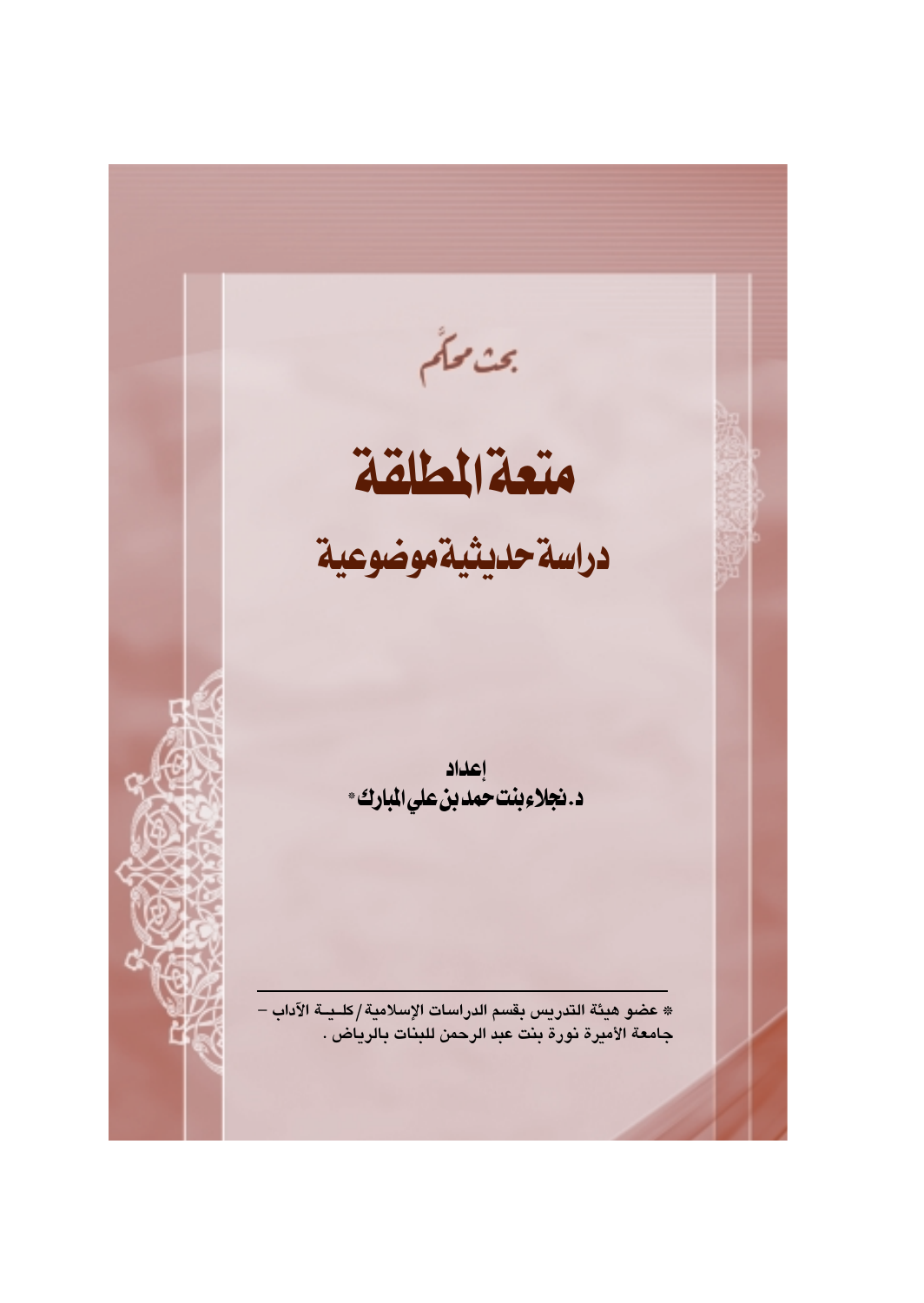عن ملَّم<br>مُتَعَلَّمًا لِمَثَلِقَة دراسة حديثية موضوعية إعداد<br>**د.نجلاءِبنت** *حمد***بن عليالمبارك**\* \* عضو هيئة التدريس بقسم الدراسات الإسلامية/كلـيــة الآداب – جامعة الأميرة نورة بنت عبد الرحمن للبنات بالرياض .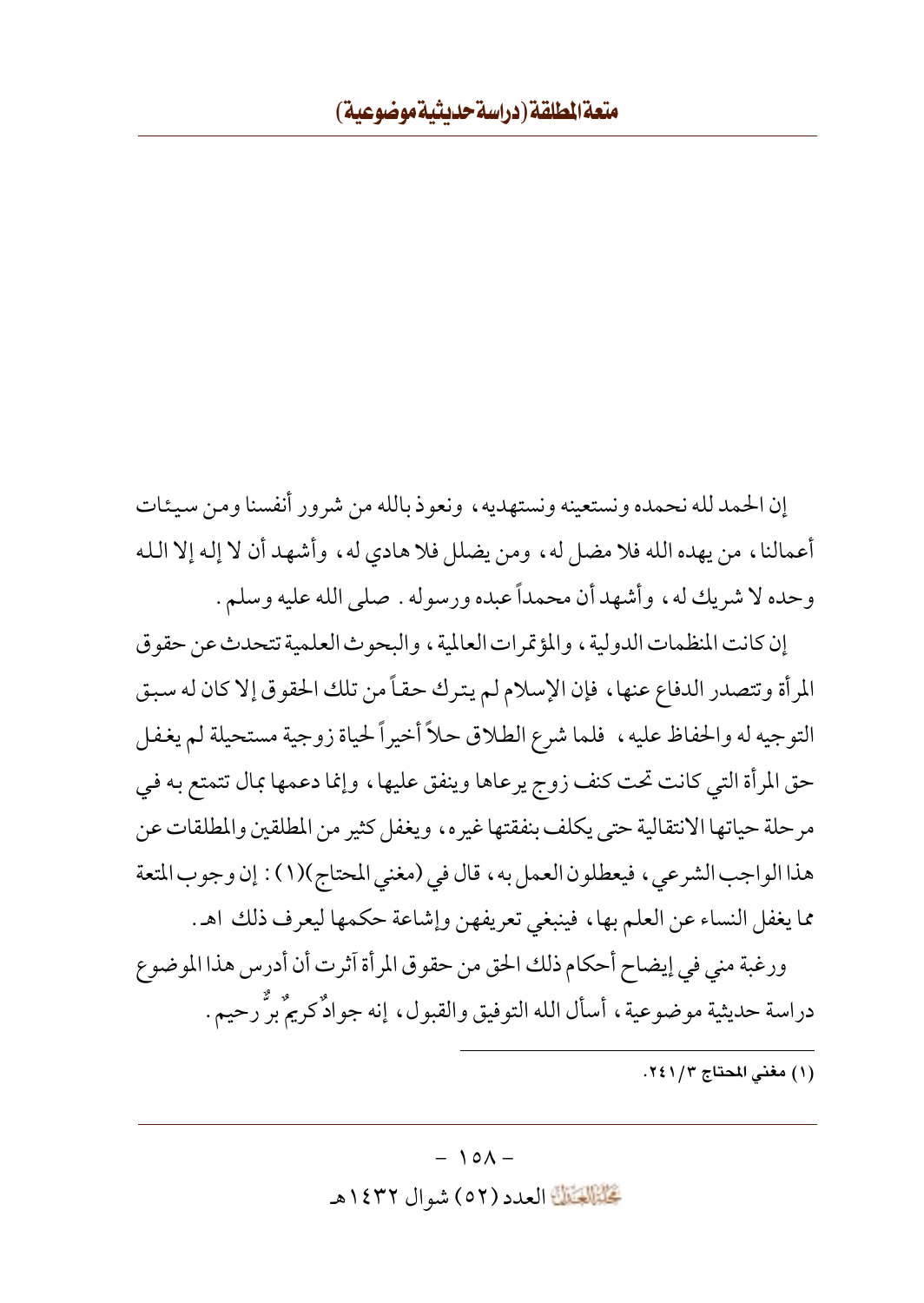إن الحمد لله نحمده ونستعينه ونستهديه ، ونعوذ بالله من شرور أنفسنا ومن سيئات أعمالنا، من يهده الله فلا مضل له، ومن يضلل فلا هادي له، وأشهد أن لا إله إلا الله وحده لا شريك له، وأشهد أن محمداً عبده ورسوله . صلى الله عليه وسلم .

إن كانت المنظمات الدولية ، والمؤتمر ات العالمية ، والبحوث العلمية تتحدث عن حقو ق المرأة وتتصدر الدفاع عنها، فإن الإسلام لم يترك حقاً من تلك الحقوق إلا كان له سبق التوجيه له والحفاظ عليه ، فلما شرع الطلاق حلاً أخيراً لحياة زوجية مستحيلة لم يغفل حق المرأة التي كانت تحت كنف زوج يرعاها وينفق عليها، وإنما دعمها بمال تتمتع به في مرحلة حياتها الانتقالية حتى يكلف بنفقتها غيره، ويغفل كثير من المطلقين والمطلقات عن هذا الواجب الشرعي، فيعطلون العمل به، قال في (مغنى المحتاج)(١): إن وجوب المتعة مما يغفل النساء عن العلم بها، فينبغي تعريفهن وإشاعة حكمها ليعرف ذلك اهـ.

ورغبة منى في إيضاح أحكام ذلك الحق من حقوق المرأة آثرت أن أدرس هذا الموضوع دراسة حديثية موضوعية، أسأل الله التوفيق والقبول، إنه جوادٌ كريمٌ برٌّ رحيم.

(١) مغنى المحتاج ٢٤١/٣.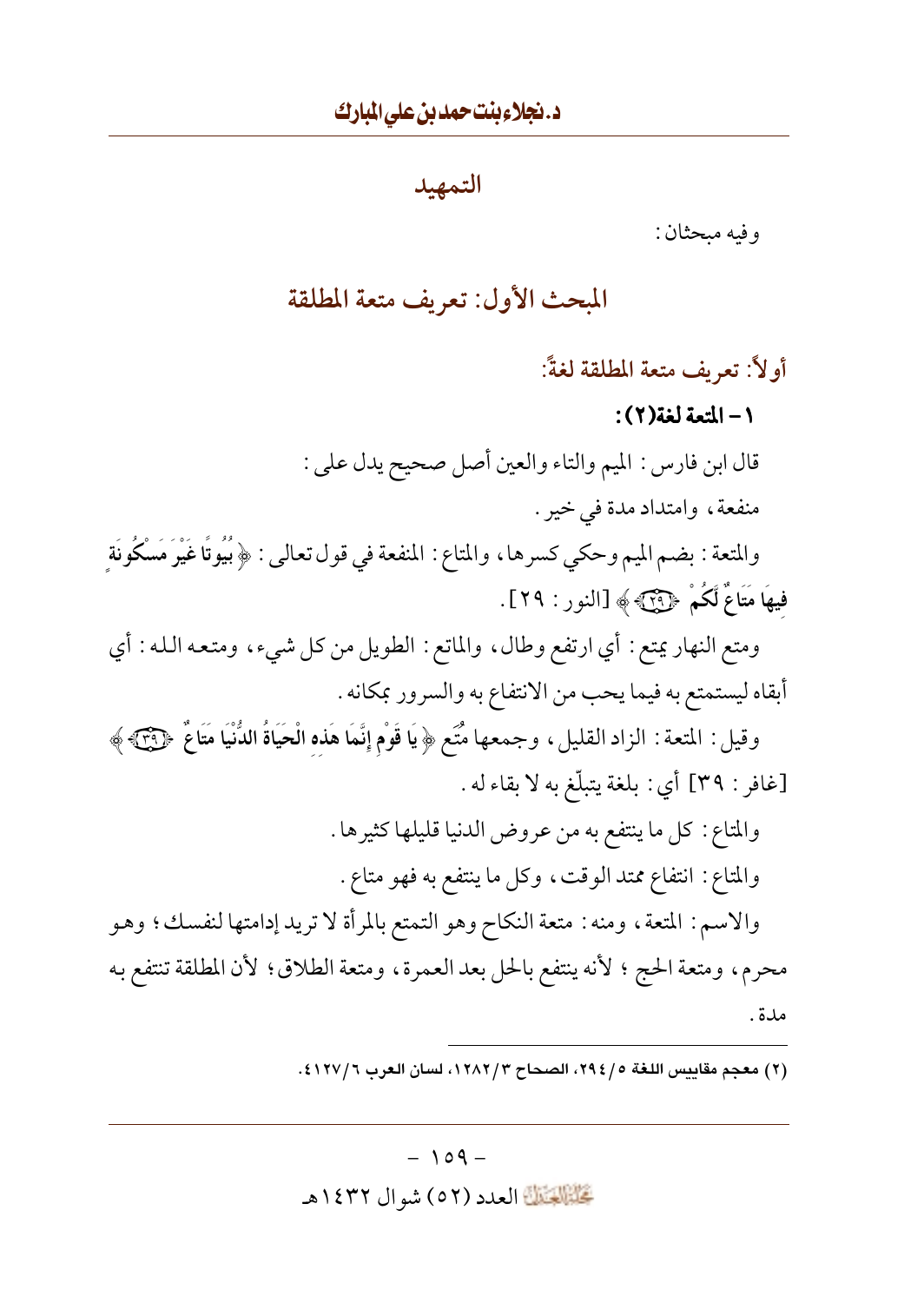التمهيد

و فيه ميحثان :

المحث الأول: تعريف متعة المطلقة

أولاً: تعريف متعة المطلقة لغةً:

١- المتعة لغة(٢):

قال ابن فارس : الميم والتاء والعين أصل صحيح يدل على :

منفعة، وامتداد مدة في خير .

والمتعة : بضم الميم وحكي كسرها، والمتاع : المنفعة في قول تعالى : ﴿بُيُوتًا غَيْرَ مَسْكُونَةِ فِيهَا مَتَاعٌ لَكُمْ ﴿ وَيَنْكَ ﴾ [النور : ٢٩].

ومتع النهار يمتع : أي ارتفع وطال، والماتع : الطويل من كل شيء، ومتعه الله : أي أبقاه ليستمتع به فيما يحب من الانتفاع به والسرور بمكانه .

وقيل : المتعة : الزاد القليل، وجمعها مُتَع ﴿ يَا قَوْمِ إِنَّمَا هَذِهِ الْحَيَاةُ الدُّنْيَا مَتَاعٌ ﴿ وَجَمَ [غافر : ٣٩] أي : بلغة يتبلَّغ به لا بقاء له .

> والمتاع: كل ما ينتفع به من عروض الدنيا قليلها كثيرها . والمتاع: انتفاع ممتد الوقت، وكل ما ينتفع به فهو متاع.

والاسم: المتعة، ومنه: متعة النكاح وهو التمتع بالمرأة لا تريد إدامتها لنفسك؛ وهو محرم، ومتعة الحج ؛ لأنه ينتفع بالحل بعد العمرة، ومتعة الطلاق؛ لأن المطلقة تنتفع به مدة .

(٢) معجم مقاييس اللغة ٢٩٤/٥، الصحاح ١٢٨٢/٢، لسان العرب ٤١٢٧/٦.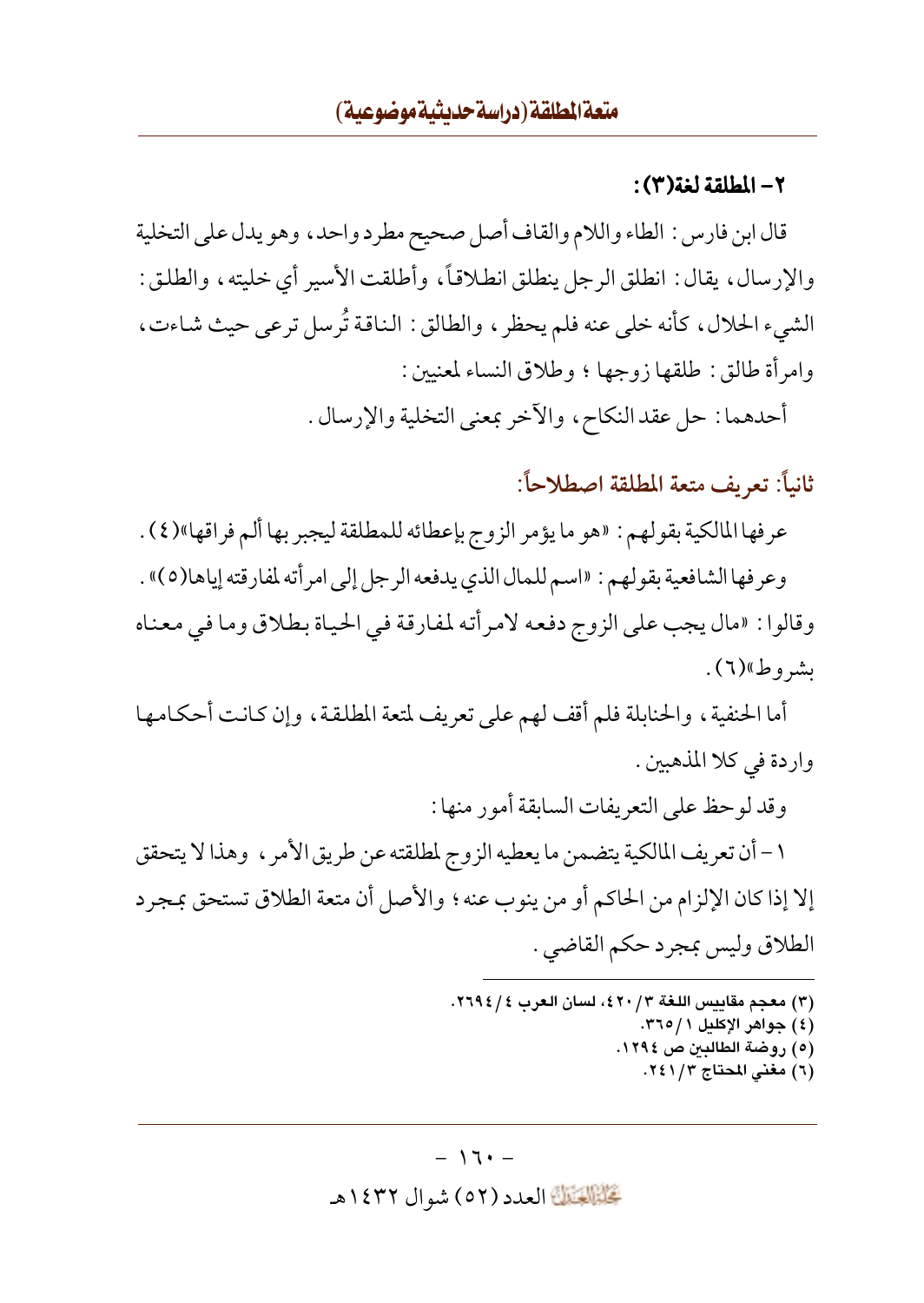## ٢ – الطلقة لغة(٣) :

قال ابن فارس : الطاء واللام والقاف أصل صحيح مطر د واحد ، وهو يدل على التخلية والإرسال، يقال: انطلق الرجل ينطلق انطلاقاً، وأطلقت الأسير أي خليته، والطلق: الشيء الحلال، كأنه خلي عنه فلم يحظر، والطالق: الناقة تُرسل ترعى حيث شاءت، وامرأة طالق: طلقها زوجها ؛ وطلاق النساء لمعنيين:

أحدهما : حل عقد النكاح، والآخر بمعنى التخلية والإرسال .

ثانياً: تعريف متعة المطلقة اصطلاحاً:

عرفها المالكية بقولهم : «هو ما يؤمر الزوج بإعطائه للمطلقة ليجبر بها ألم فراقها»(٤) .

وعرفها الشافعية بقولهم : «اسم للمال الذي يدفعه الرجل إلى امرأته لمفارقته إياها(٥)» . وقالوا: «مال يجب على الزوج دفعه لامرأته لمفارقة في الحياة بطلاق وما في معناه ېشىروط»(٦).

أما الحنفية ، والحنابلة فلم أقف لهم على تعريف لمتعة المطلقة ، وإن كانت أحكامها واردة في كلا المذهبين .

وقد لو حظ على التعريفات السابقة أمور منها :

١ – أن تعريف المالكية يتضمن ما يعطيه الزوج لمطلقته عن طريق الأمر ، وهذا لا يتحقق إلا إذا كان الإلزام من الحاكم أو من ينوب عنه ؛ والأصل أن متعة الطلاق تستحق بمجرد الطلاق وليس بمجرد حكم القاضي .

- (٣) معجم مقاييس اللغة ٣/ ٤٢٠)، لسان العرب ٤ / ٢٦٩٤.
	- (٤) جواهر الإكليل ٣٦٥/١.
		- (٥) روضة الطالدين ص ١٢٩٤.
			- (٦) مغنى المحتاج ٢٤١/٢.

#### $-17+$

تَحَلَّمُوا الْعَدَدِ (٥٢ ) شوال ١٤٣٢هـ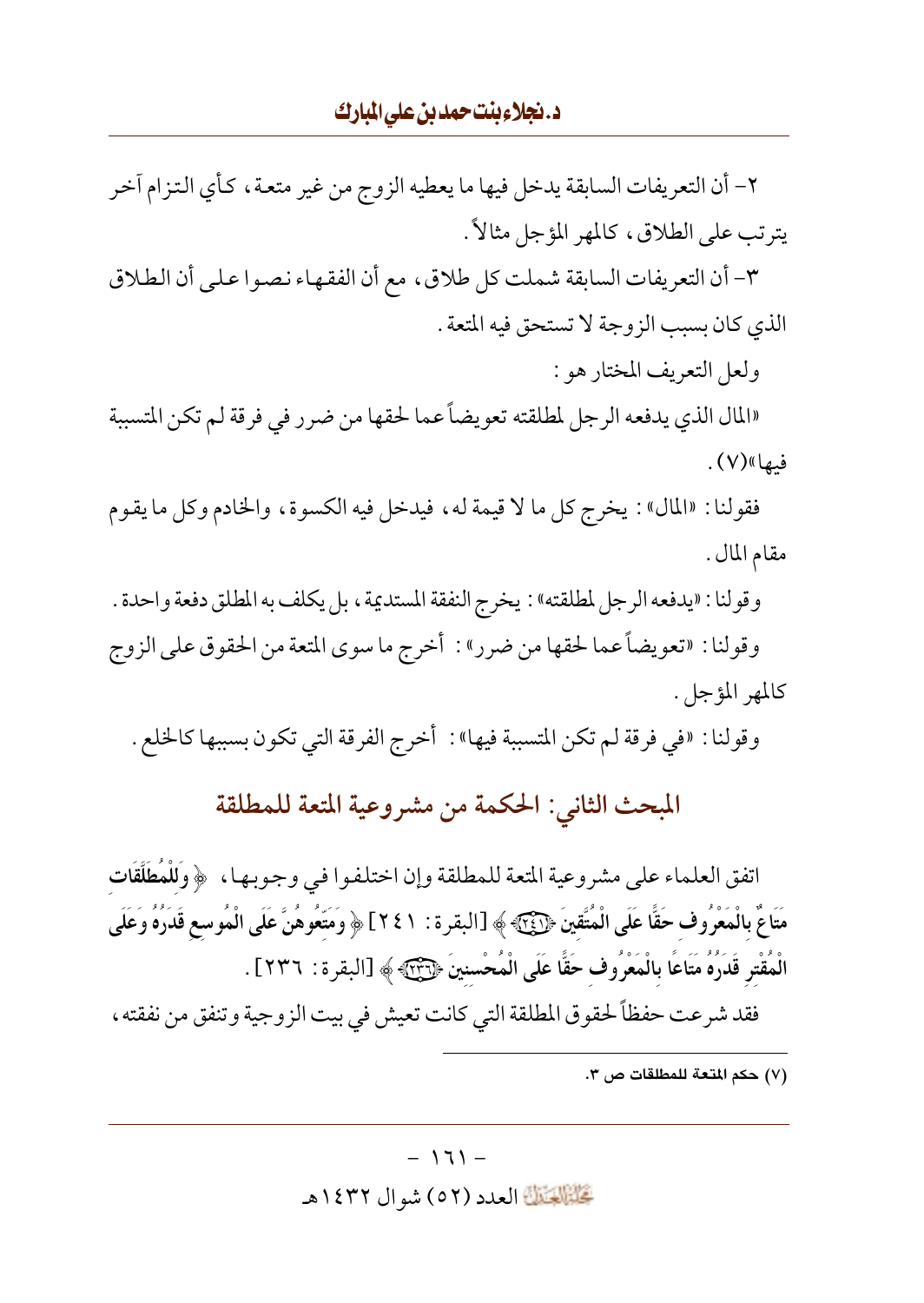٢- أن التعريفات السابقة يدخل فيها ما يعطيه الزوج من غير متعة ، كأى التزام آخر يترتب على الطلاق، كالمهر المؤجل مثالاً .

٣- أن التعريفات السابقة شملت كل طلاق، مع أن الفقهاء نصوا على أن الطلاق الذي كان بسبب الزوجة لا تستحق فيه المتعة .

ولعل التعريف المختار هو :

«المال الذي يدفعه الرجل لمطلقته تعويضاً عما لحقها من ضرر في فرقة لم تكن المتسببة فيها»(٧).

فقولنا : «المال» : يخرج كل ما لا قيمة له ، فيدخل فيه الكسوة ، والخادم وكل ما يقوم مقام المال .

وقولنا : «يدفعه الرجل لمطلقته» : يخرج النفقة المستديمة ، بل يكلف به المطلق دفعة واحدة . وقولنا : «تعويضاً عما لحقها من ضرر» : أخرج ما سوى المتعة من الحقوق على الزوج كالمهر المؤجل.

وقولنا : «في فرقة لم تكن المتسببة فيها» : أخرج الفرقة التي تكون بسببها كالخلع .

المبحث الثاني: الحكمة من مشروعية المتعة للمطلقة

اتفق العلماء على مشروعية المتعة للمطلقة وإن اختلفوا في وجوبها ، ﴿وَلَلْمُطَلَّقَاتِ مَتَاعٌ بِالْمَعْرُوفِ حَقًّا عَلَى الْمُتَّقِينَ ﴿[َيَٰٓئَ﴾ ﴾ [البقر ة : ٢٤١] ﴿ وَمَتَّعُوهُنَّ عَلَى الْمُوسع قَدَرُهُ وَعَلَى الْمُقْترِ قَدَرُهُ مَتَاعًا بِالْمَعْرُوفِ حَقًّا عَلَى الْمُحْسنينَ ﴿لِآيَنَ؟ ﴾ [البقرة: ٢٣٦] . فقد شرعت حفظاً لحقوق المطلقة التي كانت تعيش في بيت الزوجية وتنفق من نفقته ،

(٧) حكم المتعة للمطلقات ص ٣.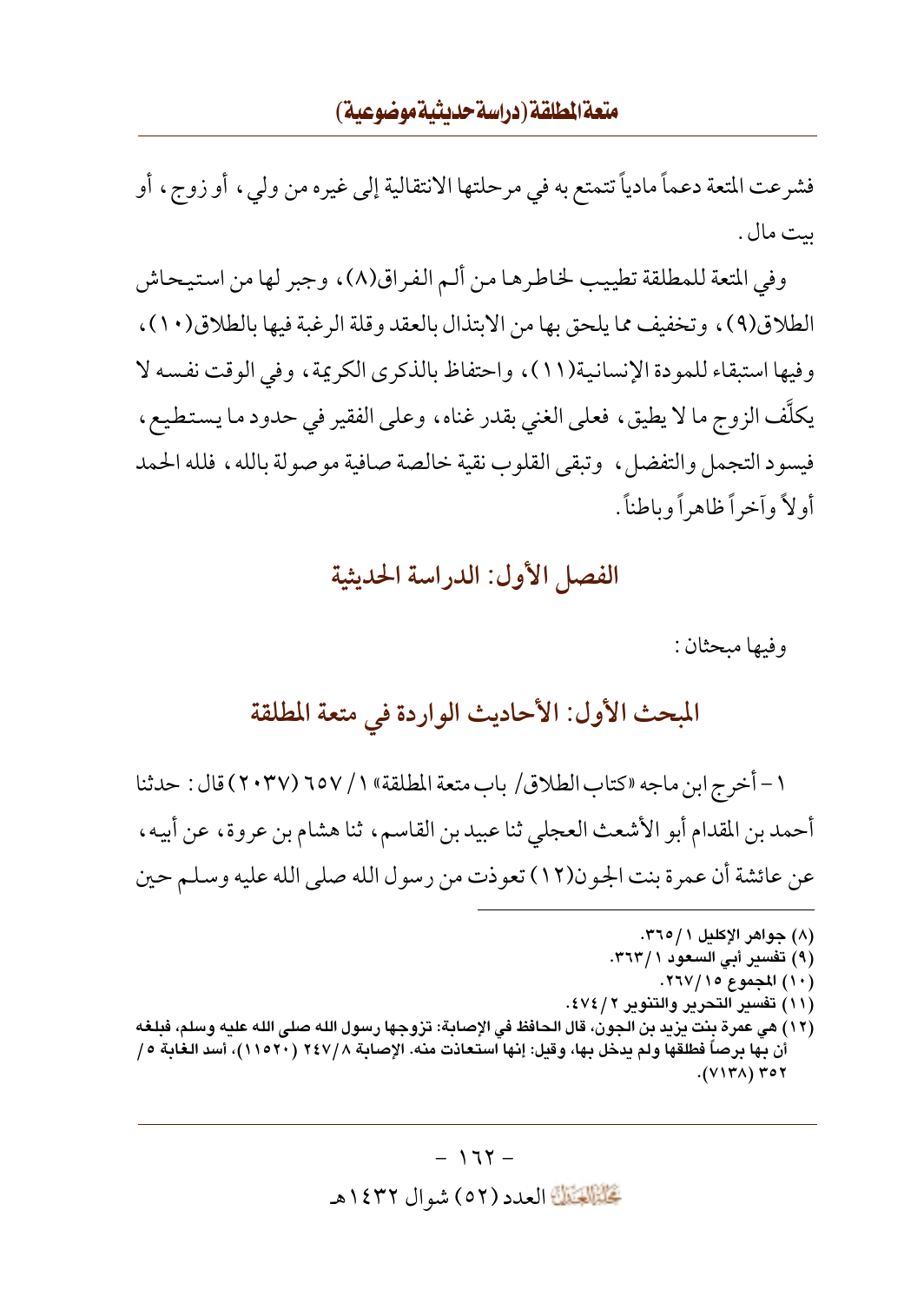## متعة المطلقة (دراسة حديثية موضوعية)

فشرعت المتعة دعماً مادياً تتمتع به في مرحلتها الانتقالية إلى غيره من ولي ، أو زوج ، أو بيت مال .

وفي المتعة للمطلقة تطييب لخاطرها من ألـم الفراق(٨)، وجبر لها من استيحاش الطلاق(٩)، وتخفيف مما يلحق بها من الابتذال بالعقد وقلة الرغبة فيها بالطلاق(١٠)، وفيها استبقاء للمودة الإنسانية(١١)، واحتفاظ بالذكرى الكريمة، وفي الوقت نفسه لا يكلُّف الزوج ما لا يطيق، فعلى الغني بقدر غناه، وعلى الفقير في حدود ما يستطيع، فيسود التجمل والتفضل، وتبقى القلوب نقية خالصة صافية موصولة بالله، فلله الحمد أو لاً وأخراً ظاهراً وباطناً .

## الفصل الأول: الدراسة الحديثية

و فيها ميحثان :

المبحث الأول: الأحاديث الواردة في متعة المطلقة

١ – أخرج ابن ماجه «كتاب الطلاق/ باب متعة المطلقة» ١ / ٦٥٧ (٢٠٣٧) قال : حدثنا أحمد بن المقدام أبو الأشعث العجلي ثنا عبيد بن القاسم، ثنا هشام بن عروة، عن أبيه، عن عائشة أن عمرة بنت الجون(١٢) تعوذت من رسول الله صلى الله عليه وسلم حين

(٨) جواهر الإكليل ٢٦٥/١. (۹) تفسير أبي السعود ٣٦٣/١. (١٠) المجموع ١٥/ ٢٦٧. (١١) تفسير التحرير والتنوير ٤٧٤/٢. (١٢) هي عمرة بنت يزيد بن الجون، قال الحافظ في الإصابة: تزوجها رسول الله صلى الله عليه وسلم، فبلغه أن بها برصاً فطلقها ولم يدخل بها، وقيل: إنها استعاذت منه. الإصابة ٢٤٧/٨ (٢١٥٢٠)، أسد الغابة ٥/  $.$  (VITA) ۳٥۲

#### $-177 -$

تَحَلَّمُ الْقَالَةَ العدد (٥٢) شو ال ١٤٣٢هـ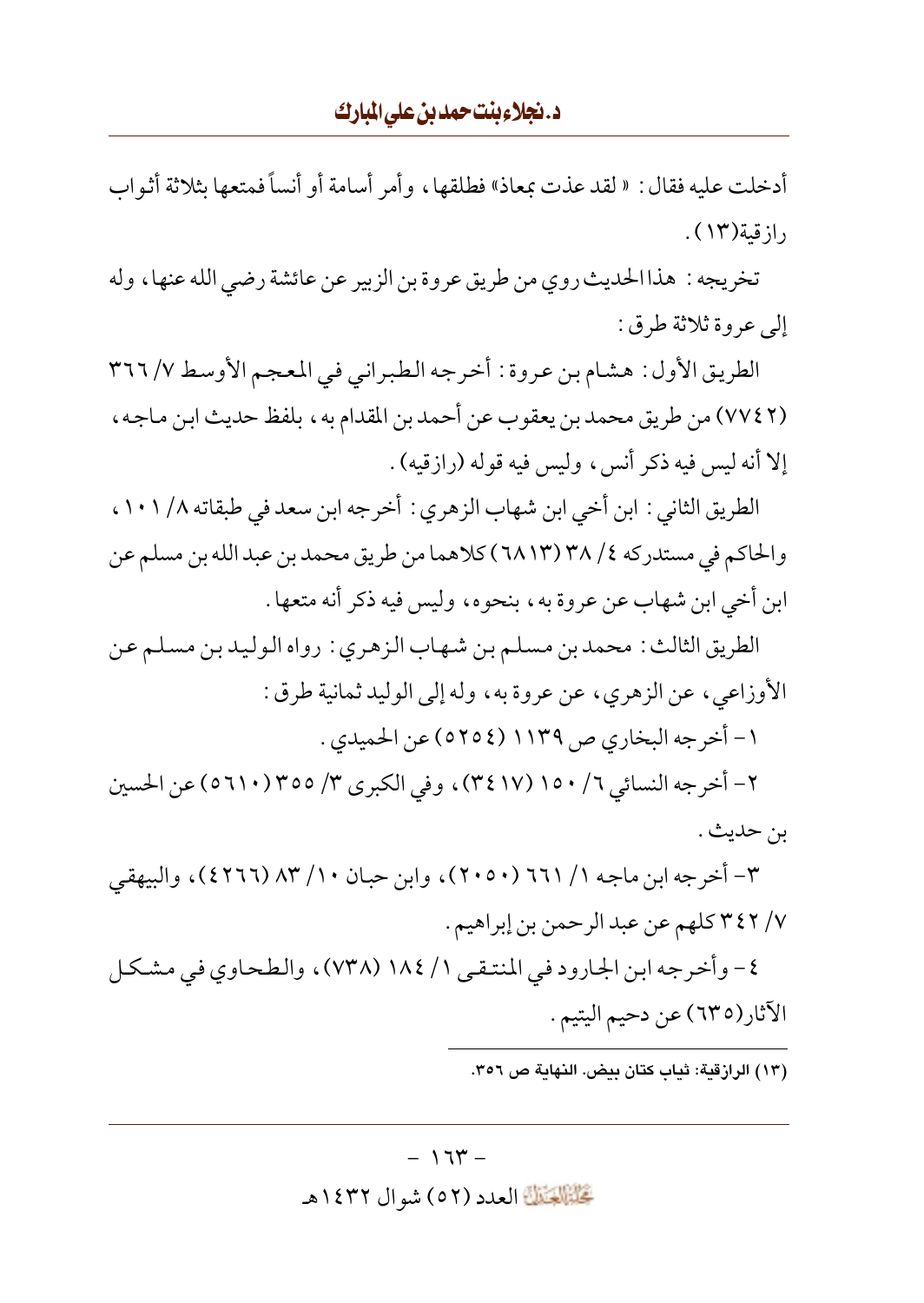أدخلت عليه فقال : « لقد عذت بمعاذ» فطلقها ، و أمر أسامة أو أنساً فمتعها بثلاثة أثواب  $\mathcal{N}(\mathcal{N})$ از قىة

تخريجه: هذا الحديث روى من طريق عروة بن الزبير عن عائشة رضي الله عنها، وله إلى عروة ثلاثة طرق:

الطريق الأول : هشام بن عروة : أخرجه الطبراني في المعجم الأوسط ٧/ ٣٦٦ (٧٧٤٢) من طريق محمد بن يعقوب عن أحمد بن المقدام به ، بلفظ حديث ابن ماجه ، إلا أنه ليس فيه ذكر أنس، وليس فيه قوله (رازقيه) .

الطريق الثاني : ابن أخي ابن شهاب الزهري : أخرجه ابن سعد في طبقاته ١/ ١٠١ ، والحاكم في مستدركه ٢٨ /٣٨ (٦٨١٣) كلاهما من طريق محمد بن عبد الله بن مسلم عن ابن أخي ابن شهاب عن عروة به، بنحوه، وليس فيه ذكر أنه متعها .

الطريق الثالث : محمد بن مسلم بن شهاب الزهري : رواه الوليد بن مسلم عن الأوزاعي، عن الزهري، عن عروة به، وله إلى الوليد ثمانية طرق :

١- أخرجه البخاري ص ١١٣٩ (٥٢٥٤) عن الحميدي .

٢- أخرجه النسائي ٦/ ١٥٠ (٣٤١٧)، وفي الكبرى ٣/ ٣٥٥ (٥٦١٠) عن الحسين بن حديث .

٣- أخرجه ابن ماجه ١/ ٦٦١ (٢٠٥٠)، وابن حبان ١٠/ ٨٣ (٤٢٦٦)، والبيهقي ٧/ ٣٤٢ كلهم عن عبد الرحمن بن إبراهيم .

٤- وأخرجه ابن الجارود في المنتقى ١/ ١٨٤ (٧٣٨)، والطحاوي في مشكل الأثار(٦٣٥) عن دحيم اليتيم .

(١٣) الرازقية: ثباب كتان بيض. النهاية ص ٣٥٦.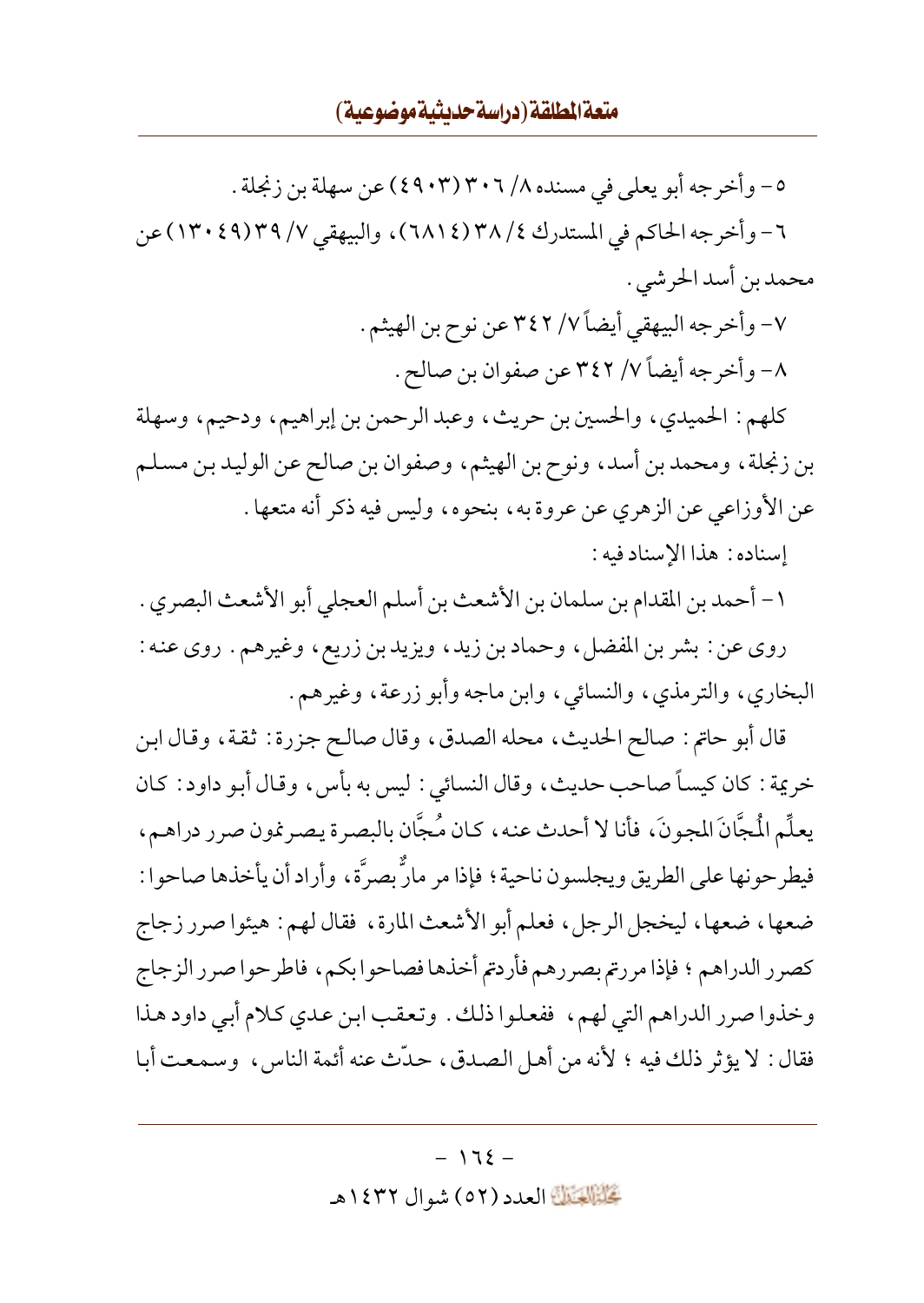٥– وأخرجه أبو يعلي في مسنده ٢/ ٣٠٦ (٤٩٠٣) عن سهلة بن زنجلة . ٦- وأخرجه الحاكم في المستدرك ٢٨/٤(٦٨١٤)، والبيهقي ٣٧/ ٣٩(٤٩)٣٠) عن محمد بن أسد الحر شي .

> ٧- وأخرجه البيهقي أيضاً ٧/ ٣٤٢ عن نوح بن الهيثم . ٨- وأخرجه أيضاً ٧/ ٣٤٢ عن صفوان بن صالح .

كلهم: الحميدي، والحسين بن حريث، وعبد الرحمن بن إبراهيم، ودحيم، وسهلة بن زنجلة، ومحمد بن أسد، ونوح بن الهيثم، وصفوان بن صالح عن الوليد بن مسلم عن الأوزاعي عن الزهري عن عروة به، بنحوه، وليس فيه ذكر أنه متعها . إسناده: هذا الإسناد فيه:

١- أحمد بن المقدام بن سلمان بن الأشعث بن أسلم العجلي أبو الأشعث البصري . روي عن: بشر بن المفضل، وحماد بن زيد، ويزيد بن زريع، وغيرهم. روي عنه: البخاري، والترمذي، والنسائي، وابن ماجه وأبو زرعة، وغيرهم.

قال أبو حاتم: صالح الحديث، محله الصدق، وقال صالح جزرة: ثقة، وقال ابن خريمة : كان كيساً صاحب حديث، وقال النسائي : ليس به بأس، وقال أبو داود : كان يعلِّم الْمجَّانَ المجونَ، فأنا لا أحدث عنه، كان مُجَّان بالبصرة يصرِنمون صرر دراهـم، فيطرحونها على الطريق ويجلسون ناحية؟ فإذا مر مارٌّ بصرَّة، وأراد أن يأخذها صاحوا : ضعها، ضعها، ليخجل الرجل، فعلم أبو الأشعث المارة، فقال لهم: هيئوا صرر زجاج كصرر الدراهم ؛ فإذا مررتم بصررهم فأردتم أخذها فصاحوا بكم، فاطرحوا صرر الزجاج وخذوا صرر الدراهم التي لهم، ففعلوا ذلك. وتعقب ابن عدى كلام أبي داود هذا فقال: لا يؤثر ذلك فيه ؛ لأنه من أهل الصدق، حدَّث عنه أئمة الناس، وسمعت أبا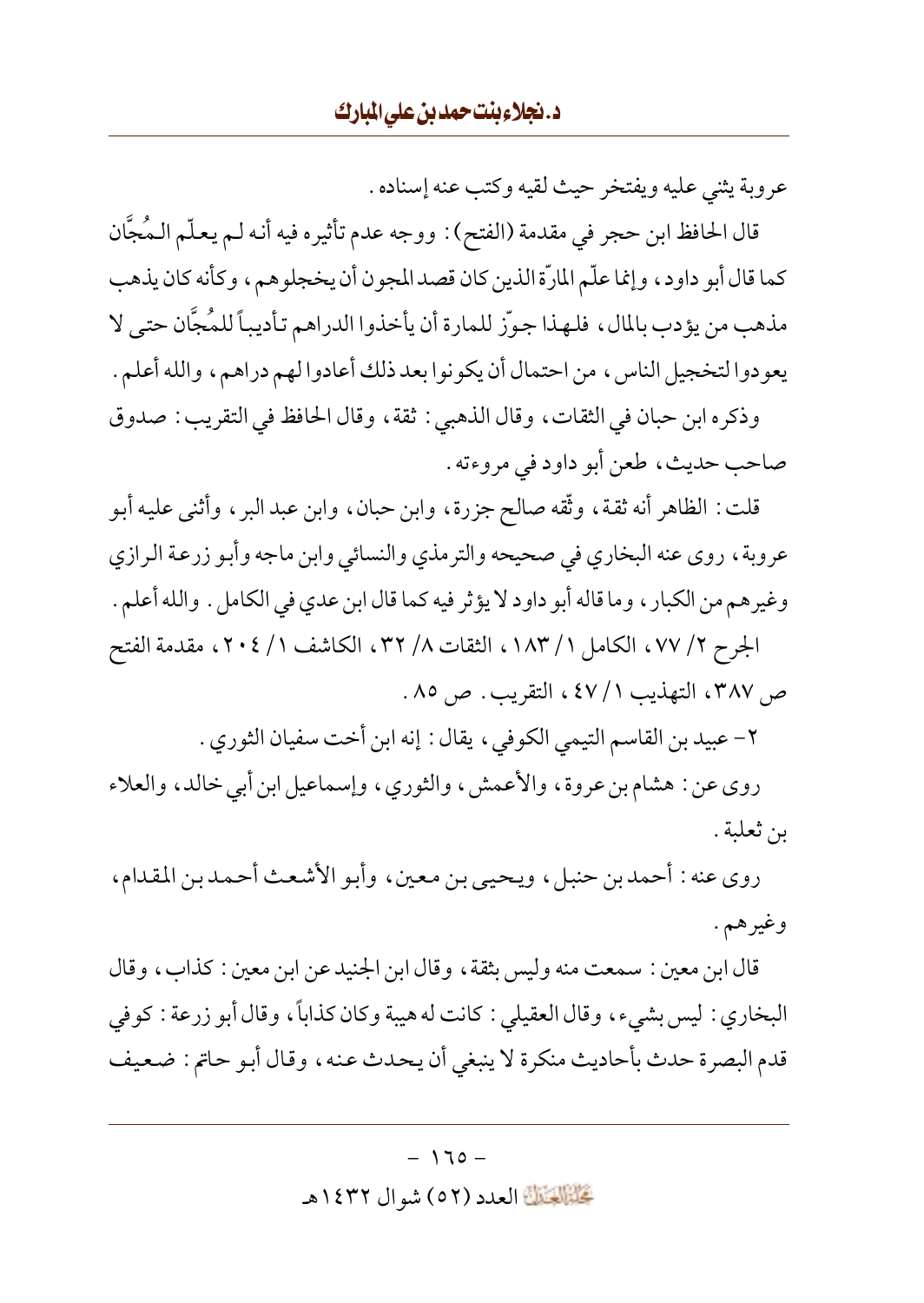عروبة يثني عليه ويفتخر حيث لقيه وكتب عنه إسناده .

قال الحافظ ابن حجر في مقدمة (الفتح) : ووجه عدم تأثيره فيه أنه لـم يعلّم الـمُجَّان كما قال أبو داود، وإنما علّم المارّة الذين كان قصد المجون أن يخجلوهم، وكأنه كان يذهب مذهب من يؤدب بالمال، فلهذا جوَّز للمارة أن يأخذوا الدراهم تأديباً للمُجَّان حتى لا يعودوا لتخجيل الناس، من احتمال أن يكونوا بعد ذلك أعادوا لهم دراهم، والله أعلم .

وذكره ابن حبان في الثقات، وقال الذهبي : ثقة، وقال الحافظ في التقريب : صدوق صاحب حديث، طعن أبو داود في مروءته .

قلت : الظاهر أنه ثقة، وثَّقه صالح جزرة، وابن حبان، وابن عبد البر، وأثنى عليه أبو عروبة، روى عنه البخاري في صحيحه والترمذي والنسائي وابن ماجه وأبو زرعة الرازي وغيرهم من الكبار ، وما قاله أبو داود لا يؤثر فيه كما قال ابن عدي في الكامل . والله أعلم . الجرح ٧/ ٧٧، الكامل ١ / ١٨٣، الثقات ٨/ ٣٢، الكاشف ١ / ٢٠٤، مقدمة الفتح

ص ٣٨٧، التهذيب ١ / ٤٧، التقريب. ص ٨٥.

٢- عبيد بن القاسم التيمي الكوفي، يقال: إنه ابن أخت سفيان الثوري .

روي عن: هشام بن عروة، والأعمش، والثوري، وإسماعيل ابن أبي خالد، والعلاء بن ثعلبة .

روى عنه : أحمد بن حنبل، ويحيى بن معين، وأبو الأشعث أحمد بن المقدام، وغيرهم.

قال ابن معين : سمعت منه وليس بثقة ، وقال ابن الجنيد عن ابن معين : كذاب ، وقال البخاري : ليس بشيء، وقال العقيلي : كانت له هيبة وكان كذاباً، وقال أبو زرعة : كوفي قدم البصرة حدث بأحاديث منكرة لا ينبغي أن يحدث عنه، وقال أبو حاتم : ضعيف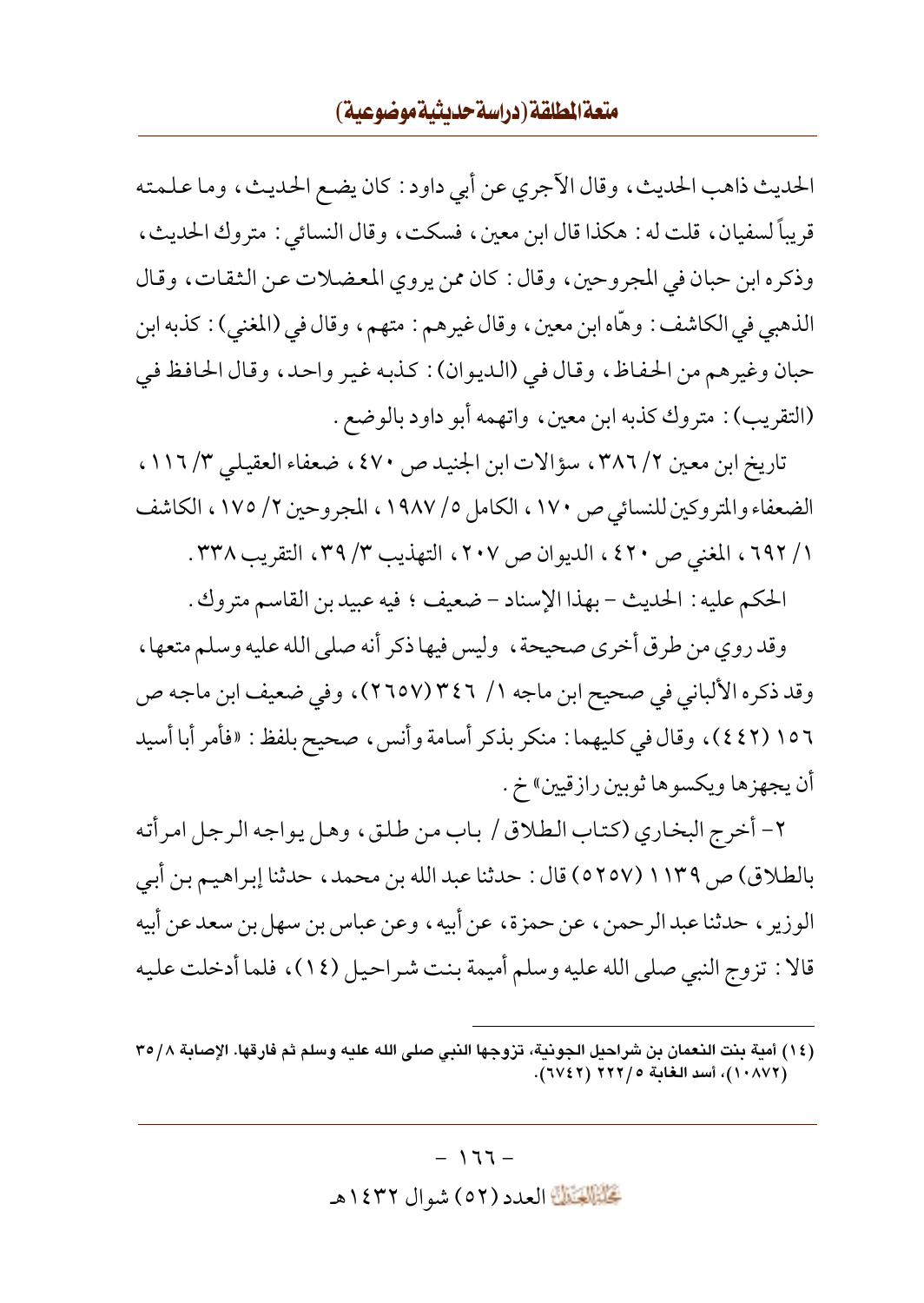## متعة المطلقة (دراسة حديثية موضوعية)

الحديث ذاهب الحديث، وقال الآجري عن أبي داود : كان يضع الحديث، وما علمته قريباً لسفيان، قلت له : هكذا قال ابن معين، فسكت، وقال النسائي : متروك الحديث، وذكره ابن حبان في المجروحين، وقال: كان ممن يروى المعضلات عن الثقات، وقال الذهبي في الكاشف : وهَّاه ابن معين ، وقال غيرهم : متهم ، وقال في (المغنى) : كذبه ابن حبان وغيرهم من الحفاظ، وقال في (الديوان) : كذبه غير واحد، وقال الحافظ في (التقريب) : متروك كذبه ابن معين، واتهمه أبو داود بالوضع .

تاريخ ابن معين ٢/ ٣٨٦، سؤالات ابن الجنيد ص ٤٧٠، ضعفاء العقيلي ٣/ ١١٦، الضعفاء والمتروكين للنسائي ص ١٧٠، الكامل ٥/ ١٩٨٧، المجروحين ٢/ ١٧٥، الكاشف ١/ ٦٩٢، المغنى ص ٤٢٠، الديوان ص ٢٠٧، التهذيب ٣/ ٣٩، التقريب ٣٣٨.

الحكم عليه : الحديث - بهذا الإسناد - ضعيف ؛ فيه عبيد بن القاسم متروك .

وقد روى من طرق أخرى صحيحة ، وليس فيها ذكر أنه صلى الله عليه وسلم متعها ، وقد ذكره الألباني في صحيح ابن ماجه ١/ ٣٤٦ (٢٦٥٧)، وفي ضعيف ابن ماجه ص ١٥٦ (٤٤٢)، وقال في كليهما : منكر بذكر أسامة وأنس، صحيح بلفظ : «فأمر أبا أسيد أن يجهز ها ويكسو ها ثوبين رازقيين» خ .

٢- أخرج البخاري (كتاب الطلاق / باب من طلق، وهل يواجه الرجل امر أته بالطلاق) ص ١١٣٩ (٥٢٥٧) قال : حدثنا عبد الله بن محمد، حدثنا إبراهيم بن أبي الوزير ، حدثنا عبدالرحمن ، عن حمزة، عن أبيه ، وعن عباس بن سهل بن سعد عن أبيه قالا : تزوج النبي صلى الله عليه وسلم أميمة بنت شراحيل (١٤)، فلما أدخلت عليه

<sup>(</sup>١٤) أمية بنت النعمان بن شراحيل الجونية، تزوجها النبي صلى الله عليه وسلم ثم فارقها. الإصابة ٣٥/٨ (١٠٨٧٢)، أسد الغابة ٢٢٢/ (٦٧٤٢).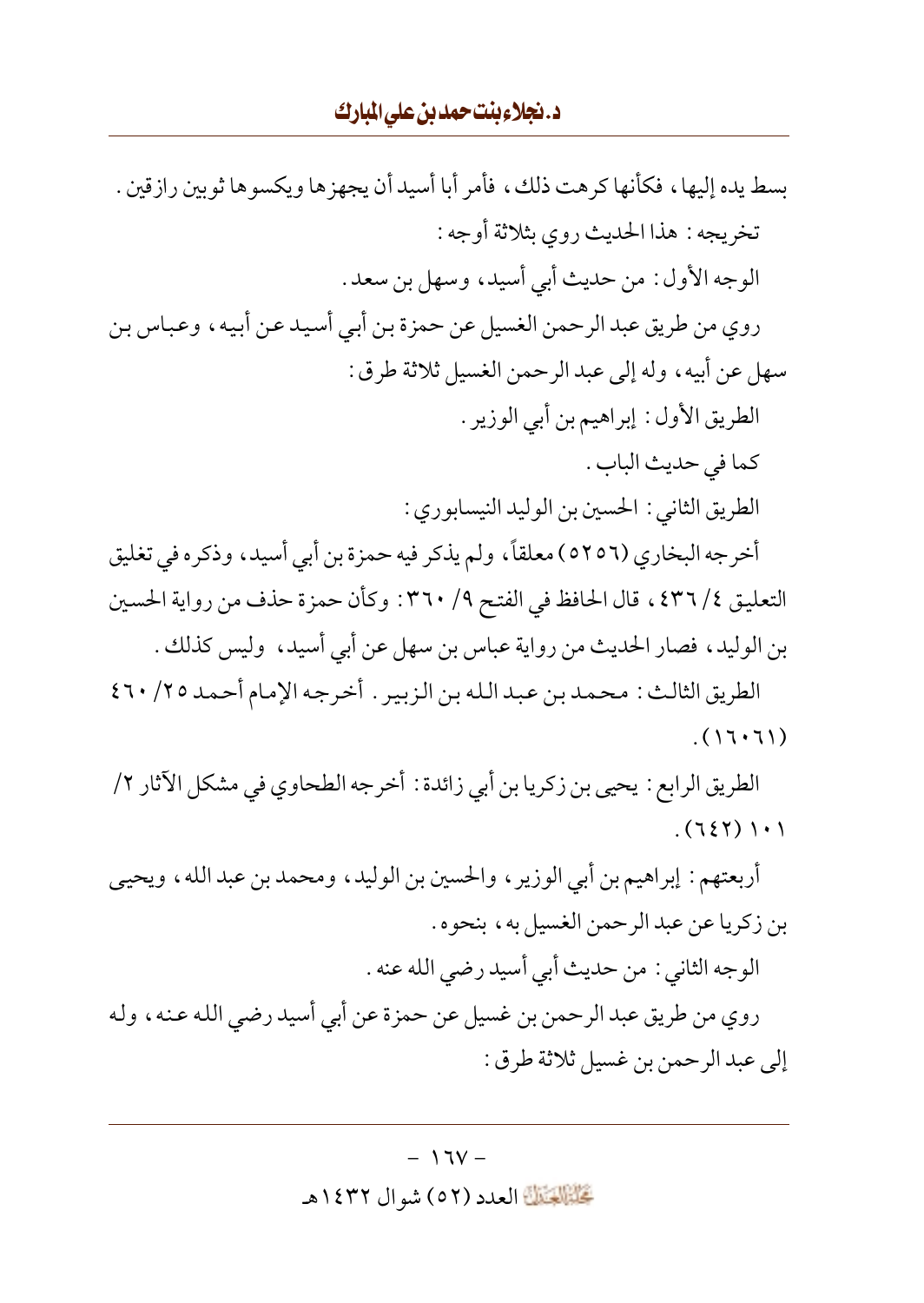## د.نجلاءبنتحمدبن عليالبارك

إلى عبد الرحمن بن غسيل ثلاثة طرق :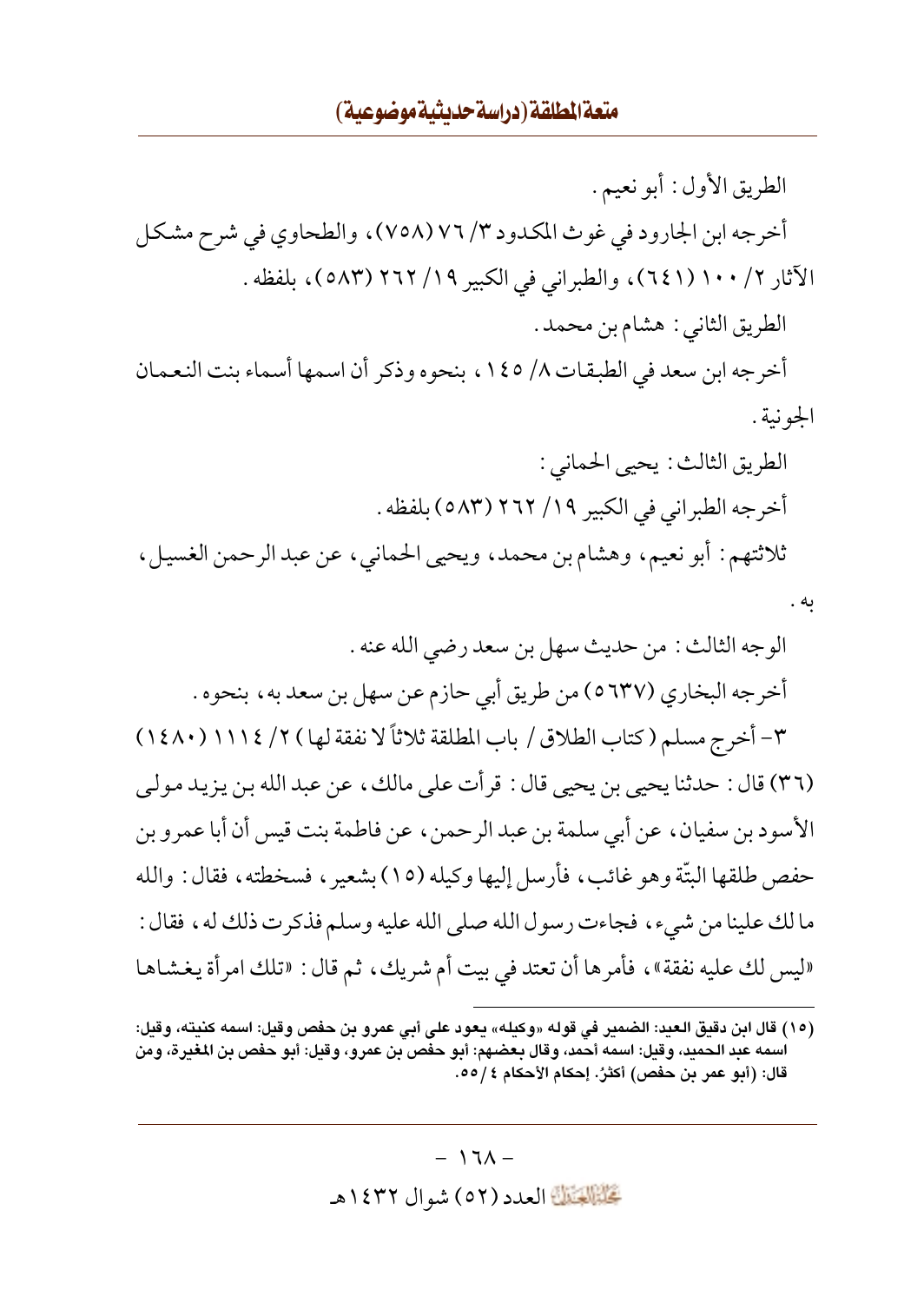الطريق الأول: أبو نعيم. أخرجه ابن الجارود في غوث المكدود ٣/ ٧٦ (٧٥٨)، والطحاوي في شرح مشكل الآثار ٢/ ١٠٠ (١٤١)، والطبراني في الكبير ١٩/ ٢٦٢ (٥٨٣)، بلفظه. الطريق الثاني : هشام بن محمد . أخرجه ابن سعد في الطبقات ٨/ ١٤٥، بنحوه وذكر أن اسمها أسماء بنت النعمان الجونية . الطريق الثالث : يحيى الحماني : أخرجه الطبراني في الكبير ١٩/ ٢٦٢ (٥٨٣) بلفظه . ثلاثتهم: أبو نعيم، وهشام بن محمد، ويحيى الحماني، عن عبد الرحمن الغسيل، به .

<sup>(</sup>١٥) قال ابن دقيق العبد: الضمير في قوله «وكبله» بعود على أبي عمرو بن حفص وقبل: اسمه كنيته، وقبل: اسمه عبد الحميد، وقيل: اسمه أحمد، وقال بعضهم: أبو حفص بن عمرو، وقيل: أبو حفص بن المغيرة، ومن قال: (أبو عمر بن حفص) أكثرُ. إحكام الأحكام ٤ /٥٥.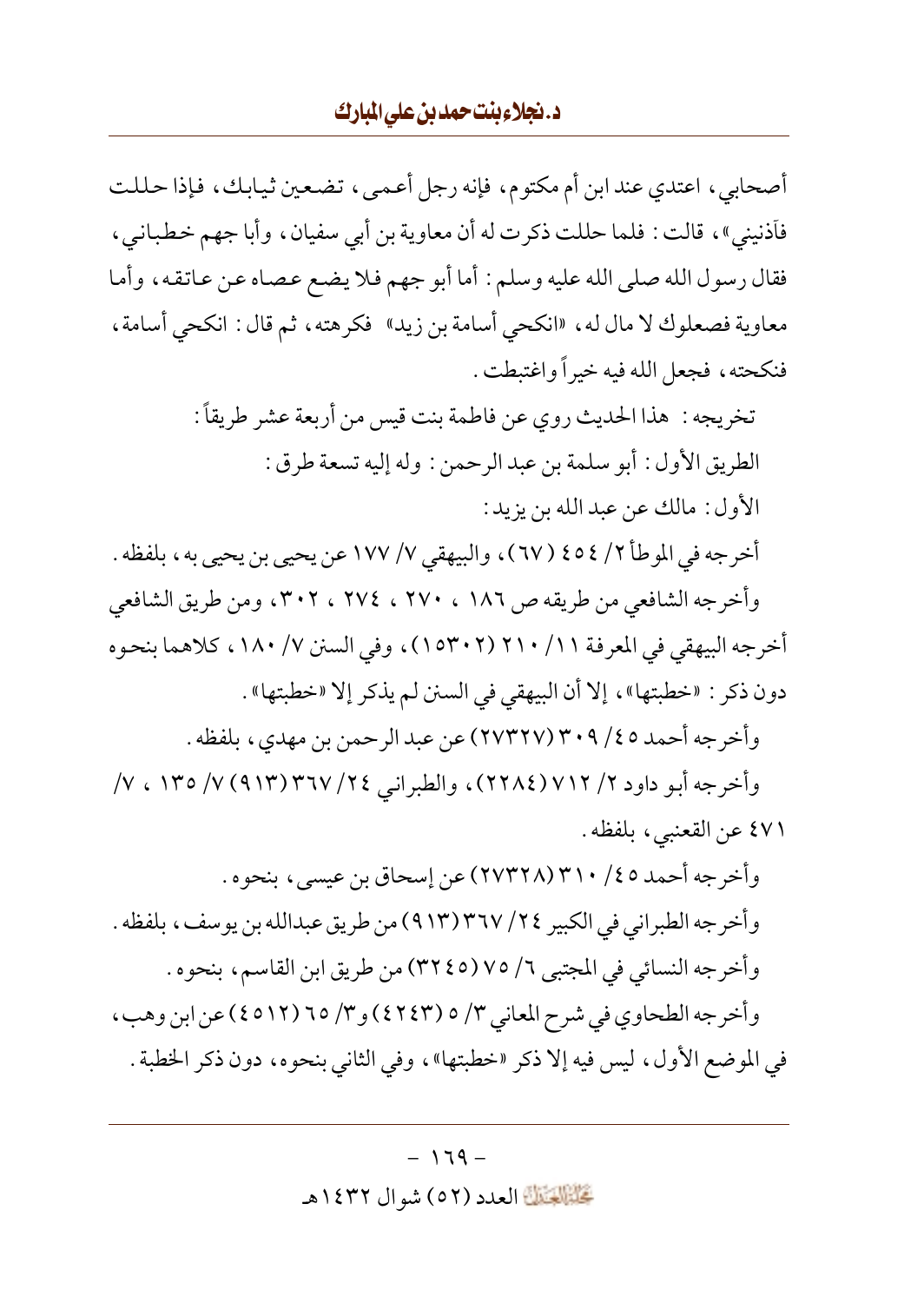## د.نجلاءبنت حمدبن على المبارك

أصحابي ، اعتدى عند ابن أم مكتوم، فإنه رجل أعميي ، تضعين ثيابك ، فإذا حللت فأذنيني»، قالت: فلما حللت ذكرت له أن معاوية بن أبي سفيان، وأبا جهم خطباني، فقال رسول الله صلى الله عليه وسلم: أما أبو جهم فلا يضع عصاه عن عاتقه، وأما معاوية فصعلوك لا مال له، «انكحى أسامة بن زيد» فكرهته، ثم قال : انكحى أسامة، فنكحته، فجعل الله فيه خيراً واغتبطت .

> تخريجه : هذا الحديث روي عن فاطمة بنت قيس من أربعة عشر طريقاً : الطريق الأول : أبو سلمة بن عبد الرحمن : وله إليه تسعة طرق : الأول: مالك عن عبد الله بن يزيد:

أخرجه في الموطأ ٢/ ٤٥٤ (٦٧)، والبيهقي ٧/ ١٧٧ عن يحيى بن يحيى به، بلفظه . وأخرجه الشافعي من طريقه ص ١٨٦ ، ٢٧٠ ، ٢٧٤ ، ٣٠٢، ومن طريق الشافعي أخرجه البيهقي في المعرفة ٢١١ (٢٠٢١٥٣٠٢)، وفي السنن ٧/ ١٨٠، كلاهما بنحوه دون ذكر : «خطبتها»، إلا أن البيهقي في السنن لم يذكر إلا «خطبتها» .

وأخرجه أحمد ٤٥/ ٣٠٩ (٢٧٣٢٧) عن عبد الرحمن بن مهدي، بلفظه .

وأخرجه أبو داود ٢/ ٧١٢ (٢٢٨٤)، والطبراني ٢٤/ ٣٦٧ (٩١٣) ٧/ ١٣٥ ، ٧/ ٤٧١ عن القعنبي، بلفظه.

وأخرجه أحمد ٤٥/ ٣١٠ (٢٧٣٢٨) عن إسحاق بن عيسى، بنحوه . وأخرجه الطبر اني في الكبير ٢٤/ ٣٦٧ (٩١٣) من طريق عبدالله بن يوسف ، بلفظه . وأخرجه النسائي في المجتبي ٦/ ٧٥ (٣٢٤٥) من طريق ابن القاسم، بنحوه . وأخرجه الطحاوي في شرح المعاني ٣/ ٥ (٤٢٤٣) و٣/ ٦٥ (١٢١٢ ٤) عن ابن وهب، في الموضع الأول، ليس فيه إلا ذكر «خطبتها»، وفي الثاني بنحوه، دون ذكر الخطبة .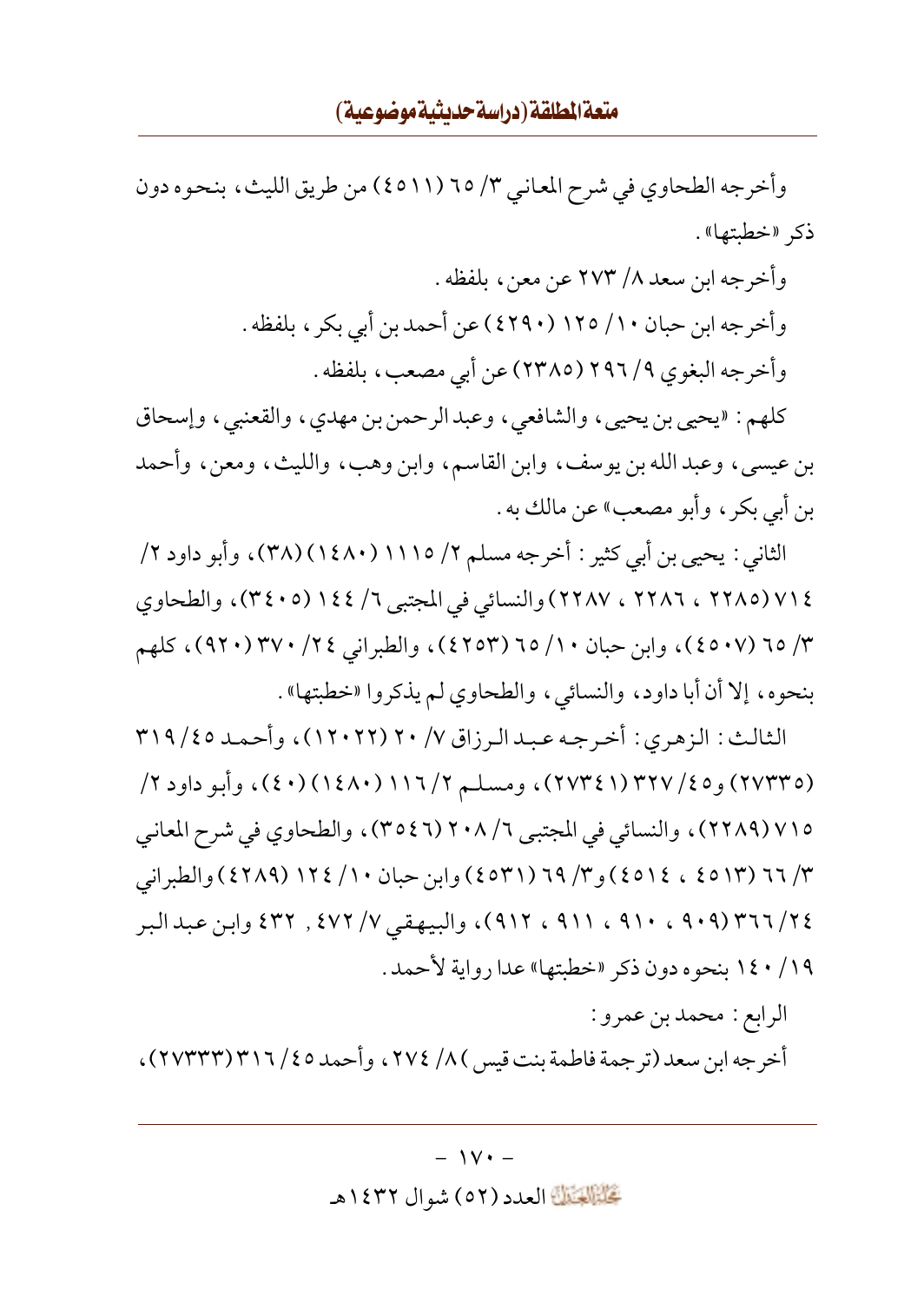وأخرجه الطحاوي في شرح المعاني ٣/ ٦٥ (٤٥١١) من طريق الليث، بنحوه دون ذكر «خطبتها».

> وأخرجه ابن سعد ٨/ ٢٧٣ عن معن ، بلفظه . وأخرجه ابن حبان ١٠/ ١٢٥ (٤٢٩٠) عن أحمد بن أبي بكر ، بلفظه . وأخرجه البغوي ٢٩٦/٩ (٢٣٨٥) عن أبي مصعب، بلفظه .

كلهم: «يحيى بن يحيى، والشافعي، وعبدالرحمن بن مهدي، والقعنبي، وإسحاق بن عيسى، وعبد الله بن يوسف، وابن القاسم، وابن وهب، والليث، ومعن، وأحمد بن أبي بكر ، وأبو مصعبٍ» عن مالك به .

الثاني : يحيى بن أبي كثير : أخرجه مسلم ٢/ ١١١٥( (١٤٨٠)(٣٨)، وأبو داود ٢/ ٧١٤ (٢٢٨٥ ، ٢٢٨٦ ، ٢٢٨٧) والنسائي في المجتبي ٦/ ١٤٤ (٣٤٠٥)، والطحاوي ٣/ ٦٥ (٤٥٠٧)، وابن حبان ١٠/ ٦٥ (٤٢٥٣)، والطبراني ٢٤/ ٣٧٠(٩٢٠)، كلهم بنحوه، إلا أن أبا داود، والنسائي، والطحاوي لم يذكروا «خطبتها» .

الثالث: الزهري: أخرجه عبدالرزاق ٢٠ / ٢٠ (١٢٠٢٢)، وأحمد ٣١٩ / ٣١٩ (٢٧٣٣٥) و٢٥/ ٣٢٧ (٢٧٣٤١)، ومسلم ٢/ ١١٦ (١٤٨٠) (٤٠)، وأبو داود ٢/ ٧١٥ (٢٢٨٩)، والنسائي في المجتبي ٢٠٨/٦ (٣٥٤٦)، والطحاوي في شرح المعاني ۳/ ٦٦ (٤٥١٣ ، ١٤٥١٤) و ٣/ ٦٩ (٤٥٣١) وابن حبان ١٠/ ١٢٤ (٤٢٨٩) والطبراني ٢٤/ ٣٦٦ (٩٠٩ ، ٩١٠ ، ٩١١ ، ٩١٢)، والبيهقي ٧/ ٤٧٢ , ٤٣٢ وابن عبد البر ١٤٠/١٩ بنحوه دون ذكر «خطبتها» عدا رواية لأحمد .

الرابع : محمد بن عمرو : أخرجه ابن سعد (ترجمة فاطمة بنت قيس ) ٨/ ٢٧٤، وأحمد ٢٥/ ٣١٦/ (٢٧٣٣٣) ،

تَحَلَّمُ الْقَالَةَ العدد (٥٢) شو ال ١٤٣٢هـ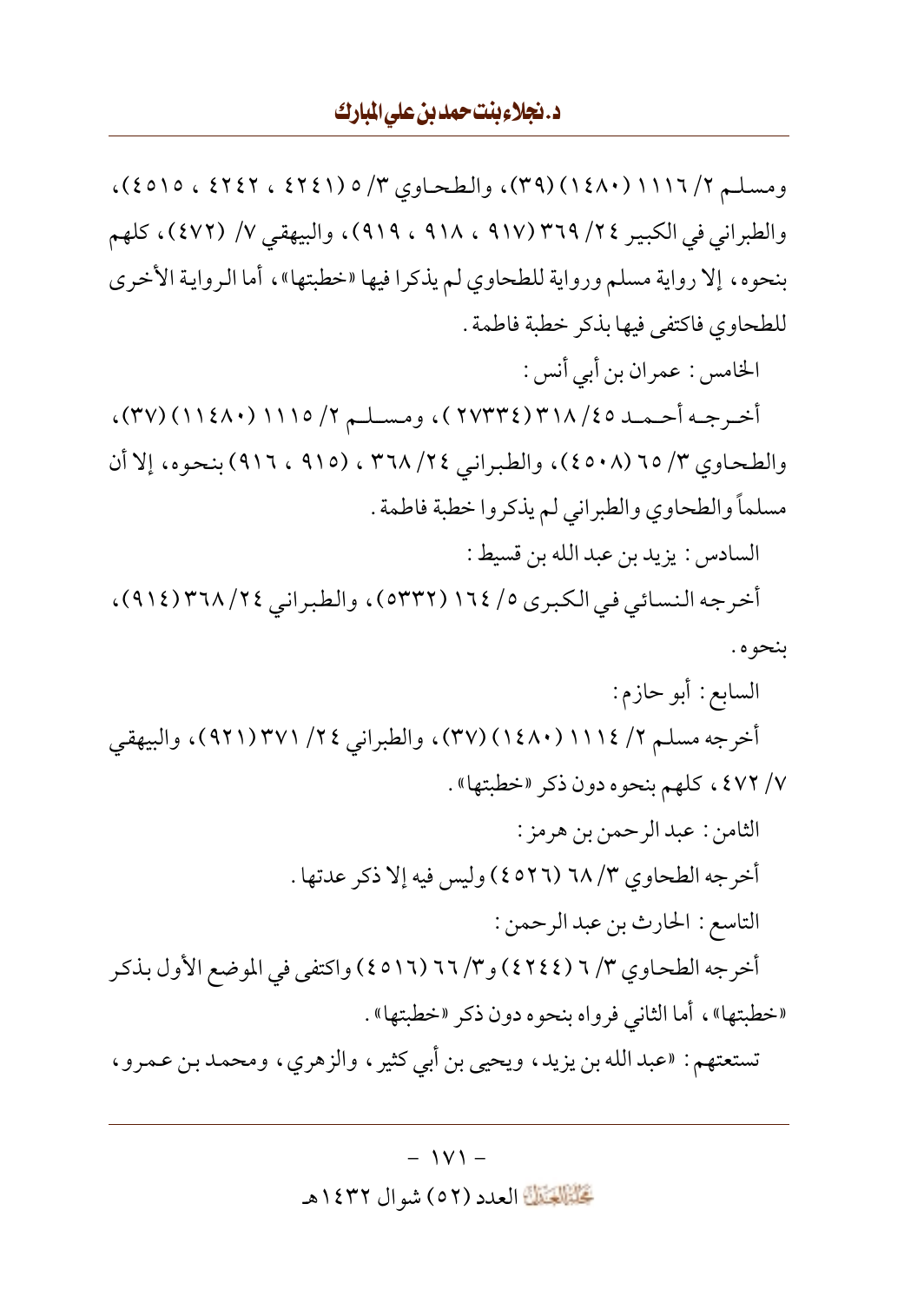ومسلم ٢/ ١١١٦( ١٤٨٠) (٣٩)، والطحاوي ٣/ ٥ (٤٢٤١ ، ٤٢٤٢ ، ٥١٥)، والطبراني في الكبير ٢٤/ ٣٦٩ (٩١٧ ، ٩١٨ ، ٩١٩)، والبيهقي ٧/ (٤٧٢)، كلهم بنحوه، إلا رواية مسلم ورواية للطحاوي لم يذكرا فيها «خطبتها»، أما الرواية الأخرى للطحاوي فاكتفى فيها بذكر خطبة فاطمة .

الخامس : عمران بن أبي أنس : أخرجه أحمد ٣١٨/٤٥ (٢٧٣٣٤)، ومسلم ٢/ ١١١٥(١١٤٨٠)، ٢٧)، والطحاوي ٣/ ٦٥ (٤٥٠٨)، والطبراني ٢٤/ ٣٦٨ ، (٩١٥ ، ٩١٦) بنحوه، إلا أن مسلماً والطحاوي والطبراني لم يذكروا خطبة فاطمة .

السادس: يزيد بن عبد الله بن قسيط:

أخرجه النسائي في الكبرى ٥/ ١٦٤ (٥٣٣٢)، والطبراني ٢٤/ ٣٦٨ (٩١٤)، بنحوه .

- السابع: أبو حازم: أخرجه مسلم ٢/ ١١١١٤ (١٤٨٠) (٣٧)، والطبراني ٢٤/ ٣٧١ (٩٢١)، والبيهقي ٧/ ٤٧٢، كلهم بنحوه دون ذكر «خطبتها».
- الثامن : عبد الرحمن بن هر مز : أخرجه الطحاوي ٣/ ٦٨ (٤٥٢٦ ) وليس فيه إلا ذكر عدتها . التاسع : الحارث بن عبد الرحمن : أخرجه الطحاوي ٣/ ٦ (٤٢٤٤) و٣/ ٦٦ (٤٥١٦) واكتفى في الموضع الأول بذكر «خطبتها»، أما الثاني فرواه بنحوه دون ذكر «خطبتها» .

تستعتهم: «عبدالله بن يزيد، ويحيى بن أبي كثير ، والزهري، ومحمد بن عمرو ،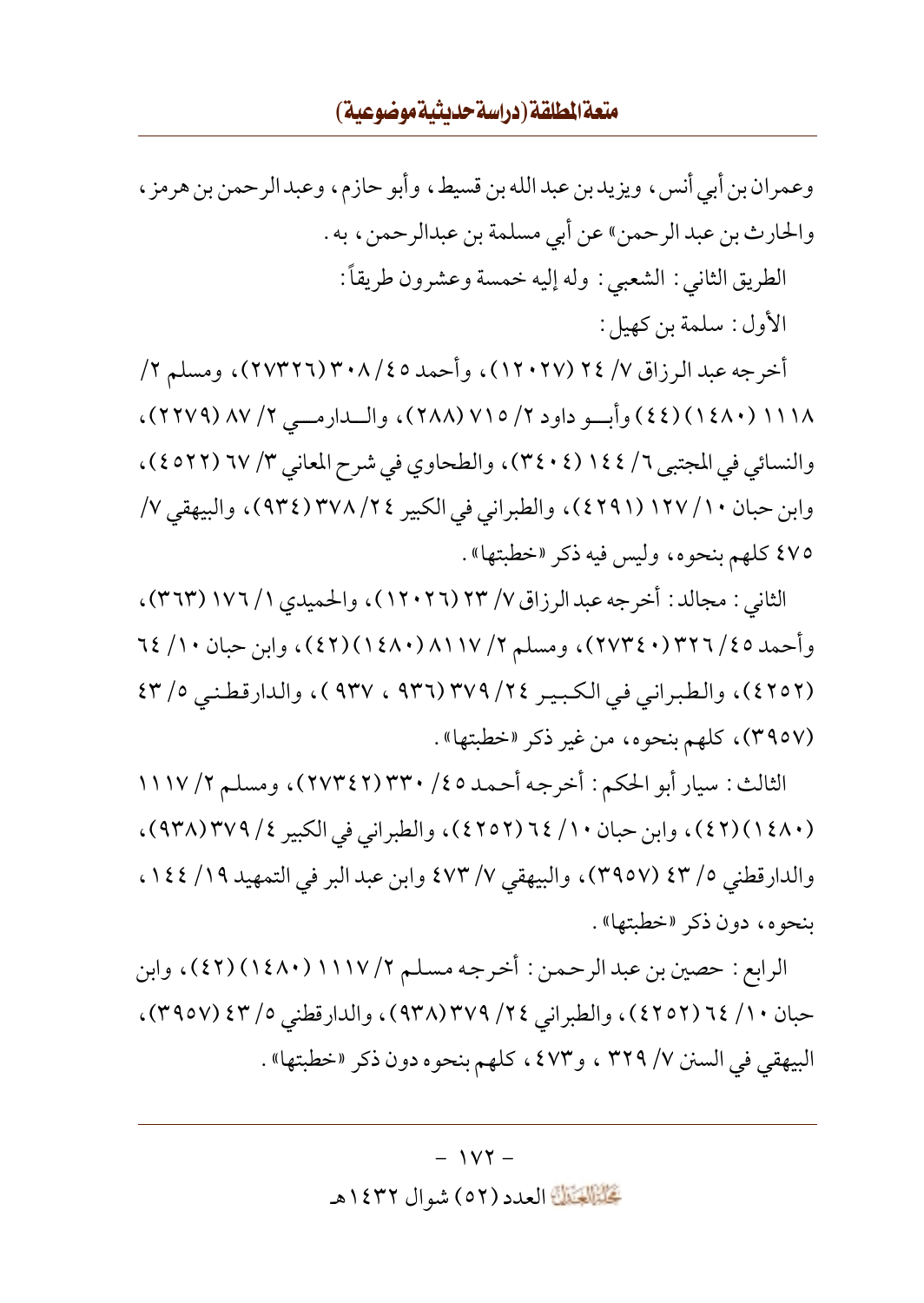## متعة المطلقة (دراسة حديثية موضوعية)

وعمران بن أبي أنس، ويزيد بن عبد الله بن قسيط، وأبو حازم، وعبد الرحمن بن هرمز ، والحارث بن عبد الرحمن» عن أبي مسلمة بن عبدالرحمن، به . الطريق الثاني : الشعبي : وله إليه خمسة وعشرون طريقاً: الأول: سلمة بن كهبل:

أخرجه عبد الرزاق ٧/ ٢٤ (١٢٠٢٧)، وأحمد ٣٠٨/٤٥ (٢٧٣٢٦)، ومسلم ٢/ ١١١٨ (١٤٨٠) (٤٤) وأبسو داود ٢/ ٧١٥ (٢٨٨)، والسدارمسي ٢/ ٨٧ (٢٢٧٩)، والنسائي في المجتبي ٦/ ١٤٤ (٣٤٠٤)، والطحاوي في شرح المعاني ٣/ ٦٧ (٤٥٢٢)، وابن حبان ١٠/ ١٢٧ (٤٢٩١)، والطبراني في الكبير ٢٤/ ٣٧٨ (٩٣٤)، والبيهقي ٧/ ٤٧٥ كلهم بنحوه، وليس فيه ذكر «خطبتها» .

الثاني : مجالد : أخرجه عبدالرزاق ٧/ ٢٣ (١٢٠٢٦)، والحميدي ١/ ١٧٦ (٣٦٣)، وأحمد ٢٥/ ٢٢٦٦/٤٠)٢٧٣٤)، ومسلم ٢/ ٨١١٧/ (٤٢)(٤٢)، وابن حبان ٦٤/١٠ (٤٢٥٢)، والطبراني في الكبير ٢٤/ ٣٧٩ (٩٣٦ ، ٩٣٧ )، والدارقطني ٢/٥ (٣٩٥٧)، كلهم بنحوه، من غير ذكر «خطبتها».

الثالث: سيار أبو الحكم: أخرجه أحمد ٤٥/ ٣٣٠ (٢٧٣٤٢)، ومسلم ٢/ ١١١٧ (٤٨٠) (٤٢) ، وابن حبان ١٠/ ٦٤ (٤٢٥٢) ، والطبر اني في الكبير ٤/ ٣٧٩(٩٣٨) ، والدارقطني ٥/ ٤٣ (٣٩٥٧)، والبيهقي ٧/ ٤٧٣ وابن عبد البر في التمهيد ١٤٤ / ١٤٤ ، بنحوه، دون ذكر «خطبتها».

الرابع : حصين بن عبد الرحمن : أخرجه مسلم ٢/ ١١١٧ (١٤٨٠) (٤٢) ، وابن حبان ١٠/ ٢٤ (٤٢٥٢)، والطبراني ٢٤/ ٣٧٩(٩٣٨)، والدارقطني ٥/ ٤٣ (٣٩٥٧)، البيهقي في السنن ٧/ ٣٢٩ ، و٤٧٣ ، كلهم بنحوه دون ذكر «خطبتها» .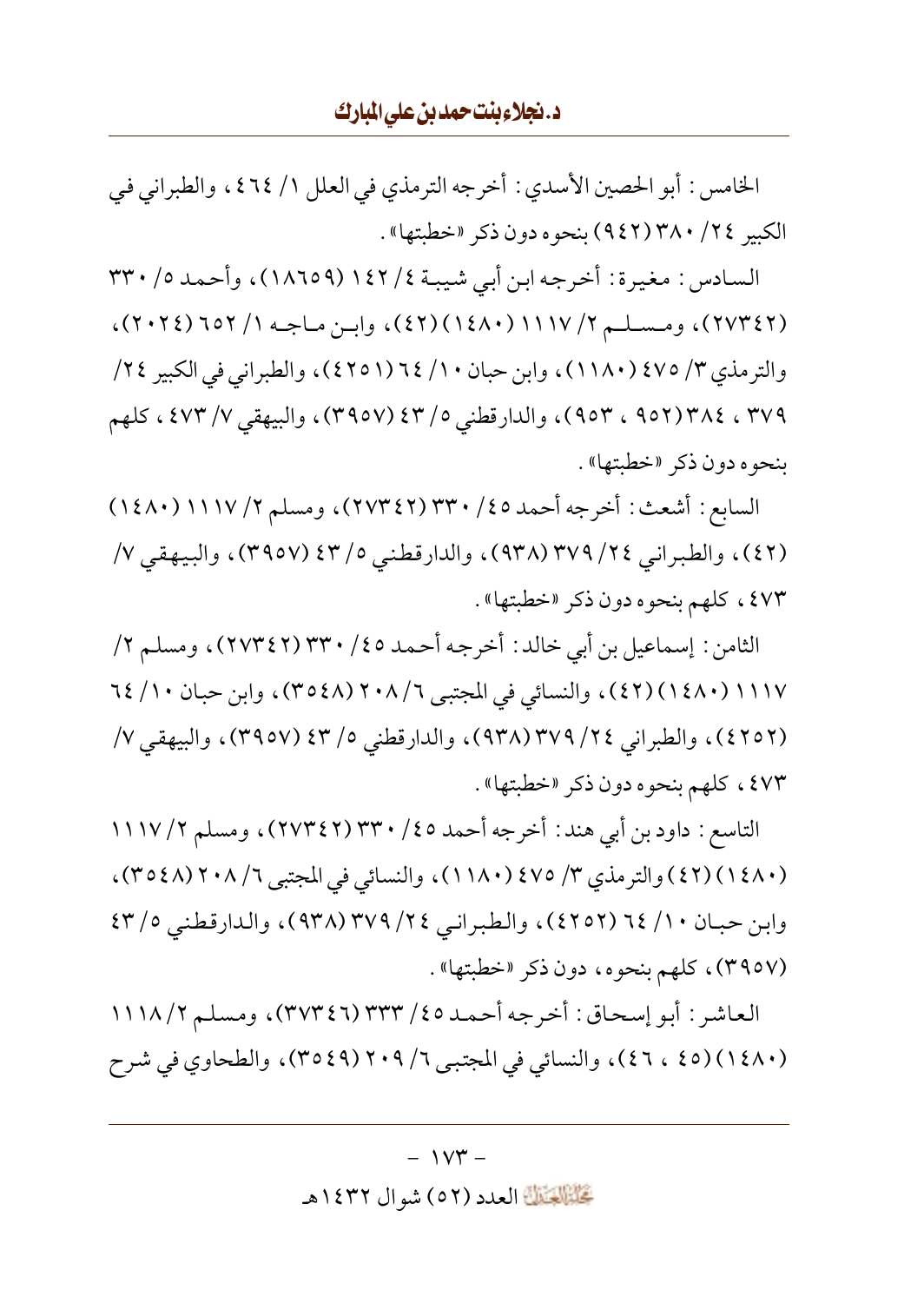الخامس : أبو الحصين الأسدى : أخرجه الترمذي في العلل ١/ ٢٦٤ ، والطبراني في الكبير ٣٤/ ٣٨٠ (٩٤٢) بنحوه دون ذكر «خطبتها» .

السادس : مغيرة : أخرجه ابن أبي شيبـة ٤/ ١٤٢ (١٨٦٥٩)، وأحمد ٥/ ٣٣٠ (٢٧٣٤٢)، ومسلم ٢/ ١١١٧ (١٤٨٠) (٤٢)، وابن ماجه ١/ ٢٥٢ (٢٠٢٤)، والترمذي ٣/ ٤٧٥ (١١٨٠)، وابن حبان ١٠/ ٦٤ (٤٢٥١)، والطبراني في الكبير ٢٤/ ٣٧٩ ، ٣٧٤(٩٥٢ ، ٩٥٣)، والدارقطني ٥/ ٤٣ (٣٩٥٧)، والبيهقي ٧/ ٤٧٣ ، كلهم بنحوه دون ذكر «خطبتها» .

السابع : أشعث : أخرجه أحمد ٢٥/ ٣٣٠ (٢٧٣٤٢)، ومسلم ٢/ ١١١٧ (١٤٨٠) (٤٢)، والطبراني ٣٧٩ (٣٧٨ (٩٣٨)، والدارقطني ٥/ ٤٣ (٣٩٥٧)، والبيهقي ٧/ ٤٧٣ ، كلهم بنحوه دون ذكر «خطبتها» .

الثامن : إسماعيل بن أبي خالد : أخرجه أحمد ٢٥/ ٣٣٠ (٢٧٣٤٢)، ومسلم ٢/ ١١١٧ (١٤٨٠) (٤٢)، والنسائي في المجتبي ٢/ ٢٠٨ (٣٥٤٨)، وابن حبان ١٠/ ٦٤ (٤٢٥٢)، والطبراني ٢٤/ ٣٧٩ (٩٣٨)، والدارقطني ٥/ ٤٣ (٣٩٥٧)، والبيهقي ٧/ ٤٧٣، كلهم بنحوه دون ذكر «خطبتها».

التاسع : داود بن أبي هند : أخرجه أحمد ٤٥/ ٣٣٠ (٢٧٣٤٢)، ومسلم ٢/ ١١١٧ (٤٨٠) (٤٢) والترمذي ٣/ ٤٧٥ (١١٨٠)، والنسائي في المجتبي ٢/ ٢٠٨ (٣٥٤٨)، وابن حبان ٦٤ / ٦٤ (٤٢٥٢)، والطبراني ٢٤ / ٣٧٩ (٩٣٨)، والدارقطني ٥/ ٤٣ (٣٩٥٧)، كلهم بنحوه، دون ذكر «خطبتها».

العاشر : أبو إسحاق: أخرجه أحمد ٢٥/ ٣٣٣ (٣٧٣٤٦)، ومسلم ١١١٨/٢ (١٤٨٠) (٤٥ ، ٤٦)، والنسائي في المجتبي ٦/ ٢٠٩(٣٥٤٩)، والطحاوي في شرح

تَحَلَّمُ الْعَلَيْنَ الْعَدِدِ (٥٢) شو ال ١٤٣٢هـ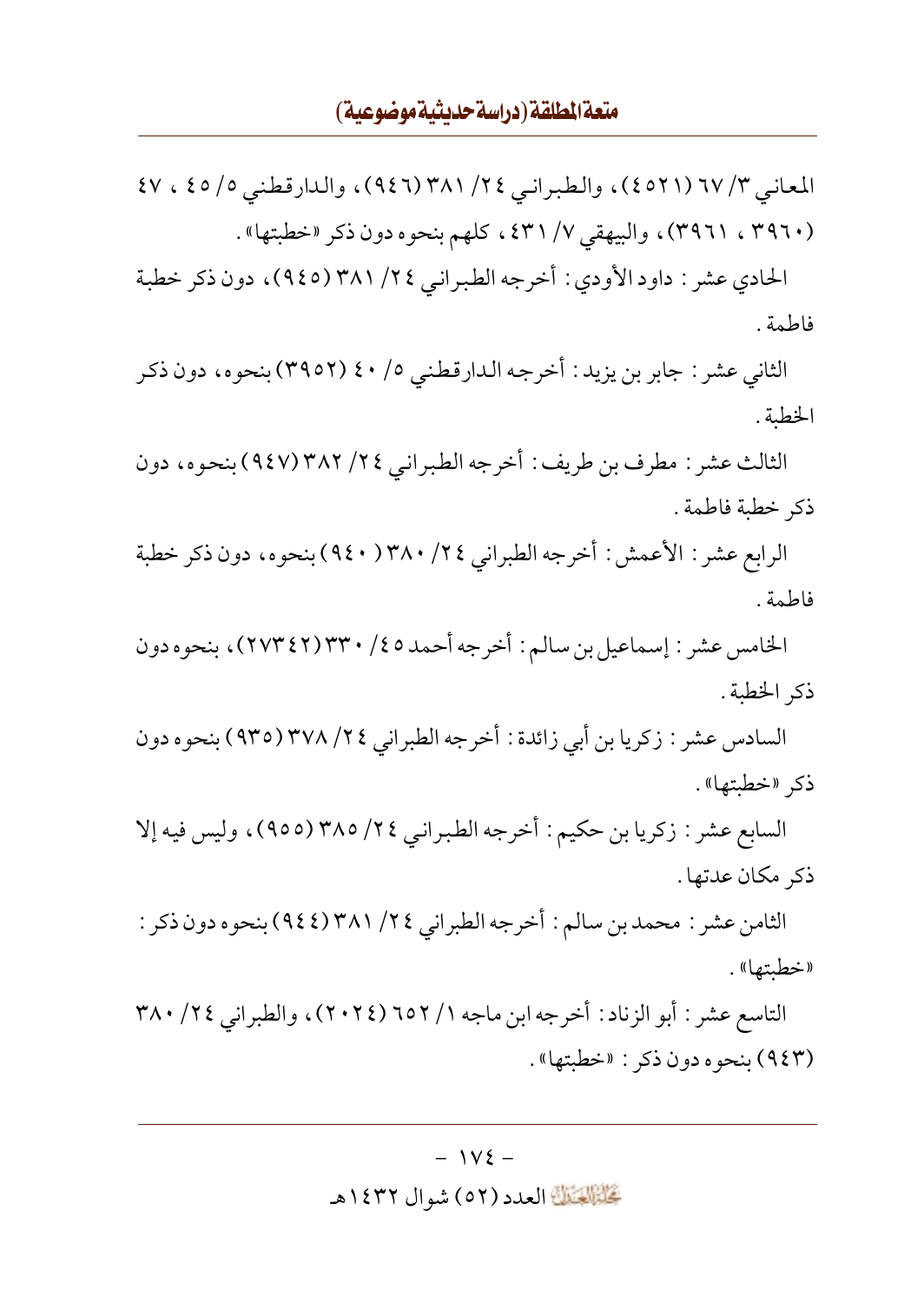## متعة المطلقة (دراسة حديثية موضوعية)

المعاني ٣/ ٦٧ (٤٥٢١)، والطبراني ٢٤/ ٣٨١ (٩٤٦)، والدارقطني ٥/ ٤٥ ، ٤٧ (٣٩٦٠ ، ٣٩٦١)، والبيهقي ٧/ ٤٣١، كلهم بنحوه دون ذكر «خطبتها».

الحادي عشر : داود الأودي : أخرجه الطبراني ٢٤/ ٣٨١ (٩٤٥)، دون ذكر خطبة فاطمة .

الثاني عشر : جابر بن يزيد : أخرجه الدارقطني ٥/ ٤٠ (٣٩٥٢) بنحوه، دون ذكر الخطبة .

الثالث عشر : مطرف بن طريف : أخرجه الطبراني ٢٤/ ٣٨٢ (٩٤٧) بنحوه، دون ذكر خطبة فاطمة .

الرابع عشر : الأعمش : أخرجه الطبراني ٢٤/ ٣٨٠( ٩٤٠) بنحوه، دون ذكر خطبة فاطمة .

الخامس عشر : إسماعيل بن سالم : أخرجه أحمد ٤٥/ ٣٣٠/(٢٧٣٤٢)، بنحوه دون ذكر الخطبة .

السادس عشر : زكريا بن أبي زائدة : أخرجه الطبراني ٢٤/ ٣٧٨ (٩٣٥) بنحوه دون ذكر «خطبتها».

السابع عشر : زكريا بن حكيم : أخرجه الطبراني ٢٤/ ٣٨٥ (٩٥٥)، وليس فيه إلا ذكر مكان عدتها.

الثامن عشر : محمد بن سالم : أخرجه الطبراني ٢٤/ ٣٨١ (٩٤٤) بنحوه دون ذكر : «خطبتها» .

التاسع عشر : أبو الزناد : أخرجه ابن ماجه ١/ ٦٥٢ (٢٠٢٤)، والطبراني ٣٨٠ / ٢٠ (٩٤٣) بنحوه دون ذكر : «خطبتها» .

### كَتَبَيَّلَكَ العدد (٥٢) شو ال ١٤٣٢هـ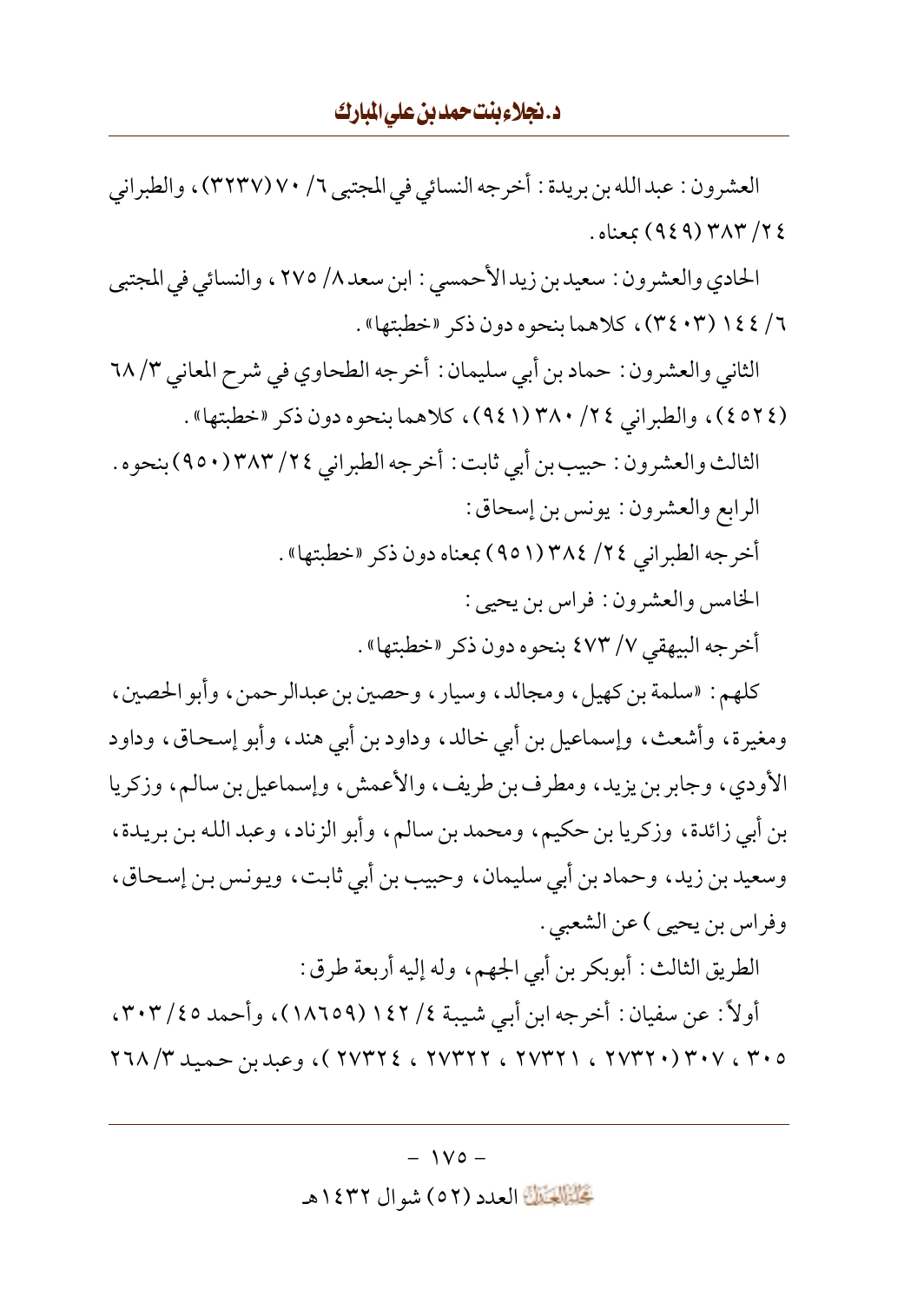العشرون : عبدالله بن بريدة : أخرجه النسائي في المجتبي ٦/ ٧٠/ (٣٢٣٧) ، والطبراني ٢٤/ ٣٨٣ (٩٤٩) بمعناه .

الحادي والعشرون : سعيدبن زيد الأحمسي : ابن سعد ٨/ ٢٧٥ ، والنسائي في المجتبي ٦/ ١٤٤ (٣٤٠٣)، كلاهما بنحوه دون ذكر «خطبتها».

الثاني والعشرون : حماد بن أبي سليمان : أخرجه الطحاوي في شرح المعاني ٦٨/٣ (٤٥٢٤)، والطبراني ٣٨٠ (٩٤١)، كلاهما بنحوه دون ذكر «خطبتها».

الثالث والعشرون : حبيب بن أبي ثابت : أخرجه الطبراني ٢٤/ ٣٨٣ (٩٥٠) بنحوه . الرابع والعشرون: يونس بن إسحاق:

> أخرجه الطبراني ٢٤/ ٣٨٤ (٩٥١) بمعناه دون ذكر «خطبتها» . الخامس والعشرون : فراس بن يحيى :

> > أخرجه البيهقي ٧/ ٤٧٣ بنحوه دون ذكر «خطبتها» .

كلهم: «سلمة بن كهيل، ومجالد، وسيار، وحصين بن عبدالرحمن، وأبو الحصين، ومغيرة، وأشعث، وإسماعيل بن أبي خالد، وداود بن أبي هند، وأبو إسحاق، وداود الأودي، وجابر بن يزيد، ومطرف بن طريف، والأعمش، وإسماعيل بن سالم، وزكريا بن أبي زائدة، وزكريا بن حكيم، ومحمد بن سالم، وأبو الزناد، وعبد الله بن بريدة، وسعيد بن زيد، وحماد بن أبي سليمان، وحبيب بن أبي ثابت، ويونس بن إسحاق، وفراس بن يحيى ) عن الشعبي .

الطريق الثالث : أبوبكر بن أبي الجهم، وله إليه أربعة طرق :

أولاً: عن سفيان: أخرجه ابن أبي شيبة ٤/ ١٤٢ (١٨٦٥٩)، وأحمد ٣٠٣، ٣٠٣، ٢٠٥ ، ٢٧٣٢١ ، ٢٧٣٢١ ، ٢٧٣٢٦ ، ٢٧٣٢٤ ، ٢٧٣٢٤ )، وعبد بن حميد ٢٦٨

تَحَلَّمُوا الْعَدَدِ (٥٢) شوال ١٤٣٢هـ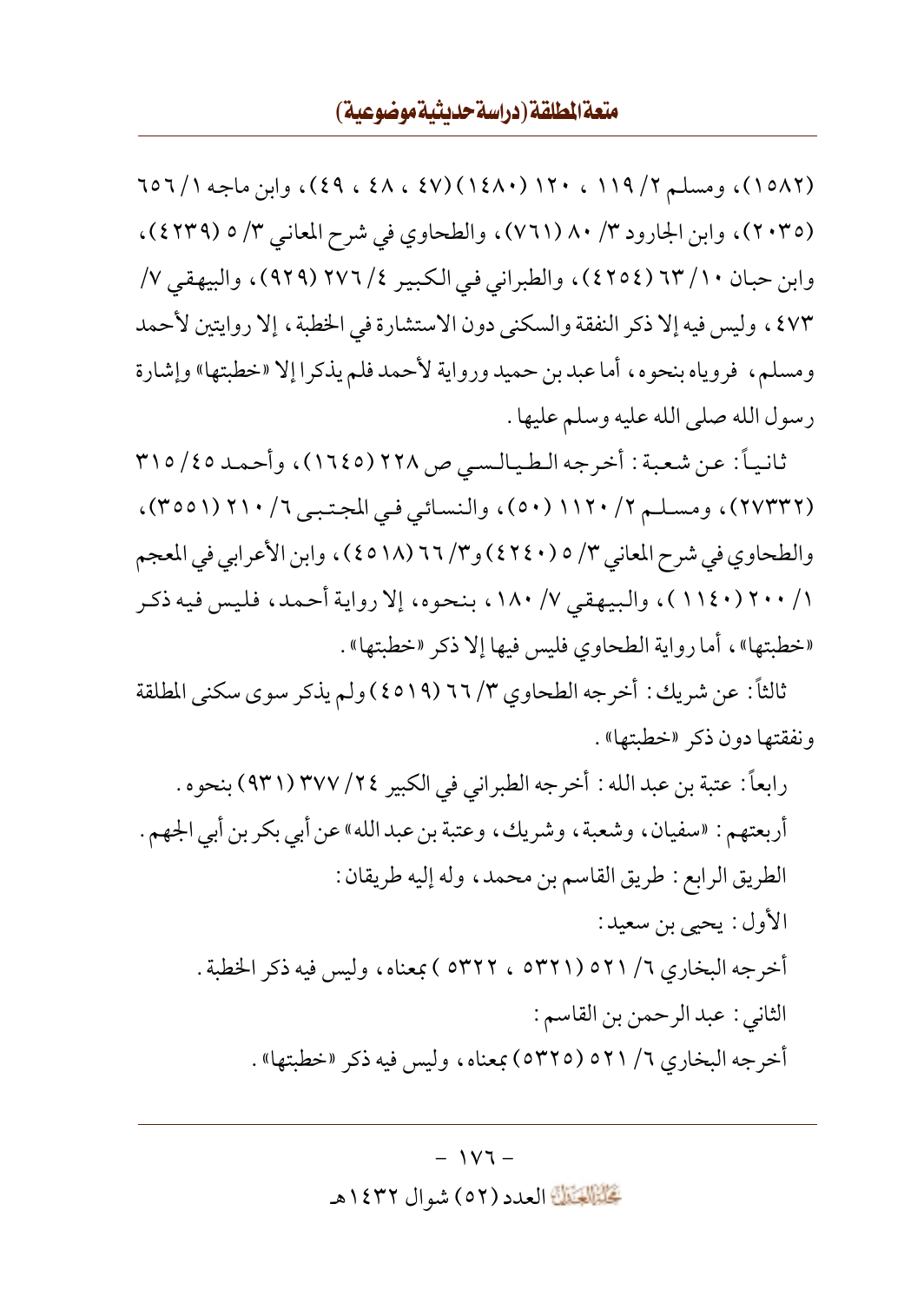(١٥٨٢)، ومسلم ٢/ ١١٩ ، ١٢٠ (١٤٨٠) (٤٧ ، ٤٨ ، ٤٩)، وابن ماجه ٦٥٦/١ (٢٠٣٥)، وابن الجارود ٣/ ٨٠ (٧٦١)، والطحاوي في شرح المعاني ٣/ ٥ (٤٢٣٩)، وابن حبان ٦٣ (٢٥٤٤)، والطبراني في الكبير ٢٧٦ (٩٢٩)، والبيهقي ٧/ ٤٧٣ ، وليس فيه إلا ذكر النفقة والسكني دون الاستشارة في الخطبة ، إلا روايتين لأحمد ومسلم، فروياه بنحوه، أما عبد بن حميد ورواية لأحمد فلم يذكرا إلا «خطبتها» وإشارة رسول الله صلى الله عليه وسلم عليها .

ثانياً: عن شعبة: أخرجه الطيالسي ص ٢٢٨ (١٦٤٥)، وأحمد ٣١٥ / ٣١٥ (٢٧٣٣٢)، ومسلم ٢/ ١١٢٠ (٥٠)، والنسائي في المجتبي ٦/ ٢١٠ (٣٥٥١)، والطحاوي في شرح المعاني ٣/ ٥ (٤٢٤٠) و٣/ ٦٦ (٤٥١٨)، وابن الأعرابي في المعجم ١/ ٢٠٠ (١١٤٠)، والبيهقي ٧/ ١٨٠، بنحوه، إلا رواية أحمد، فليس فيه ذكر «خطبتها»، أما رواية الطحاوي فليس فيها إلا ذكر «خطبتها».

ثالثاً: عن شريك : أخرجه الطحاوي ٣/ ٦٦ (٤٥١٩) ولم يذكر سوى سكني المطلقة ونفقتها دون ذكر «خطبتها».

رابعاً : عتبة بن عبد الله : أخرجه الطبر اني في الكبير ٢٤/ ٣٧٧ (٩٣١) بنحوه . أربعتهم : «سفيان، وشعبة، وشريك، وعتبة بن عبد الله» عن أبي بكر بن أبي الجهم . الطريق الرابع : طريق القاسم بن محمد، وله إليه طريقان : الأول: يحيى بن سعيد: أخرجه البخاري ٦/ ٥٢١ (٥٣٢١ ، ٥٣٢٢ ) بمعناه، وليس فيه ذكر الخطبة . الثاني : عبد الرحمن بن القاسم : أخرجه البخاري ٦/ ٥٢١ (٥٣٢٥) بمعناه، وليس فيه ذكر «خطبتها» .

تَحَلَّمُوا الْعَدَدِ (٥٢ ) شوال ١٤٣٢هـ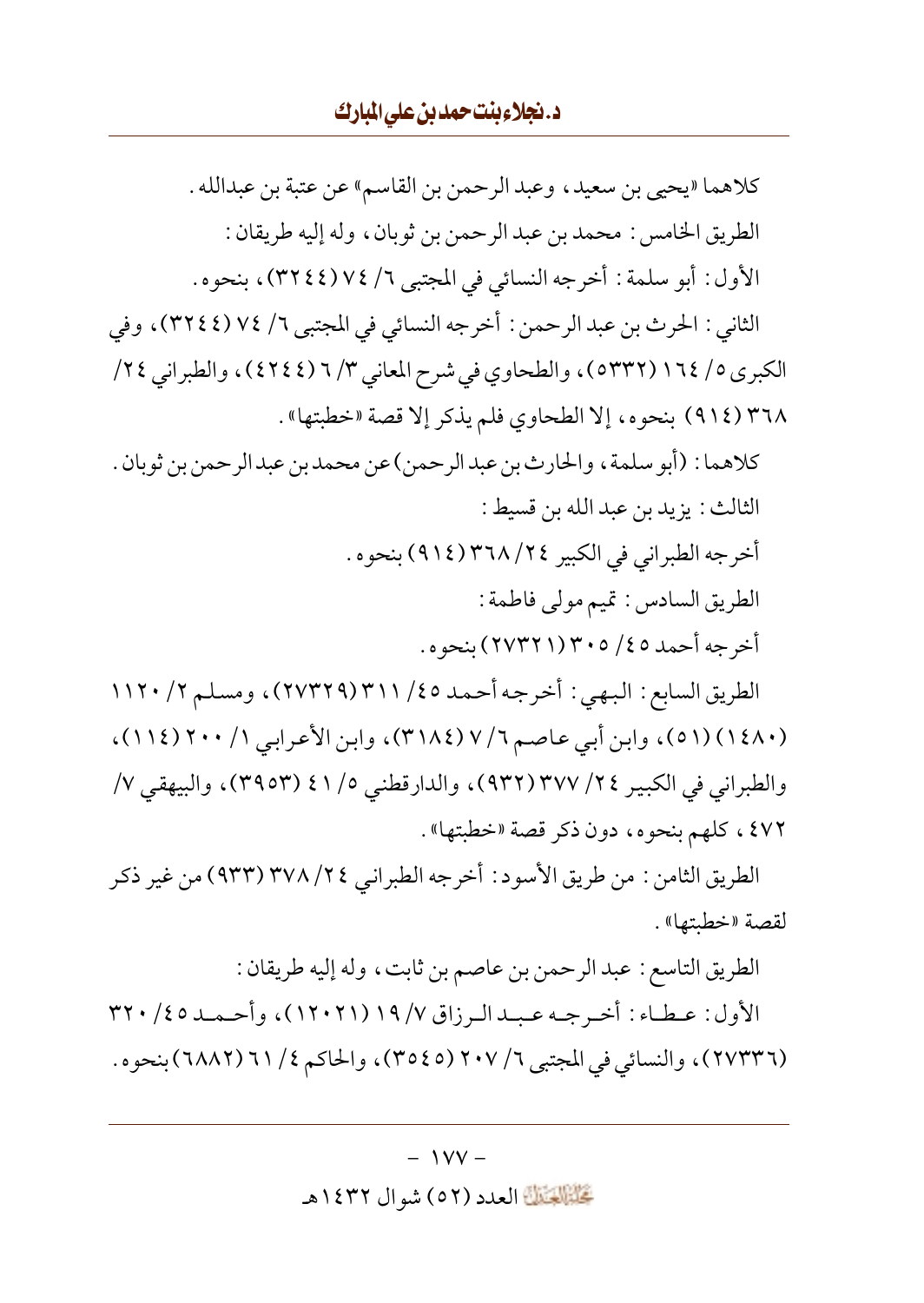د.نجلاءبنت حمدبن على المبارك

كلاهما «يحيى بن سعيد، وعبد الرحمن بن القاسم» عن عتبة بن عبدالله . الطريق الخامس : محمد بن عبد الرحمن بن ثوبان، وله إليه طريقان : الأول: أبو سلمة: أخرجه النسائي في المجتبي ٦/ ٧٤(٣٢٤٤)، بنحوه. الثاني : الحرث بن عبد الرحمن : أخرجه النسائي في المجتبي ٦/ ٧٤ (٣٢٤٤)، وفي الكبرى ٥/ ١٦٤ (٥٣٣٢)، والطحاوي في شرح المعاني ٣/ ٦ (٤٢٤٤)، والطبراني ٢٤/ ٣٦٨ (٩١٤) بنحوه، إلا الطحاوي فلم يذكر إلا قصة «خطبتها». كلاهما : (أبو سلمة ، والحارث بن عبدالرحمن) عن محمد بن عبد الرحمن بن ثوبان . الثالث : يزيد بن عبد الله بن قسيط : أخرجه الطبراني في الكبير ٢٤/ ٣٦٨ (٩١٤) بنحوه . الطريق السادس: تميم مولى فاطمة: أخرجه أحمد ٤٥/ ٣٠٥/ ٢٧٣٢١) بنحوه . الطريق السابع : البهي : أخرجه أحمد ٤٥/ ٣١١ (٢٧٣٢٩)، ومسلم ٢/ ١١٢٠ (١٤٨٠) (٥١)، وابن أبي عاصم ٧/ ٧ (٣١٨٤)، وابن الأعرابي ١/ ٢٠٠ (١١١٤)، والطبراني في الكبير ٢٤/ ٣٧٧ (٩٣٢)، والدارقطني ٥/ ٤١ (٣٩٥٣)، والبيهقي ٧/ ٤٧٢، كلهم بنحوه، دون ذكر قصة «خطبتها». الطريق الثامن : من طريق الأسود : أخرجه الطبر انبي ٢٤/ ٣٧٨ (٩٣٣) من غير ذكر لقصة «خطبتها». الطريق التاسع : عبد الرحمن بن عاصم بن ثابت، وله إليه طريقان : الأول: عـطـاء: أخـرجـه عـبـدالـرزاق ٧/ ١٩ (١٢٠٢١)، وأحـمـد ٢٢٠ / ٣٢٠

(٢٧٣٣٦)، والنسائي في المجتبي ٢ / ٢٠٧ (٣٥٤٥)، والحاكم ٤ / ٦١ (٦٨٨٢) بنحوه .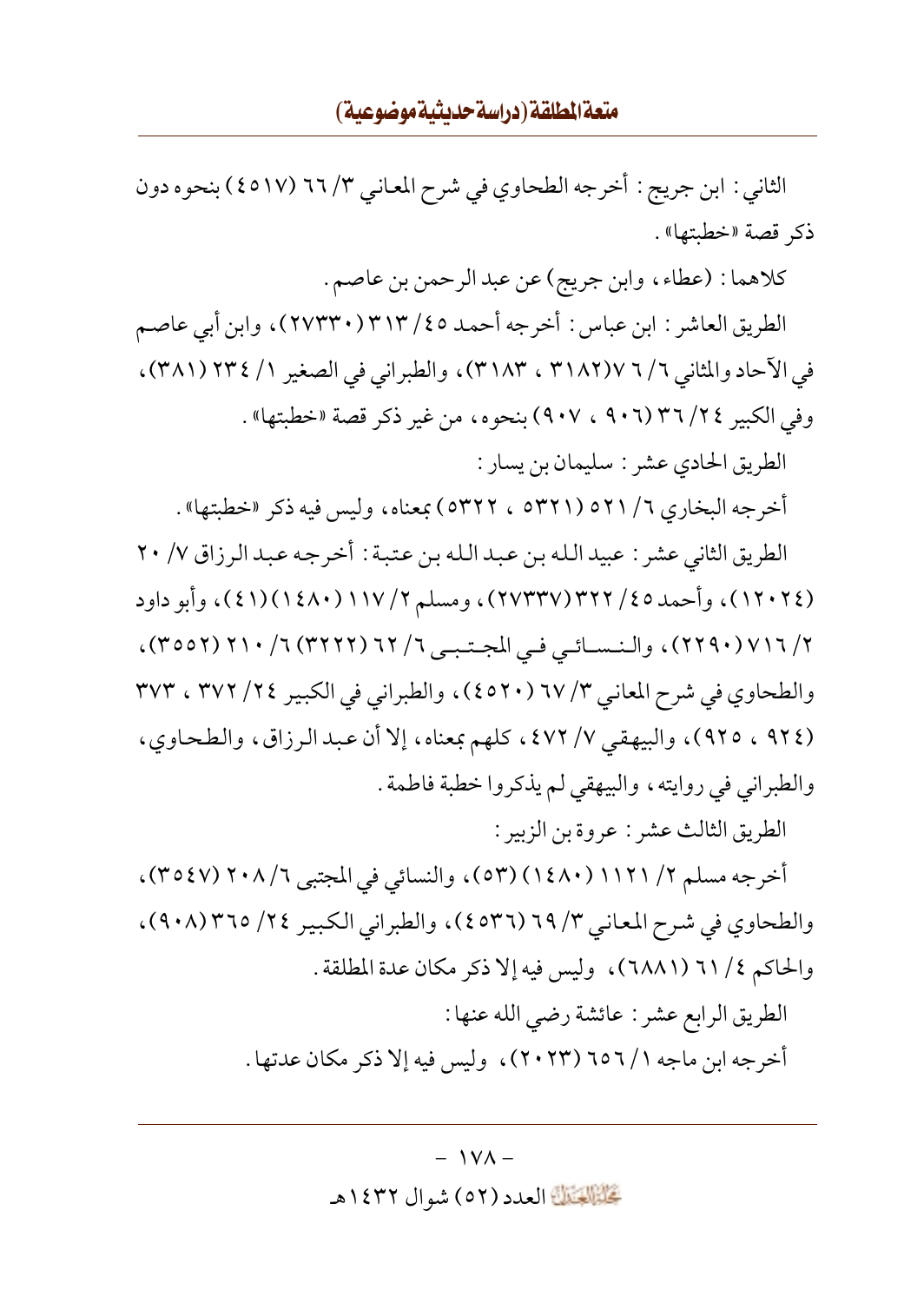الثاني : ابن جريج : أخرجه الطحاوي في شرح المعاني ٣/ ٦٦ (٤٥١٧) بنحوه دون ذكر قصة «خطئتها».

كلاهما : (عطاء، وابن جريج) عن عبد الرحمن بن عاصم .

الطريق العاشر : ابن عباس : أخرجه أحمد ٤٥/ ٣١٣ (٢٧٣٣٠)، وابن أبي عاصم في الآحاد والمثاني ٦ / ٦ ٣١٨٢)، ٣١٨٣)، والطبراني في الصغير ١ / ٣٢٤ (٣٨١)، وفي الكبير ٣٤/ ٣٦/٢٦ (٩٠٦ ، ٩٠٧) بنحوه، من غير ذكر قصة «خطبتها».

الطريق الحادي عشر : سليمان بن يسار :

أخرجه البخاري ٦/ ٥٢١ (٥٣٢١ ، ٥٣٢٢) بمعناه، وليس فيه ذكر «خطبتها» .

الطريق الثاني عشر : عبيد الله بن عبد الله بن عتبة : أخرجه عبد الرزاق ٧/ ٢٠ (١٢٠٢٤)، وأحمد ٢٥/ ٣٢٢/١٣٣٧)، ومسلم ٢/ ١١٧(١٤٨٠)(٤١)، وأبو داود ٢/ ٢١٦ (٢٢٩٠) ، والنـسـائـي فـي المجـتـبـي ٦/ ٦٢ (٣٢٢٢) ٦/ ٢١٠ (٣٥٥٢) ، والطحاوي في شرح المعاني ٣/ ٦٧ (٤٥٢٠)، والطبراني في الكبير ٢٤/ ٣٧٢ ، ٣٧٣ (٩٢٤ ، ٩٢٥)، والبيهقي ٧/ ٤٧٢، كلهم بمعناه، إلا أن عبد الرزاق، والطحاوي، والطبراني في روايته، والبيهقي لم يذكروا خطبة فاطمة .

الطريق الثالث عشر : عروة بن الزبير :

أخرجه مسلم ٢/ ١١٢١ (١٤٨٠) (٥٣)، والنسائي في المجتبي ٦/ ٢٠٨ (٣٥٤٧)، والطحاوي في شرح المعاني ٣/ ٦٩ (٤٥٣٦)، والطبراني الكبير ٢٤/ ٣٦٥ (٩٠٨)، والحاكم ٢١ / ٦٦ (٦٨٨١)، وليس فيه إلا ذكر مكان عدة المطلقة . الطريق الرابع عشر : عائشة رضي الله عنها : أخرجه ابن ماجه ١ / ٦٥٦ (٢٠٢٣)، وليس فيه إلا ذكر مكان عدتها .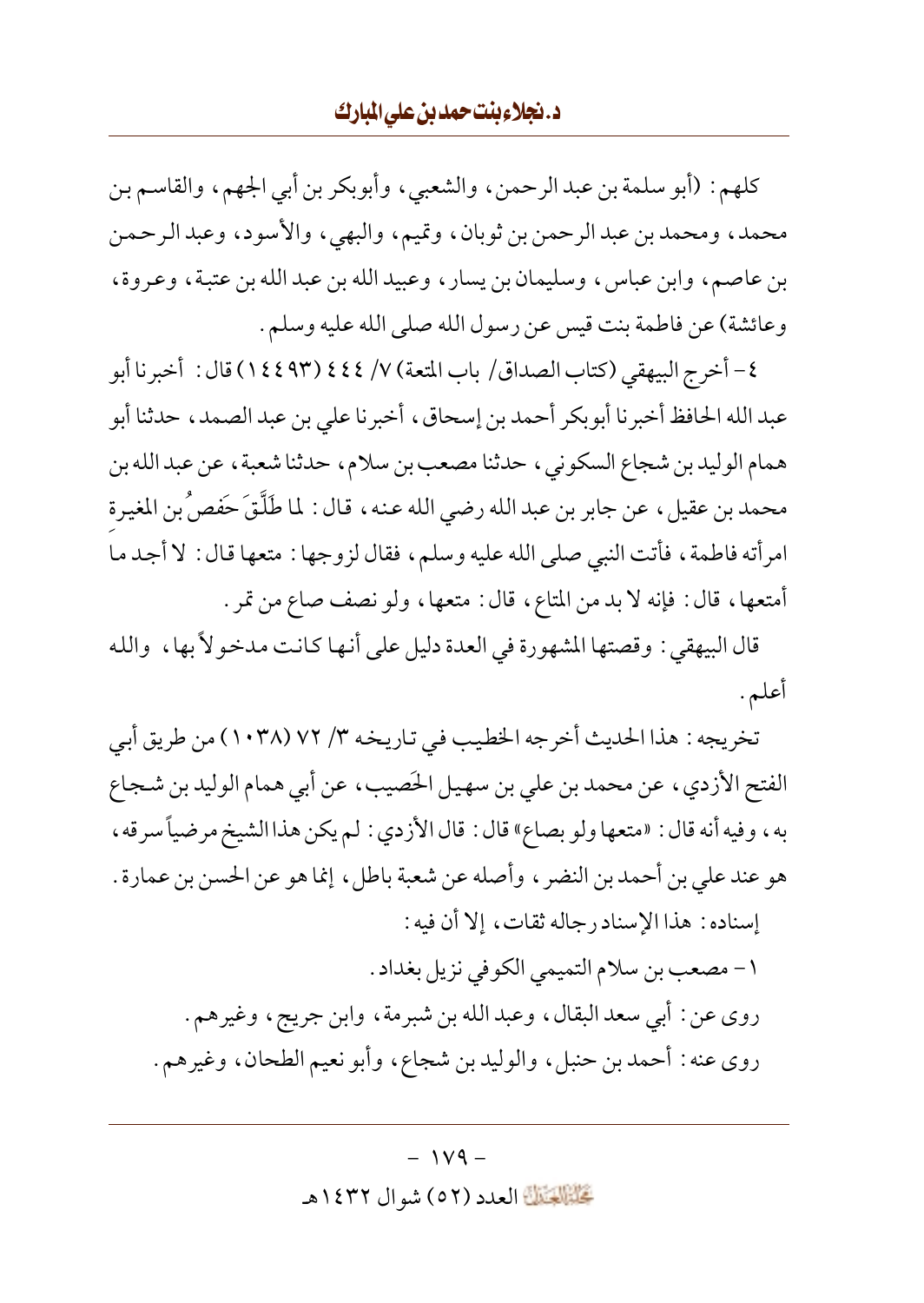### د.نجلاءبنت حمدبن على المبارك

كلهم: (أبو سلمة بن عبد الرحمن، والشعبي، وأبوبكر بن أبي الجهم، والقاسم بن محمد، ومحمد بن عبد الرحمن بن ثوبان، وتميم، والبهي، والأسود، وعبد الرحمن بن عاصم، وابن عباس، وسليمان بن يسار، وعبيد الله بن عبد الله بن عتبة، وعروة، وعائشة) عن فاطمة بنت قيس عن رسول الله صلى الله عليه وسلم .

٤- أخرج البيهقي (كتاب الصداق/ باب المتعة) ٧/ ٤٤٤ (١٤٤٩٣) قال : أخبرنا أبو عبد الله الحافظ أخبرنا أبوبكر أحمد بن إسحاق، أخبرنا على بن عبد الصمد، حدثنا أبو همام الوليد بن شجاع السكوني، حدثنا مصعب بن سلام، حدثنا شعبة، عن عبد الله بن محمد بن عقيل ، عن جابر بن عبد الله رضي الله عنه ، قال : لما طَلَّقَ حَفصٌ بن المغيرة امرأته فاطمة، فأتت النبي صلى الله عليه وسلم، فقال لزوجها : متعها قال : لا أجد ما أمتعها، قال: فإنه لا بد من المتاع، قال: متعها، ولو نصف صاع من تمر .

قال البيهقي : وقصتها المشهورة في العدة دليل على أنها كانت مدخولاً بها، والله أعلم .

تخريجه : هذا الحديث أخرجه الخطيب في تاريخه ٣/ ٧٢ (١٠٣٨) من طريق أبي الفتح الأزدي، عن محمد بن علي بن سهيل الحَصيب، عن أبي همام الوليد بن شـجـاع به ، وفيه أنه قال : «متعها ولو بصاع» قال : قال الأزدي : لم يكن هذا الشيخ مرضياً سرقه ، هو عند على بن أحمد بن النضر ، وأصله عن شعبة باطل، إنما هو عن الحسن بن عمارة . إسناده : هذا الإسناد رجاله ثقات، إلا أن فيه : ١- مصعب بن سلام التميمي الكوفي نزيل بغداد . روي عن : أبي سعد البقال، وعبد الله بن شبرمة، وابن جريج، وغيرهم. روي عنه : أحمد بن حنبل، والوليد بن شجاع، وأبو نعيم الطحان، وغيرهم.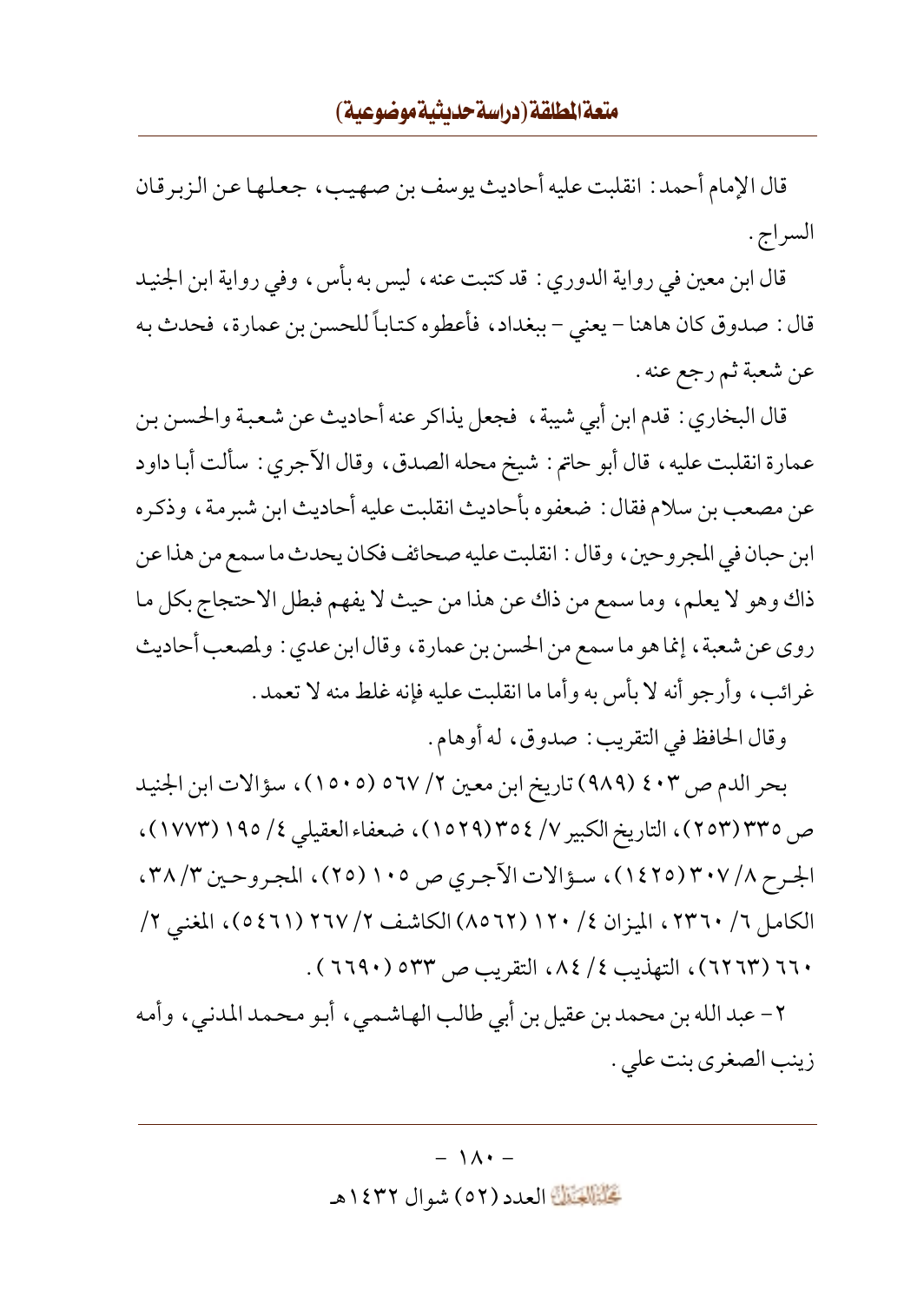قال الإمام أحمد : انقلبت عليه أحاديث يوسف بن صـهـيب ، جـعـلـهـا عـن الـزبر قـان السراج .

قال ابن معين في رواية الدوري : قد كتبت عنه ، ليس به بأس ، وفي رواية ابن الجنيد قال : صدوق كان هاهنا – يعني – ببغداد، فأعطوه كتاباً للحسن بن عمارة، فحدث به عن شعبة ثم رجع عنه .

قال البخاري : قدم ابن أبي شيبة ، فجعل يذاكر عنه أحاديث عن شعبة والحسن بن عمارة انقلبت عليه، قال أبو حاتم: شيخ محله الصدق، وقال الأجري: سألت أبا داود عن مصعب بن سلام فقال : ضعفوه بأحاديث انقلبت عليه أحاديث ابن شبرمة، وذكره ابن حبان في المجروحين، وقال : انقلبت عليه صحائف فكان يحدث ما سمع من هذا عن ذاك وهو لا يعلم، وما سمع من ذاك عن هذا من حيث لا يفهم فبطل الاحتجاج بكل ما روي عن شعبة، إنما هو ما سمع من الحسن بن عمارة، وقال ابن عدي : ولمصعب أحاديث غرائب، وأرجو أنه لا بأس به وأما ما انقلبت عليه فإنه غلط منه لا تعمد .

وقال الحافظ في التقريب: صدوق، له أوهام.

بحر الدم ص ٤٠٣ (٩٨٩) تاريخ ابن معين ٢/ ٥٦٧ (١٥٠٥)، سؤالات ابن الجنيد ص ٣٣٥(٢٥٣)، التاريخ الكبير ٧/ ٣٥٤(١٥٢٩)، ضعفاء العقيلي ٤/ ١٩٥(١٧٧٣)، الجرح ٢٠٧/٨ (١٤٢٥)، سؤالات الآجري ص ١٠٥ (٢٥)، المجروحين ٣٨/٣، الكامل ٦/ ٢٣٦٠، الميزان ٤/ ١٢٠ (٢٦٥٨) الكاشف ٢/ ٢٦٧ (٤٦١)، المغنى ٢/ ٦٦٠ (٦٢٦٣)، التهذيب ٤/ ٨٤، التقريب ص ٥٣٣ (٦٦٩٠).

٢- عبد الله بن محمد بن عقيل بن أبي طالب الهاشمي، أبو محمد المدني، وأمه زينب الصغرى بنت على .

## $-1\Lambda$ . تَحَلَّمُ الْقَالَةَ العدد (٥٢) شو ال ١٤٣٢هـ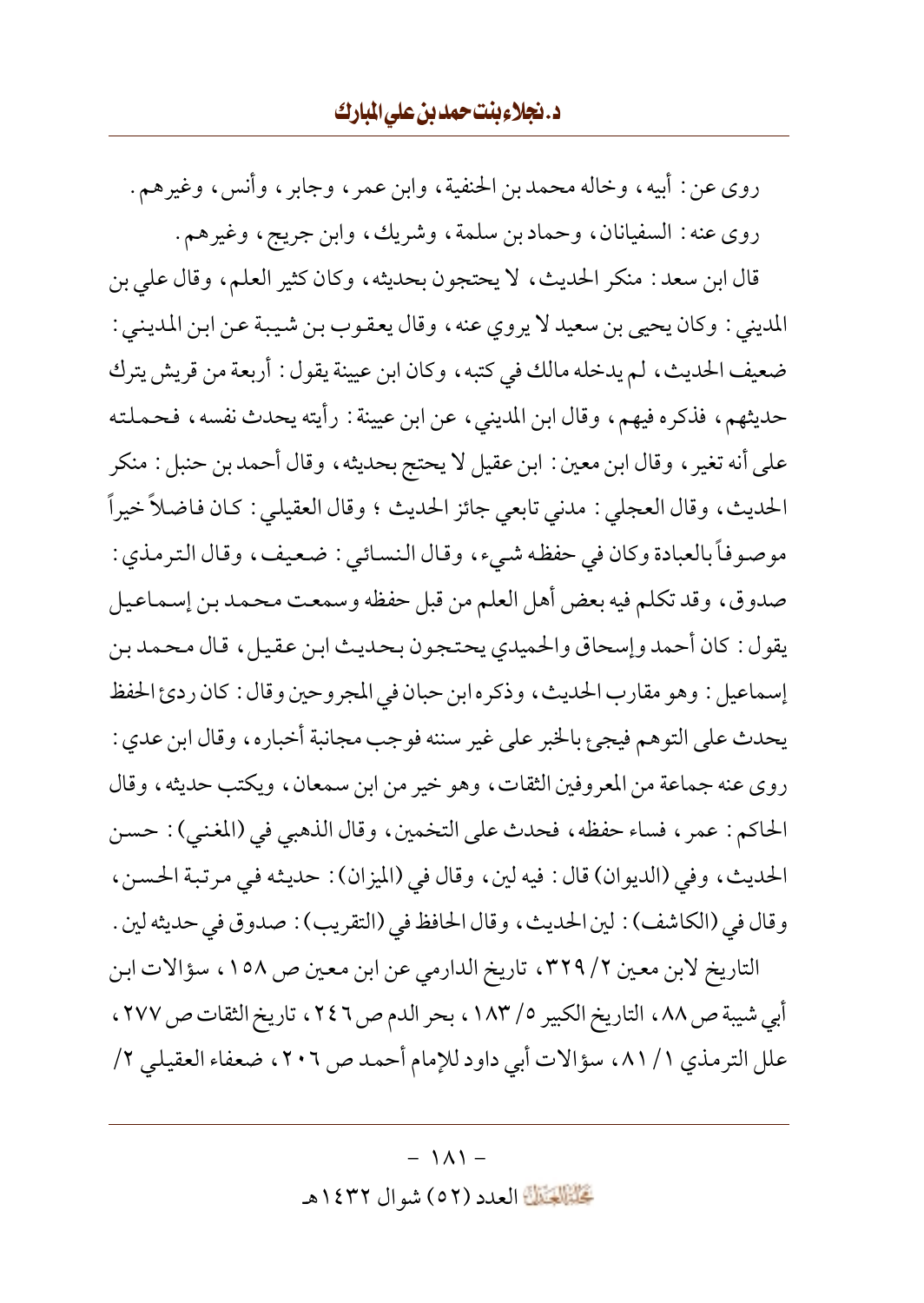روى عن : أبيه، وخاله محمد بن الحنفية، وابن عمر ، وجابر ، وأنس، وغيرهم. روى عنه : السفيانان، وحماد بن سلمة، وشريك، وابن جريج، وغيرهم. قال ابن سعد : منكر الحديث، لا يحتجون بحديثه، وكان كثير العلم، وقال على بن المديني : وكان يحيى بن سعيد لا يروي عنه ، وقال يعقوب بن شيبة عن ابن المديني : ضعيف الحديث، لم يدخله مالك في كتبه، وكان ابن عيينة يقول : أربعة من قريش يترك حديثهم، فذكره فيهم، وقال ابن المديني، عن ابن عيينة : رأيته يحدث نفسه، فحملته على أنه تغير ، وقال ابن معين : ابن عقيل لا يحتج بحديثه ، وقال أحمد بن حنبل : منكر الحديث، وقال العجلي : مدنى تابعي جائز الحديث ؛ وقال العقيلي : كان فاضلاً خيراً موصوفاً بالعبادة وكان في حفظه شيء، وقال النسائي : ضعيف، وقال الترمذي : صدوق، وقد تكلم فيه بعض أهل العلم من قبل حفظه وسمعت محمد بن إسماعيل يقول: كان أحمد وإسحاق والحميدي يحتجون بحديث ابن عقيل، قال محمد بن إسماعيل : وهو مقارب الحديث، وذكره ابن حبان في المجر وحين وقال : كان ردئ الحفظ يحدث على التوهم فيجئ بالخبر على غير سننه فوجب مجانبة أخباره، وقال ابن عدي : روي عنه جماعة من المعروفين الثقات، وهو خير من ابن سمعان، ويكتب حديثه، وقال الحاكم: عمر ، فساء حفظه ، فحدث على التخمين ، وقال الذهبي في (المغنى) : حسن الحديث، وفي (الديوان) قال: فيه لين، وقال في (الميزان): حديثه في مرتبة الحسن، وقال في (الكاشف) : لين الحديث، وقال الحافظ في (التقريب) : صدوق في حديثه لين . التاريخ لابن معين ٢/ ٣٢٩، تاريخ الدارمي عن ابن معين ص ١٥٨، سؤالات ابن

أبي شيبة ص ٨٨ ، التاريخ الكبير ٥/ ١٨٣ ، بحر الدم ص ٢٤٦ ، تاريخ الثقات ص ٢٧٧ ، علل الترمذي ١/ ٨١، سؤالات أبي داود للإمام أحمد ص ٢٠٢، ضعفاء العقيلي ٢/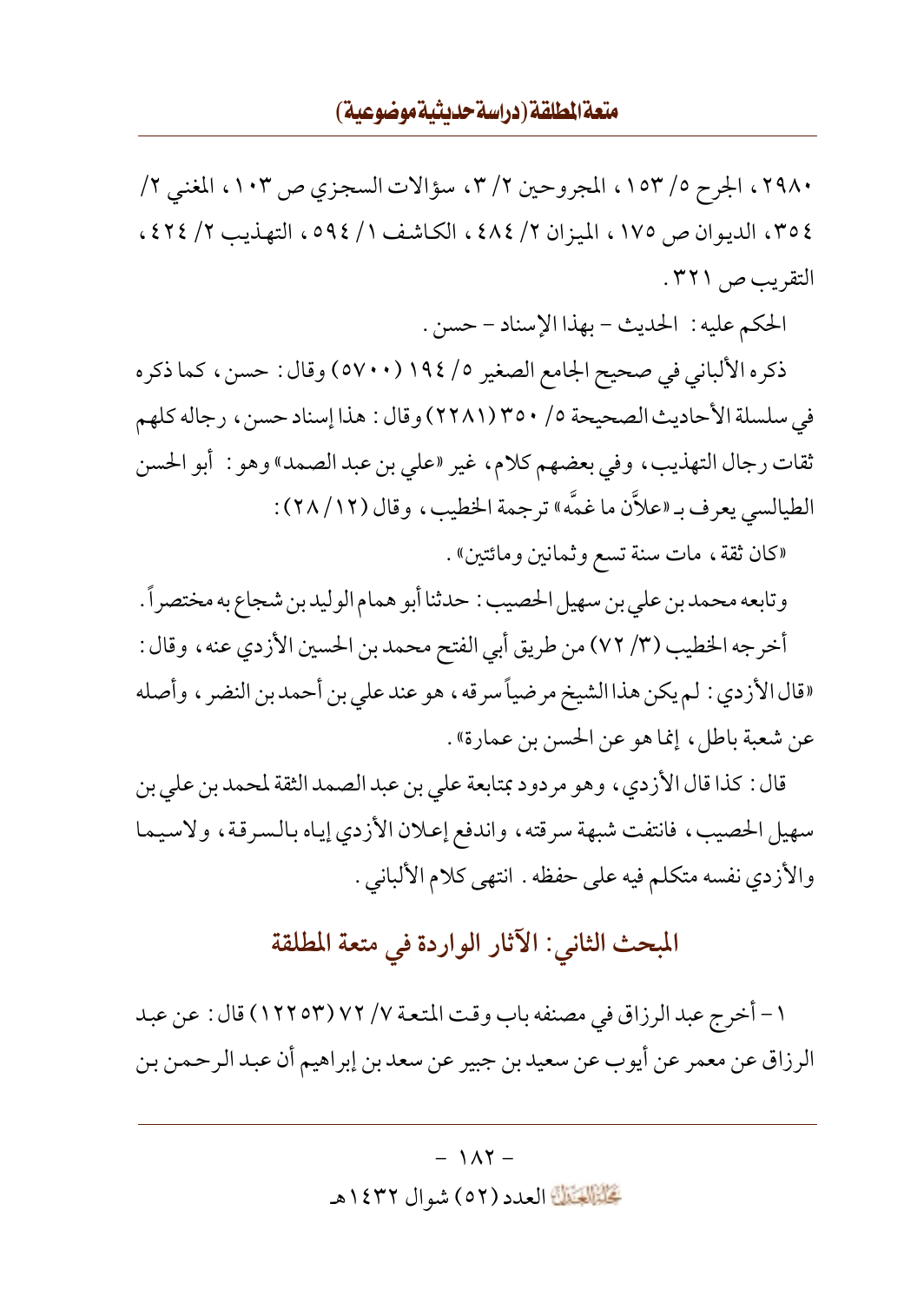## متعة المطلقة (دراسة حديثية موضوعية)

٢٩٨٠، الجرح ١٥٣/٥٣، المجروحين ٢/٢، سؤالات السجزي ص ١٠٣، المغنى ٢/ ٢٥٤، الديوان ص ١٧٥، الميزان ٢/ ٤٨٤، الكاشف ١/ ٥٩٤، التهذيب ٢/ ٤٢٤، التقريب ص ٣٢١.

الحكم عليه: الحديث - بهذا الإسناد - حسن.

ذكره الألباني في صحيح الجامع الصغير ١٩٤/ (٥٧٠٠) وقال : حسن، كما ذكره في سلسلة الأحاديث الصحيحة ٥/ ٣٥٠(٢٢٨١) وقال : هذا إسناد حسن، رجاله كلهم ثقات رجال التهذيب، وفي بعضهم كلام، غير «علي بن عبد الصمد» وهو : أبو الحسن الطيالسي يعرف بـ «علاَّن ما غمَّه» ترجمة الخطيب، وقال (١٢/ ٢٨) :

«كان ثقة ، مات سنة تسع وثمانين ومائتين» .

وتابعه محمد بن علي بن سهيل الحصيب : حدثنا أبو همام الوليدبن شجاع به مختصراً . أخرجه الخطيب (٣/ ٧٢) من طريق أبي الفتح محمد بن الحسين الأزدي عنه ، وقال : «قال الأزدي : لم يكن هذا الشيخ مرضياً سرقه ، هو عند على بن أحمد بن النضر ، وأصله عن شعبة باطل، إنما هو عن الحسن بن عمارة» .

قال : كذا قال الأزدي ، وهو مردود بمتابعة على بن عبد الصمد الثقة لمحمد بن علي بن سهيل الحصيب، فانتفت شبهة سرقته، واندفع إعلان الأزدي إياه بالسرقة، ولاسيما والأزدي نفسه متكلم فيه على حفظه . انتهى كلام الألباني .

# المبحث الثاني: الآثار الواردة في متعة المطلقة

١ – أخرج عبد الرزاق في مصنفه باب وقت المتعة ٧/ ٧٢ (١٢٢٥٣) قال : عن عبد الرزاق عن معمر عن أيوب عن سعيد بن جبير عن سعد بن إبراهيم أن عبد الرحمن بن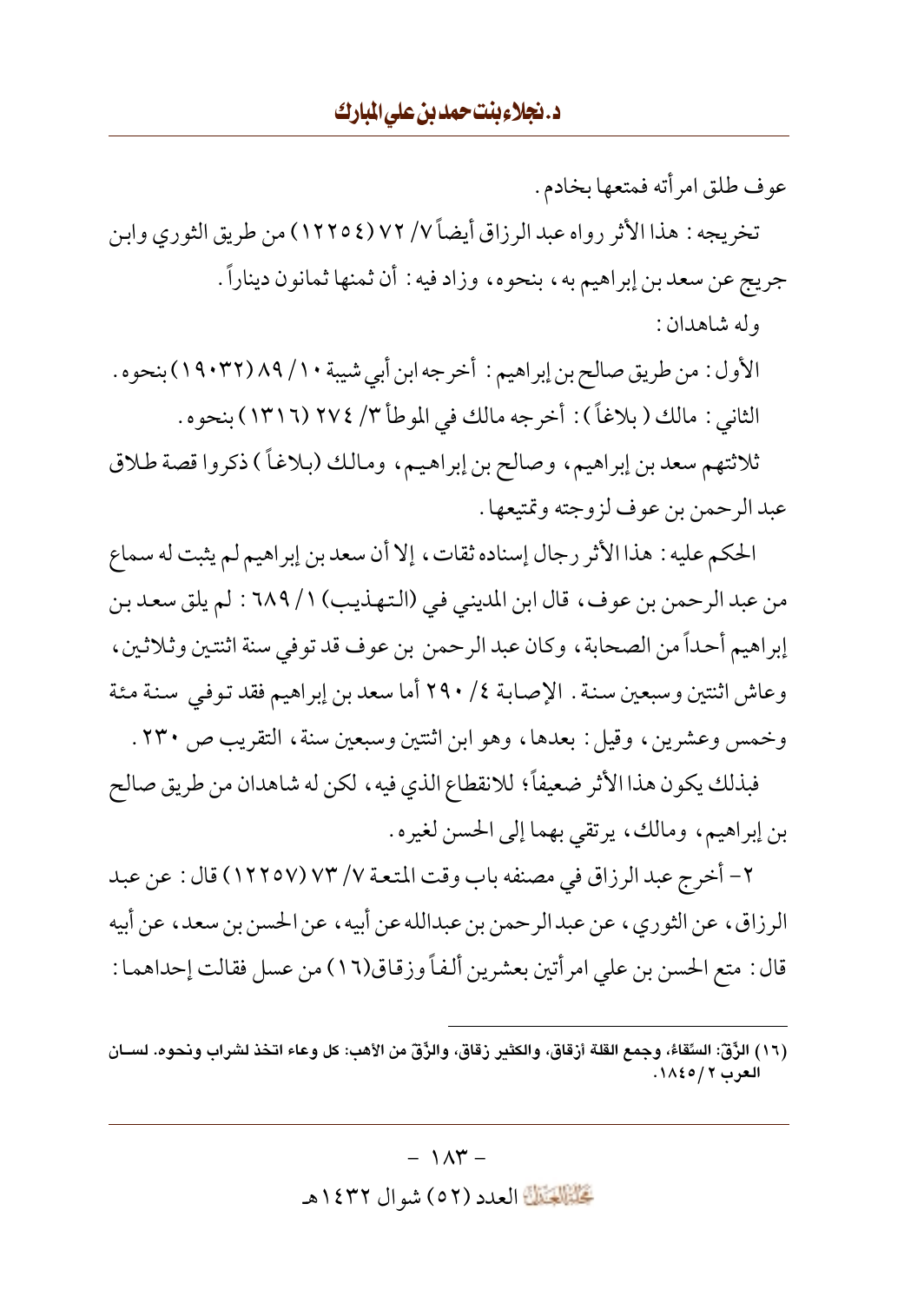عوف طلق امر أته فمتعها بخادم . تخريجه : هذا الأثر رواه عبد الرزاق أيضاً ٧/ ٧٢ (١٢٢٥٤) من طريق الثوري وابن جريج عن سعد بن إبراهيم به، بنحوه، وزاد فيه : أن ثمنها ثمانون ديناراً. وله شاهدان :

الأول : من طريق صالح بن إبراهيم : أخرجه ابن أبي شيبة ١٠/ ٨٩ (٢٢:١٩٠) بنحوه . الثاني : مالك ( بلاغاً ) : أخرجه مالك في الموطأ ٣/ ٢٧٤ (١٣١٦) بنحوه .

ثلاثتهم سعد بن إبراهيم، وصالح بن إبراهيم، ومالك (بلاغاً ) ذكروا قصة طلاق عبد الرحمن بن عوف لزوجته وتمتيعها .

الحكم عليه : هذا الأثر رجال إسناده ثقات، إلا أن سعد بن إبراهيم لم يثبت له سماع من عبد الرحمن بن عوف، قال ابن المديني في (التهذيب) ١/ ٦٨٩ : لم يلق سعد بن إبراهيم أحداً من الصحابة ، وكان عبد الرحمن بن عوف قد توفي سنة اثنتين وثلاثين ، وعاش اثنتين وسبعين سنة . الإصابة ٤/ ٢٩٠ أما سعد بن إبراهيم فقد توفي سنة مئة وخمس وعشرين، وقيل: بعدها، وهو ابن اثنتين وسبعين سنة، التقريب ص ٢٣٠ .

فبذلك يكون هذا الأثر ضعيفاً؛ للانقطاع الذي فيه ، لكن له شاهدان من طريق صالح بن إبراهيم، ومالك، يرتقي بهما إلى الحسن لغيره.

٢- أخرج عبد الرزاق في مصنفه باب وقت المتعة ٧/ ٧٣ (١٢٢٥٧) قال : عن عبد الرزاق، عن الثوري، عن عبد الرحمن بن عبدالله عن أبيه، عن الحسن بن سعد، عن أبيه قال : متع الحسن بن علي امرأتين بعشرين ألفاً وزقاق(١٦) من عسل فقالت إحداهما :

 $-1\Lambda \Upsilon -$ 

تَحَلَّمُ الْعَدَدِ (٥٢) شوال ١٤٣٢هـ

<sup>(</sup>١٦) الزَّقِّ: السِّقاءُ، وجمع القلة أزقاق، والكثـر زقاق، والزَّقِّ من الأهب: كل وعاء اتـذذ لشراب ونحوه. لســان العرب ٢ / ١٨٤٥.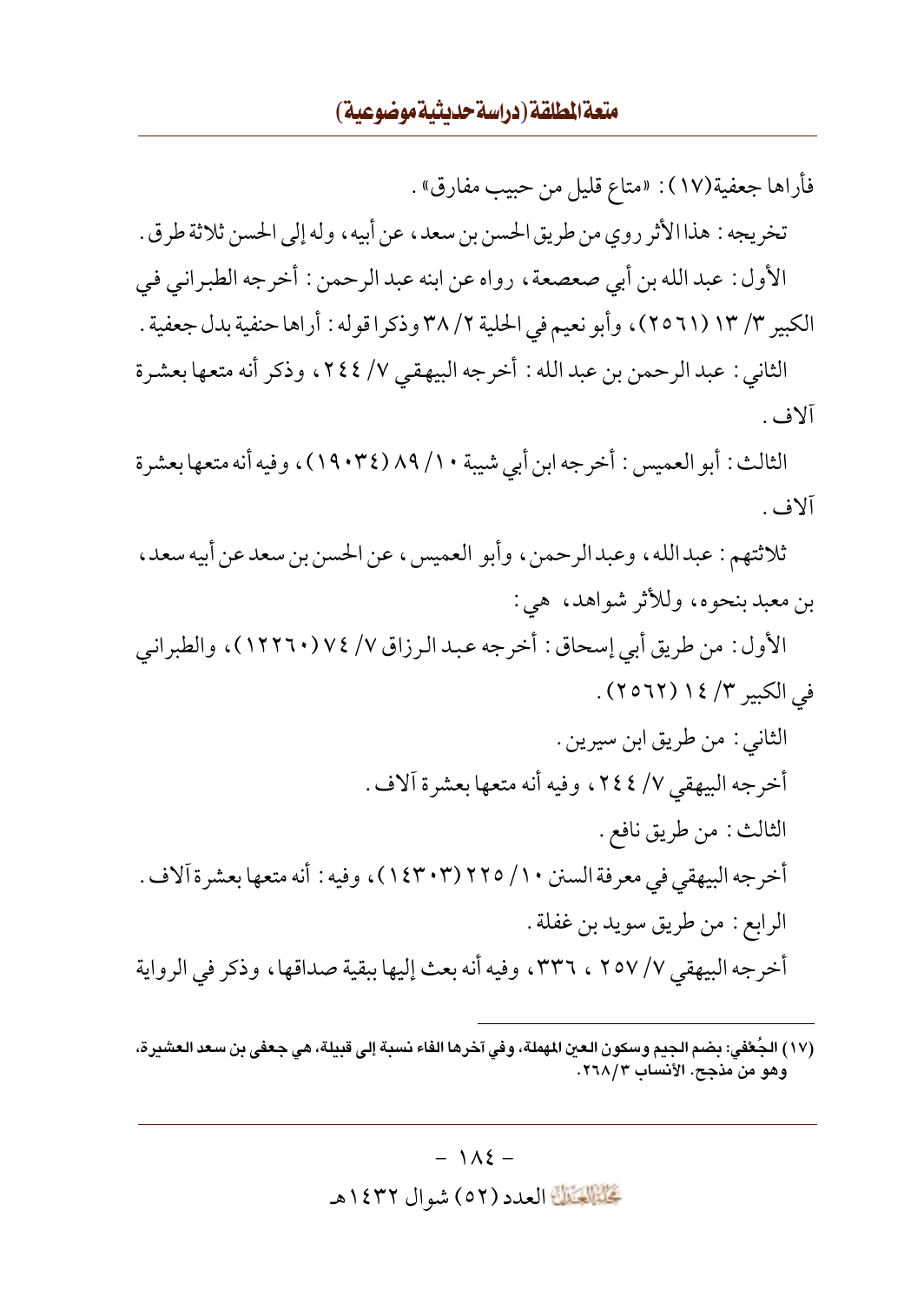فأراها جعفية(١٧): «متاع قليل من حبيب مفارق» .

تخريجه : هذاالأثر روى من طريق الحسن بن سعد، عن أبيه، وله إلى الحسن ثلاثة طرق . الأول : عبد الله بن أبي صعصعة ، رواه عن ابنه عبد الرحمن : أخرجه الطبر انبي في

الكبير ٣/ ١٣ (٢٥٦١)، وأبو نعيم في الحلية ٢٨/٢ وذكر اقوله : أراها حنفية بدل جعفية .

الثاني : عبد الرحمن بن عبد الله : أخرجه البيهقي ٧/ ٢٤٤، وذكر أنه متعها بعشرة آلاف .

الثالث : أبو العميس : أخرجه ابن أبي شيبة ٨٩ / ٨٩ (١٩٠٣٤)، وفيه أنه متعها بعشرة آلاف .

ثلاثتهم : عبدالله، وعبدالرحمن، وأبو العميس، عن الحسن بن سعد عن أبيه سعد، بن معبد بنحوه، وللأثر شواهد، هي:

الأول : من طريق أبي إسحاق : أخرجه عبد الرزاق ٧/ ٧٤ (١٢٢٦٠) ، والطبراني في الكبير ٣/ ١٤ (٢٥٦٢).

- الثاني : من طريق ابن سيرين . أخرجه البيهقي ٧/ ٢٤٤، وفيه أنه متعها بعشرة آلاف . الثالث : من طريق نافع . أخرجه البيهقي في معرفة السنن ٢١٠ (١٤٣٠٣) )، وفيه : أنه متعها بعشرة آلاف . الرابع : من طريق سويد بن غفلة . أخرجه البيهقي ٧/ ٢٥٧ ، ٣٣٦، وفيه أنه بعث إليها ببقية صداقها، وذكر في الرواية
- (١٧) الجُعْفي: بضم الجيم وسكون العين المهملة، وفي آخرها الفاء نسبة إلى قبيلة، هي جعفي بن سعد العشيرة، وهو من مذجح. الأنساب ٢٦٨/٣.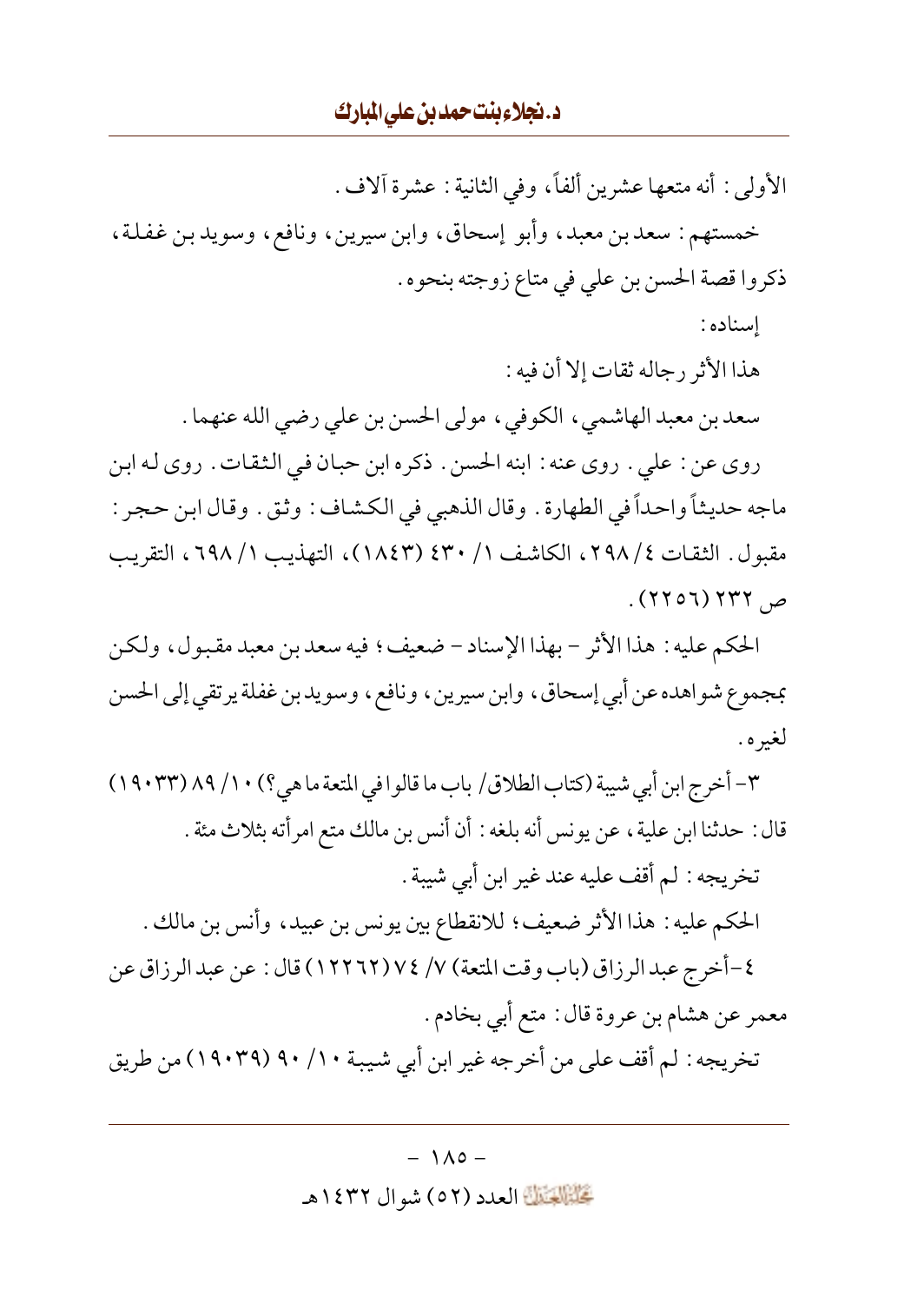الأولى : أنه متعها عشرين ألفاً، وفي الثانية : عشرة آلاف . خمستهم: سعد بن معبد، وأبو إسحاق، وابن سيرين، ونافع، وسويد بن غفلة، ذكروا قصة الحسن بن على في متاع زوجته بنحوه . اسناده : هذا الأثر رجاله ثقات إلا أن فيه : سعد بن معبد الهاشمي، الكوفي، مولى الحسن بن علي رضي الله عنهما . روى عن : على . روى عنه : ابنه الحسن . ذكره ابن حبان في الثقات . روى له ابن ماجه حديثاً واحداً في الطهارة . وقال الذهبي في الكشاف : وثق . وقال ابن حجر : مقبول . الثقات ٢٩٨/٤، الكاشف ١ / ٤٣٠ (١٨٤٣)، التهذيب ٦٩٨/١، التقريب

ص ۲۳۲ (۲۵۶۲).

الحكم عليه : هذا الأثر – بهذا الإسناد – ضعيف؛ فيه سعد بن معبد مقبول، ولكن بمجموع شواهده عن أبي إسحاق، وابن سيرين، ونافع، وسويدبن غفلة يرتقي إلى الحسن لغيره .

٣- أخرج ابن أبي شيبة (كتاب الطلاق/ باب ما قالوا في المتعة ما هي؟) ١٠/ ٨٩ (٢٣: ١٩) قال : حدثنا ابن علية ، عن يونس أنه بلغه : أن أنس بن مالك متع امرأته بثلاث مئة .

تخريجه : لم أقف عليه عند غير ابن أبي شيبة . الحكم عليه : هذا الأثر ضعيف؛ للانقطاع بين يونس بن عبيد، وأنس بن مالك .

٤-أخرج عبد الرزاق (باب وقت المتعة) ٧/ ٧٤ (١٢٢٦٢) قال : عن عبد الرزاق عن معمر عن هشام بن عروة قال : متع أبي بخادم .

تخريجه : لم أقف على من أخرجه غير ابن أبي شيبة ٩٠/ ٩٠ (١٩٠٣٩) من طريق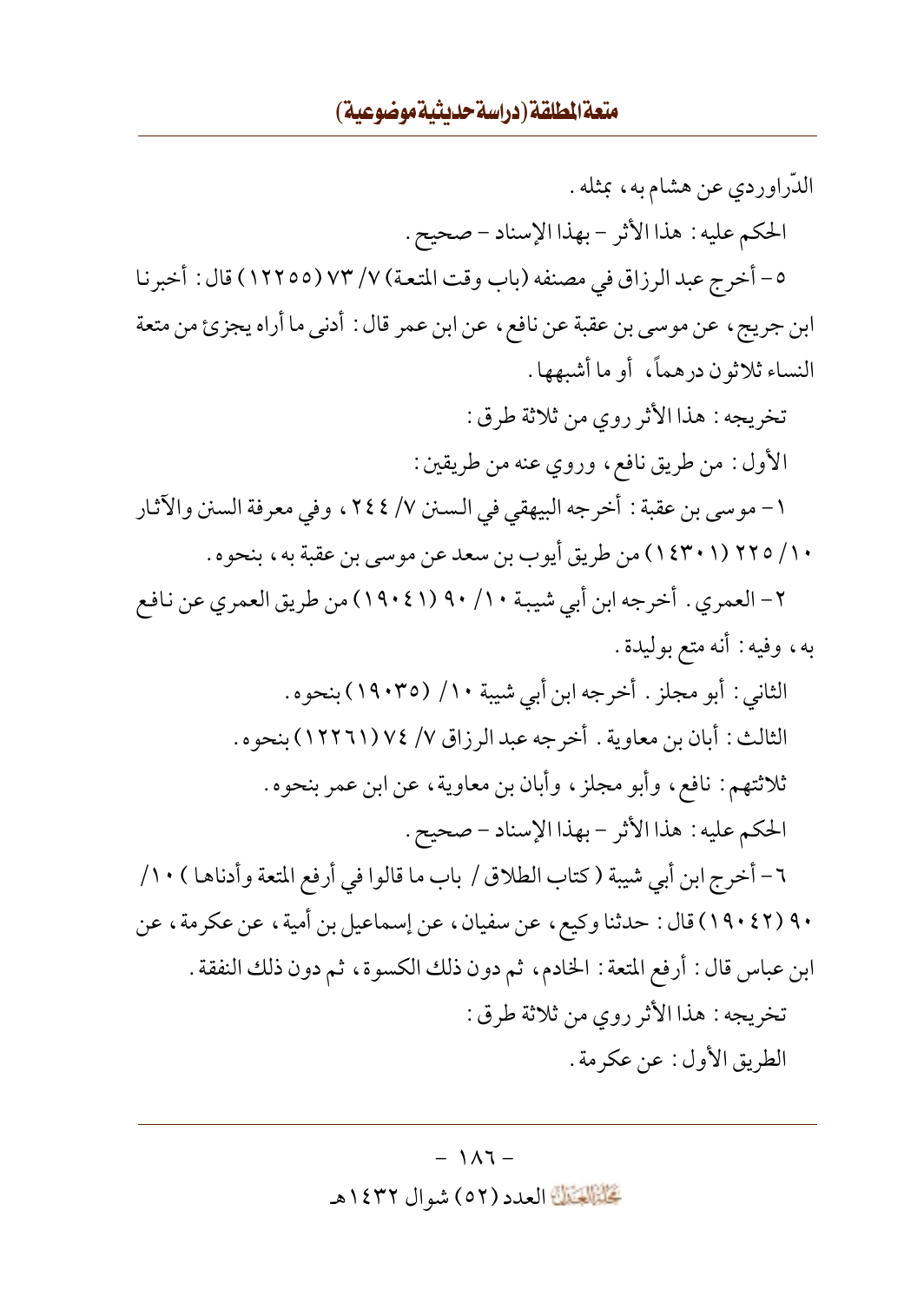الدّراوردي عن هشام به، بمثله. الحكم عليه: هذا الأثر - بهذا الإسناد - صحيح. ٥- أخرج عبد الرزاق في مصنفه (باب وقت المتعة) ٧/ ٧٣ (١٢٢٥٥) قال : أخبرنا ابن جريج، عن موسى بن عقبة عن نافع، عن ابن عمر قال : أدنى ما أراه يجزئ من متعة النساء ثلاثون درهماً، أو ما أشبهها . تخريجه : هذا الأثر روى من ثلاثة طرق : الأول : من طريق نافع، وروى عنه من طريقين : ١ – موسىي بن عقبة : أخرجه البيهقي في السـنن ٧/ ٢٤٤ ، وفي معرفة السنن والآثار ١٠/ ٢٢٥ (١٤٣٠١) من طريق أيوب بن سعد عن موسى بن عقبة به، بنحوه . ٢- العمري . أخرجه ابن أبي شيبة ٩٠ / ٩٠ (١٩٠٤١) من طريق العمري عن نافع به، وفيه : أنه متع بوليدة . الثاني : أبو مجلز . أخرجه ابن أبي شيبة ١٠/ (١٩٠٣٥) بنحوه . الثالث: أبان بن معاوية . أخرجه عبد الرزاق ٧/ ٧٤ (١٢٢٦١) بنحوه . ثلاثتهم: نافع، وأبو مجلزٍ، وأبان بن معاوية، عن ابن عمر بنحوه. الحكم عليه: هذا الأثر - بهذا الإسناد - صحيح. ٦- أخرج ابن أبي شيبة (كتاب الطلاق / باب ما قالوا في أرفع المتعة وأدناهـا ) ١٠/ ٩٠ (٤٢ ١٩٠) قال : حدثنا وكيع ، عن سفيان ، عن إسماعيل بن أمية ، عن عكر مة ، عن ابن عباس قال : أرفع المتعة : الخادم، ثم دون ذلك الكسوة، ثم دون ذلك النفقة . تخريجه : هذا الأثر روى من ثلاثة طرق : الطريق الأول: عن عكرمة .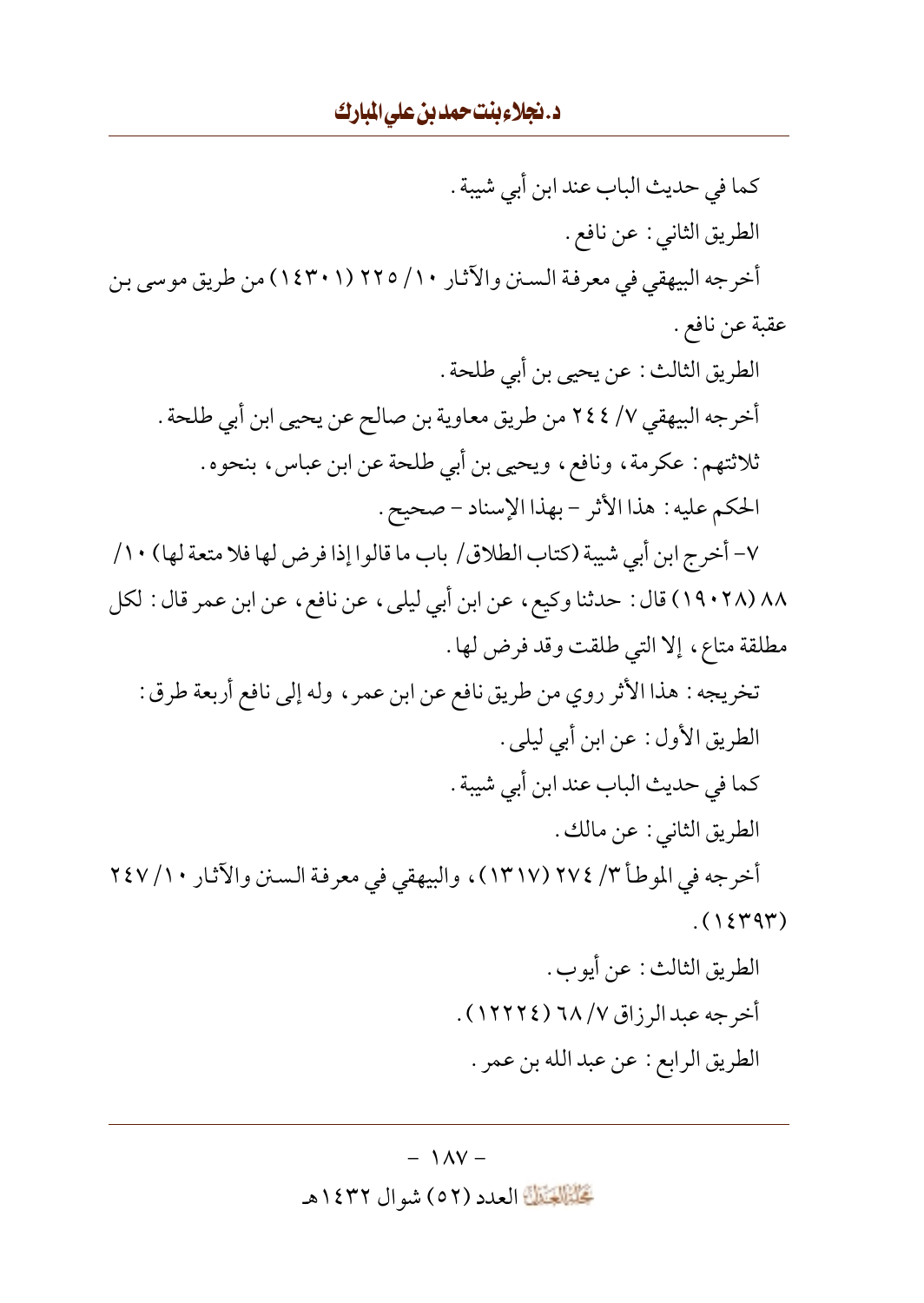كما في حديث الباب عند ابن أبي شيبة . الطريق الثاني : عن نافع . أخرجه البيهقي في معرفة السنن والآثار ١٠/ ٢٢٥ (١٤٣٠١) من طريق موسى بن عقبة عن نافع . الطريق الثالث : عن يحيى بن أبي طلحة . أخرجه البيهقي ٧/ ٢٤٤ من طريق معاوية بن صالح عن يحيى ابن أبي طلحة . ثلاثتهم: عكرمة، ونافع، ويحيى بن أبي طلحة عن ابن عباس، بنحوه. الحكم عليه: هذا الأثر - بهذا الإسناد - صحيح. ٧- أخرج ابن أبي شيبة (كتاب الطلاق/ باب ما قالوا إذا فرض لها فلا متعة لها) ١٠/ ٨٨ (١٩٠٢٨) قال : حدثنا وكيع ، عن ابن أبي ليلي ، عن نافع ، عن ابن عمر قال : لكل مطلقة متاع، إلا التي طلقت وقد فرض لها . تخريجه : هذا الأثر روي من طريق نافع عن ابن عمر ، وله إلى نافع أربعة طرق : الطريق الأول : عن ابن أبي ليلي . كما في حديث الباب عند ابن أبي شيبة . الطريق الثاني : عن مالك . أخرجه في الموطأ ٣/ ٢٧٤ (١٣١٧)، والبيهقي في معرفة السنن والآثار ٢٤٧ /١٠  $(1549)$ الطريق الثالث : عن أيوب . أخرجه عبد الرزاق ٦٨ /٧ (١٢٢٢٤) .

الطريق الرابع : عن عبد الله بن عمر .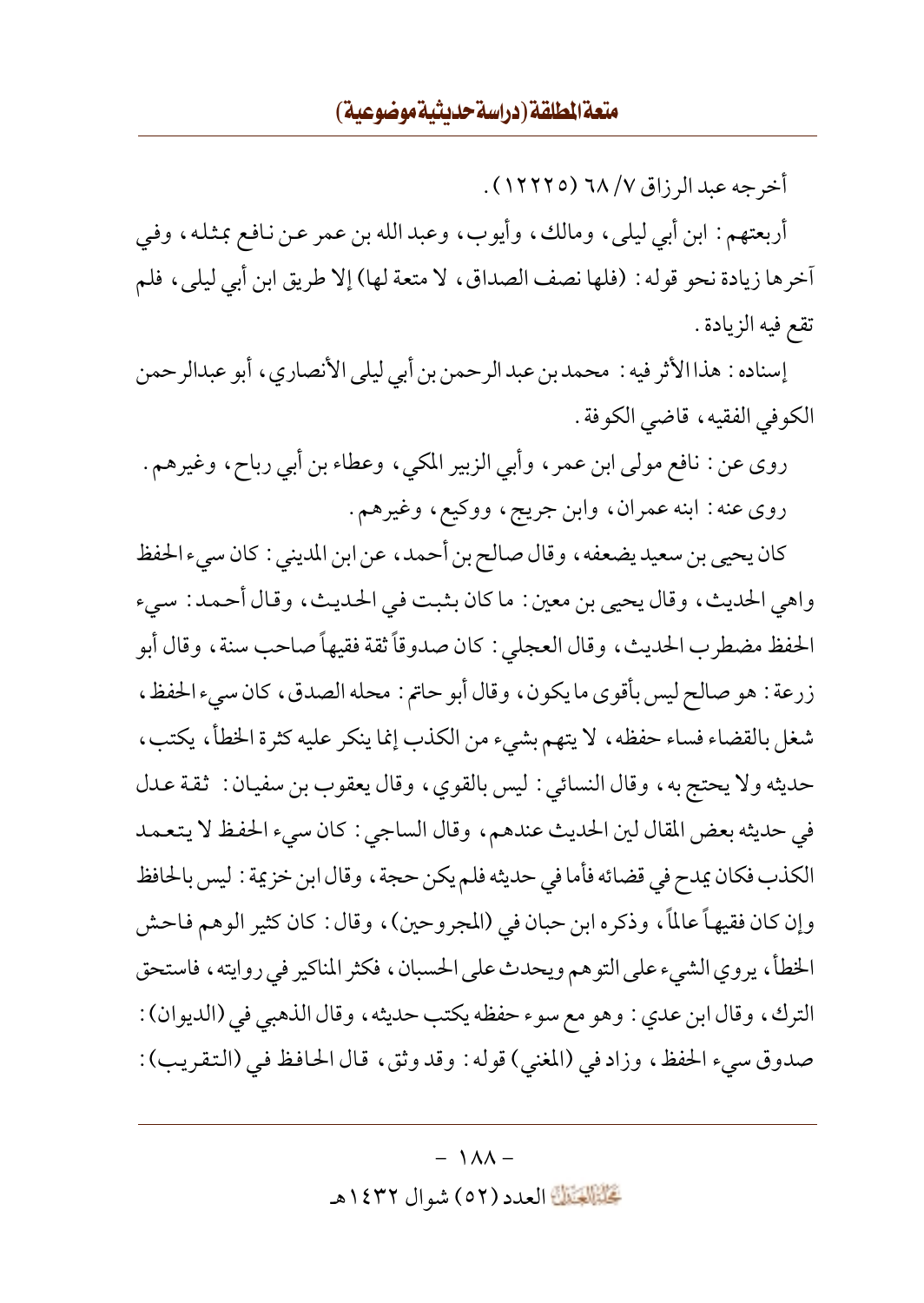أخرجه عبد الرزاق ٦٨ (١٢٢٢٥) .

أربعتهم: ابن أبي ليلي، ومالك، وأيوب، وعبد الله بن عمر عن نافع بمثله، وفي آخرها زيادة نحو قوله : (فلها نصف الصداق، لا متعة لها) إلا طريق ابن أبي ليلي، فلم تقع فيه الزيادة .

إسناده : هذا الأثر فيه : محمد بن عبد الرحمن بن أبي ليلي الأنصاري ، أبو عبدالرحمن الكوفي الفقيه، قاضي الكوفة .

روى عن : نافع مولىي ابن عمر ، وأبي الزبير المكي ، وعطاء بن أبي رباح ، وغيرهم . روي عنه : ابنه عمران، وابن جريج، ووكيع، وغيرهم.

كان يحيى بن سعيد يضعفه ، وقال صالح بن أحمد ، عن ابن المديني : كان سيء الحفظ واهي الحديث، وقال يحيى بن معين : ما كان بثبت في الحديث، وقال أحمد : سيء الحفظ مضطرب الحديث، وقال العجلي : كان صدوقاً ثقة فقيهاً صاحب سنة ، وقال أبو زرعة : هو صالح ليس بأقوى ما يكون، وقال أبو حاتم : محله الصدق، كان سيء الحفظ، شغل بالقضاء فساء حفظه، لا يتهم بشيء من الكذب إنما ينكر عليه كثرة الخطأ، يكتب، حديثه ولا يحتج به، وقال النسائي : ليس بالقوى، وقال يعقوب بن سفيان : ثقة عدل في حديثه بعض المقال لين الحديث عندهم، وقال الساجي : كان سيء الحفظ لا يتعمد الكذب فكان يمدح في قضائه فأما في حديثه فلم يكن حجة ، وقال ابن خزيمة : ليس بالحافظ وإن كان فقيهاً عالماً، وذكره ابن حبان في (المجروحين)، وقال : كان كثير الوهم فاحش الخطأ، يروي الشيء على التوهم ويحدث على الحسبان، فكثر المناكير في روايته، فاستحق الترك، وقال ابن عدي : وهو مع سوء حفظه يكتب حديثه، وقال الذهبي في (الديوان) : صدوق سيء الحفظ، وزاد في (المغني) قوله : وقد وثق، قال الحافظ في (التقريب) :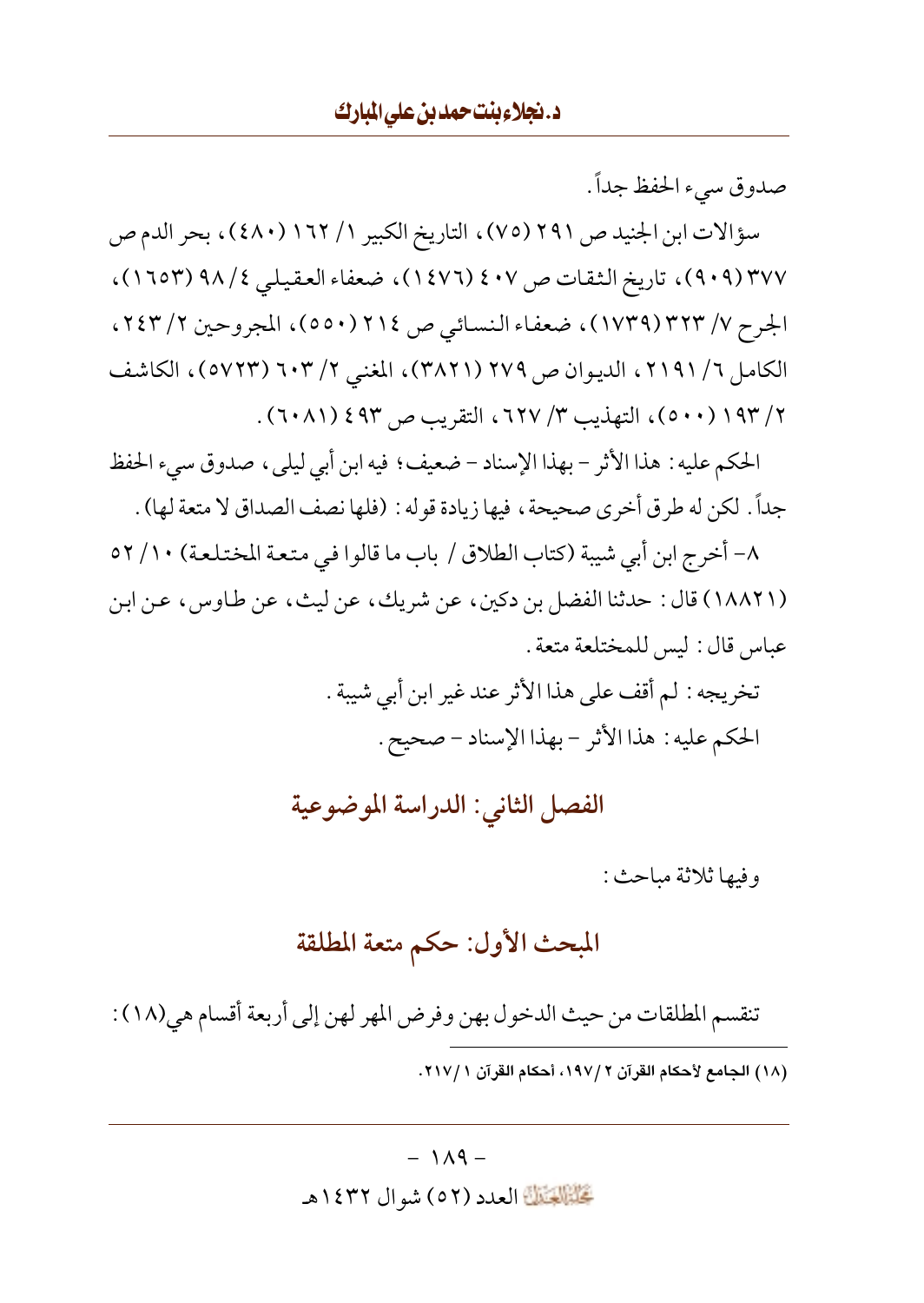صدوق سيء الحفظ جداً .

سؤالات ابن الجنيد ص ٢٩١ (٧٥) ، التاريخ الكبير ١/ ١٦٢ (٤٨٠) ، بحر الدم ص ٣٧٧ (٩٠٩)، تاريخ الثقات ص ٤٠٧ (١٤٧٦)، ضعفاء العقيلي ٤/ ٩٨ (١٦٥٣)، الجرح ٧/ ٣٢٣ (١٧٣٩)، ضعفاء النسائي ص ٢١٤ (٥٥٠)، المجروحين ٢/ ٢٤٣، الكامل ٦/ ٢١٩١، الديوان ص ٢٧٩ (٣٨٢١)، المغنى ٢/ ٦٠٣ (٥٧٢٣)، الكاشف ٢/ ١٩٣ (٥٠٠)، التهذيب ٣/ ٦٢٧، التقريب ص ٤٩٣ (٦٠٨١).

الحكم عليه : هذا الأثر - بهذا الإسناد - ضعيف ؛ فيه ابن أبي ليلي ، صدوق سيء الحفظ جداً. لكن له طرق أخرى صحيحة ، فيها زيادة قوله : (فلها نصف الصداق لا متعة لها) .

٨- أخرج ابن أبي شيبة (كتاب الطلاق / باب ما قالوا في متعة المختلعة) ١٠/ ٥٢ (١٨٨٢١) قال: حدثنا الفضل بن دكين، عن شريك، عن ليث، عن طاوس، عن ابن عباس قال: ليس للمختلعة متعة .

> تخريجه : لم أقف على هذا الأثر عند غير ابن أبي شيبة . الحكم عليه: هذا الأثر - بهذا الإسناد - صحيح.

الفصل الثاني: الدراسة الموضوعية

وفيها ثلاثة مباحث:

# المبحث الأول: حكم متعة المطلقة

تنقسم المطلقات من حيث الدخول بهن وفرض المهر لهن إلى أربعة أقسام هي(١٨) : (١٨) الجامع لأحكام القرآن ٢ /١٩٧، أحكام القرآن ١ /٢١٧.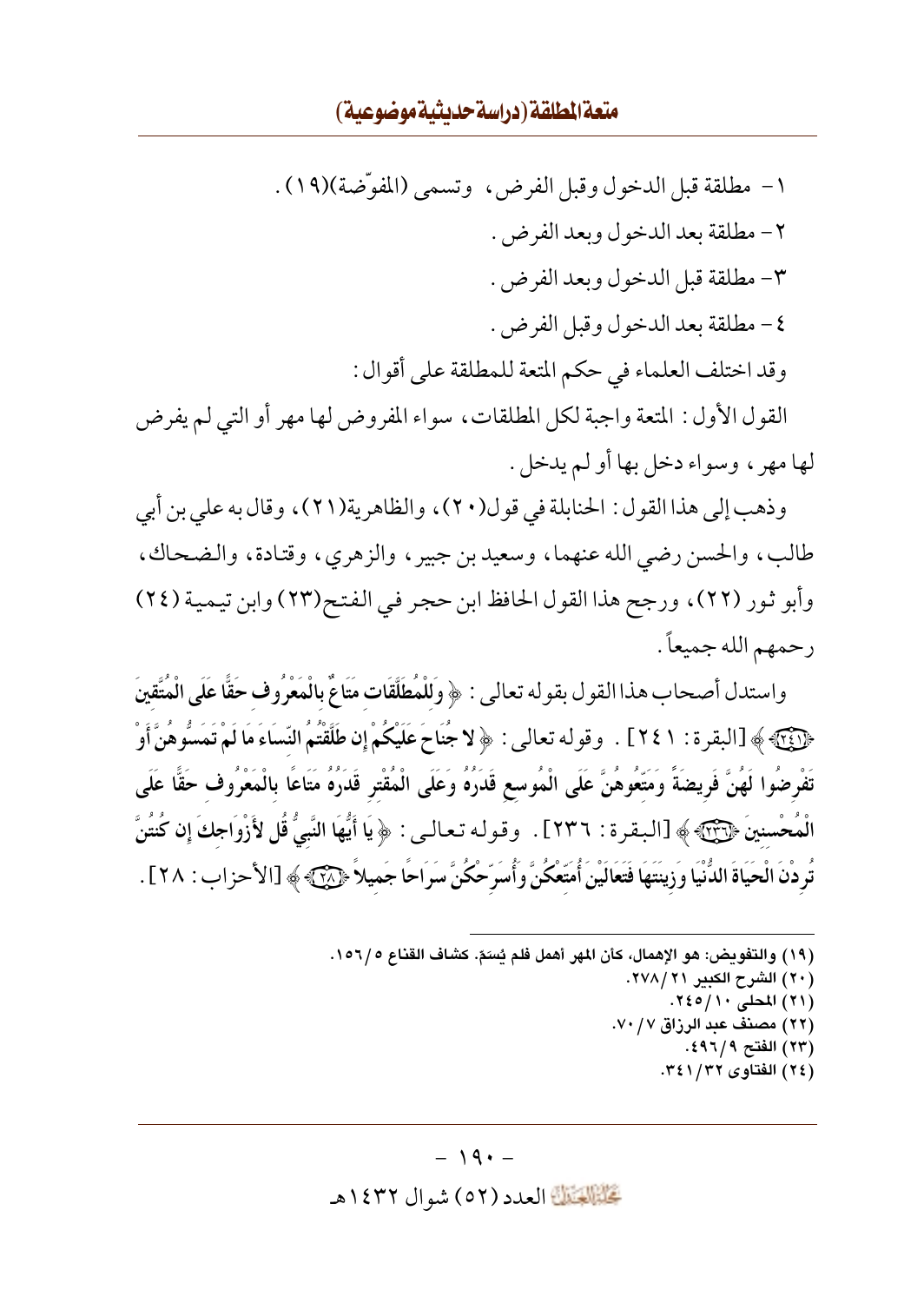## متعة المطلقة (دراسة حديثية موضوعية)

١- مطلقة قبل الدخول وقبل الفرض، وتسمى (المفوِّضة)(١٩). ٢ - مطلقة بعد الدخو ل وبعد الفرض. ٣- مطلقة قبل الدخول وبعد الفرض . ٤ - مطلقة بعد الدخو ل وقبل الفرض . وقد اختلف العلماء في حكم المتعة للمطلقة على أقوال : القول الأول : المتعة واجبة لكل المطلقات، سواء المفروض لها مهر أو التي لم يفرض لها مهر ، وسواء دخل بها أو لم يدخل .

وذهب إلى هذا القول : الحنابلة في قول(٢٠) ، والظاهرية(٢١) ، وقال به على بن أبي طالب، والحسن رضي الله عنهما، وسعيد بن جبير، والزهري، وقتادة، والضحاك، وأبو ثور (٢٢)، ورجح هذا القول الحافظ ابن حجر في الفتح(٢٣) وابن تيمية (٢٤) رحمهم الله جميعاً .

واستدل أصحاب هذا القول بقوله تعالى : ﴿ وَلَلْمُطَلَّقَاتِ مَتَاعٌ بِالْمَعْرُوفِ حَقًّا عَلَى الْمُتَّقِينَ ﴿ ﴿ آيَا ﴾ [البقر ة : ٢٤١ ] . وقو له تعالى : ﴿ لا جُنَاحَ عَلَيْكُمْ إِن طَلَّقْتُمُ النِّسَاءَ مَا لَمْ تَمَسُّوهُنَّ أَوْ تَفْرِضُوا لَهُنَّ فَرِيضَةً وَمَتَّعُوهُنَّ عَلَى الْمُوسِعِ قَدَرُهُ وَعَلَى الْمُقْتِرِ قَدَرُهُ مَتَاعًا بالْمَعْرُوف حَقًّا عَلَى الْمُحْسنينَ ﴿ ۚ وَآئِيَّ ﴾ [البقرة : ٢٣٦] . وقوله تعالى: ﴿ يَا أَيُّهَا النَّبِيُّ قُل لأَزْوَاجِكَ إِن كُنتُنَّ تُرِ دْنَ الْحَيَاةَ الدُّنْيَا وَزِينَتَهَا فَتَعَالَيْنَ أُمَتَّعْكُنَّ وَأُسَرِّحْكُنَّ سَرَاحًا جَميلاً ﴿ آَجْ الأحزاب : ٢٨] .

- (١٩) والتفويض: هو الإهمال، كأن المهر أهمل فلم يُسَمّ. كشاف القناع ١٥٦/٥.
	- (٢٠) الشرح الكبير ٢٧٨/٢١. (٢١) المحلي ١٠/١٠٤٠.
	- (٢٢) مصنف عبد الرزاق ٧٠/٧٠.
		- (٢٣) الفتح ٩٦/٩٪.
		- (٢٤) الفتاوى ٣٤١/٣٢.

#### $-19. -$

تَحَلَّمُوا الْعَدَدِ (٥٢ ) شوال ١٤٣٢هـ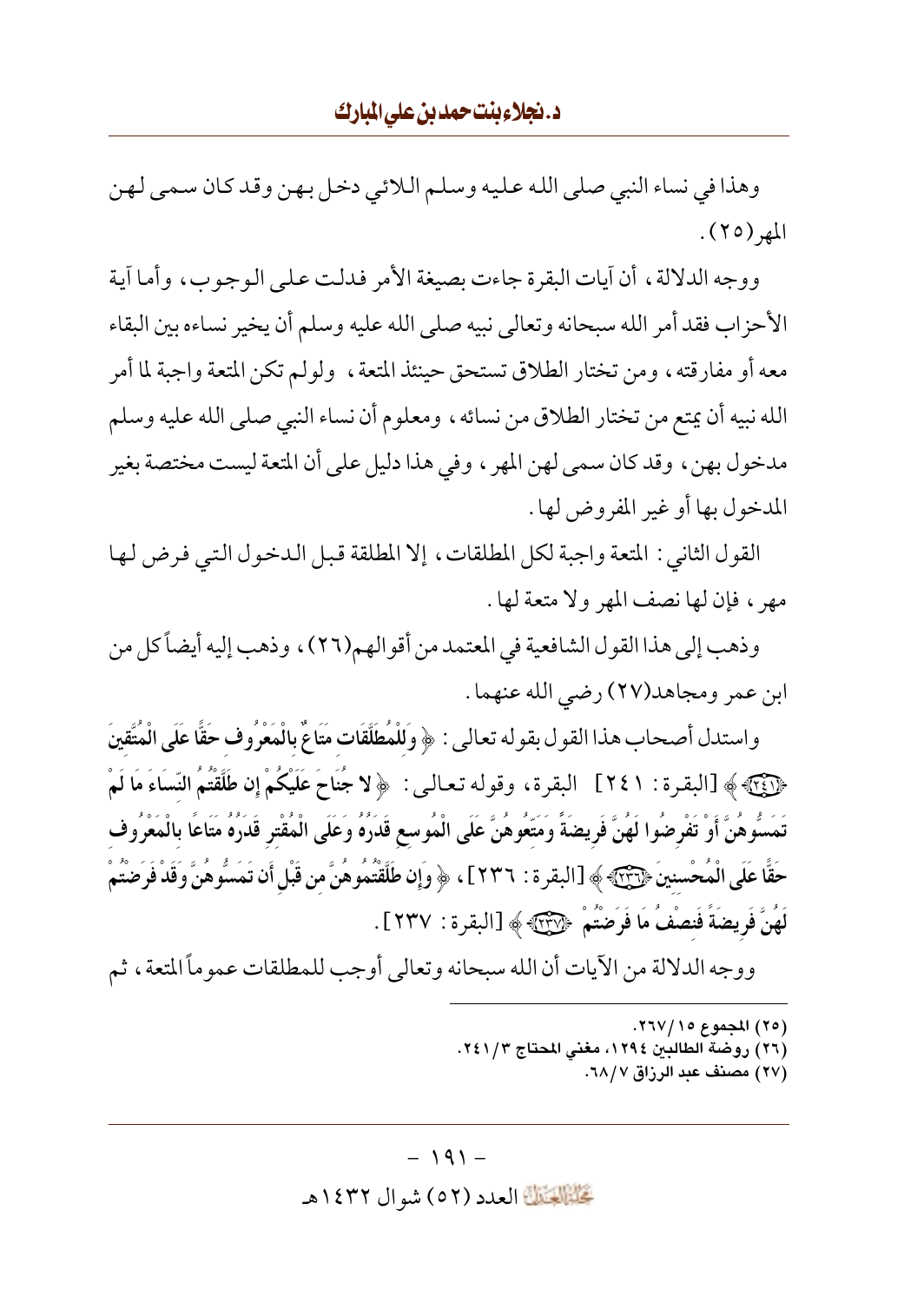وهذا في نساء النبي صلى الله عليه وسلم اللائي دخل بهن وقد كان سمي لهن المهر (٢٥).

ووجه الدلالة، أن أيات البقرة جاءت بصيغة الأمر فدلت على الوجوب، وأما أية الأحزاب فقد أمر الله سبحانه وتعالى نبيه صلى الله عليه وسلم أن يخير نساءه بين البقاء معه أو مفارقته ، ومن تختار الطلاق تستحق حينئذ المتعة ، ولولم تكن المتعة واجبة لما أمر الله نبيه أن يمتع من تختار الطلاق من نسائه ، ومعلوم أن نساء النبي صلى الله عليه وسلم مدخول بهن، وقد كان سمى لهن المهر ، وفي هذا دليل على أن المتعة ليست مختصة بغير المدخول بها أو غير المفروض لها .

القول الثاني : المتعة واجبة لكل المطلقات، إلا المطلقة قبل الدخول التي فرض لها مهر ، فإن لها نصف المهر ولا متعة لها .

وذهب إلى هذا القول الشافعية في المعتمد من أقو الهم(٢٦)، وذهب إليه أيضاً كل من ابن عمر ومجاهد(٢٧) رضي الله عنهما .

واستدل أصحاب هذا القول بقوله تعالى : ﴿ وَلَلْمُطَلَّقَاتِ مَتَاعٌ بِالْمَعْرُوفِ حَقًّا عَلَى الْمُتَّقِينَ ﴿لَآيَاتِهِ ﴾ [البقرة: ٢٤١] البقرة، وقوله تعالى: ﴿ لا جُنَاحَ عَلَيْكُمْ إِن طَلَّقْتُمُ النِّسَاءَ مَا لَمْ تَمَسُّوهُنَّ أَوْ تَفْرِضُوا لَهُنَّ فَرِيضَةً وَمَتّعُوهُنَّ عَلَى الْمُوسع قَدَرُهُ وَعَلَى الْمُقْتر قَدَرُهُ مَتَاعًا بالْمَعْرُوف حَقًّا عَلَى الْمُحْسنينَ ﴿ إِنَّهُمْ ﴾ [البقر ة : ٢٣٦ ] ، ﴿ وَإِن طَلَّقْتُمُوهُنَّ مِن قَبْلِ أَن تَمَسُّوهُنَّ وَقَدْ فَرَضْتُمْ لَهُنَّ فَرِيضَةً فَنصْفُ مَا فَرَضْتُمْ ﴿ وَلَا بَحْرَ ﴾ [البقرة : ٢٣٧] .

ووجه الدلالة من الآيات أن الله سبحانه وتعالى أوجب للمطلقات عموماً المتعة ، ثم

- (٢٥) المجموع ١٥/ ٢٦٧.
- (٢٦) روضة الطالبين ١٢٩٤، مغنى المحتاج ٢٤١/٣.
	- (٢٧) مصنف عبد الرزاق ٦٨/٧.

كَتَبَيَّلُوْتَيْنَ العدد (٥٢) شو ال ١٤٣٢هـ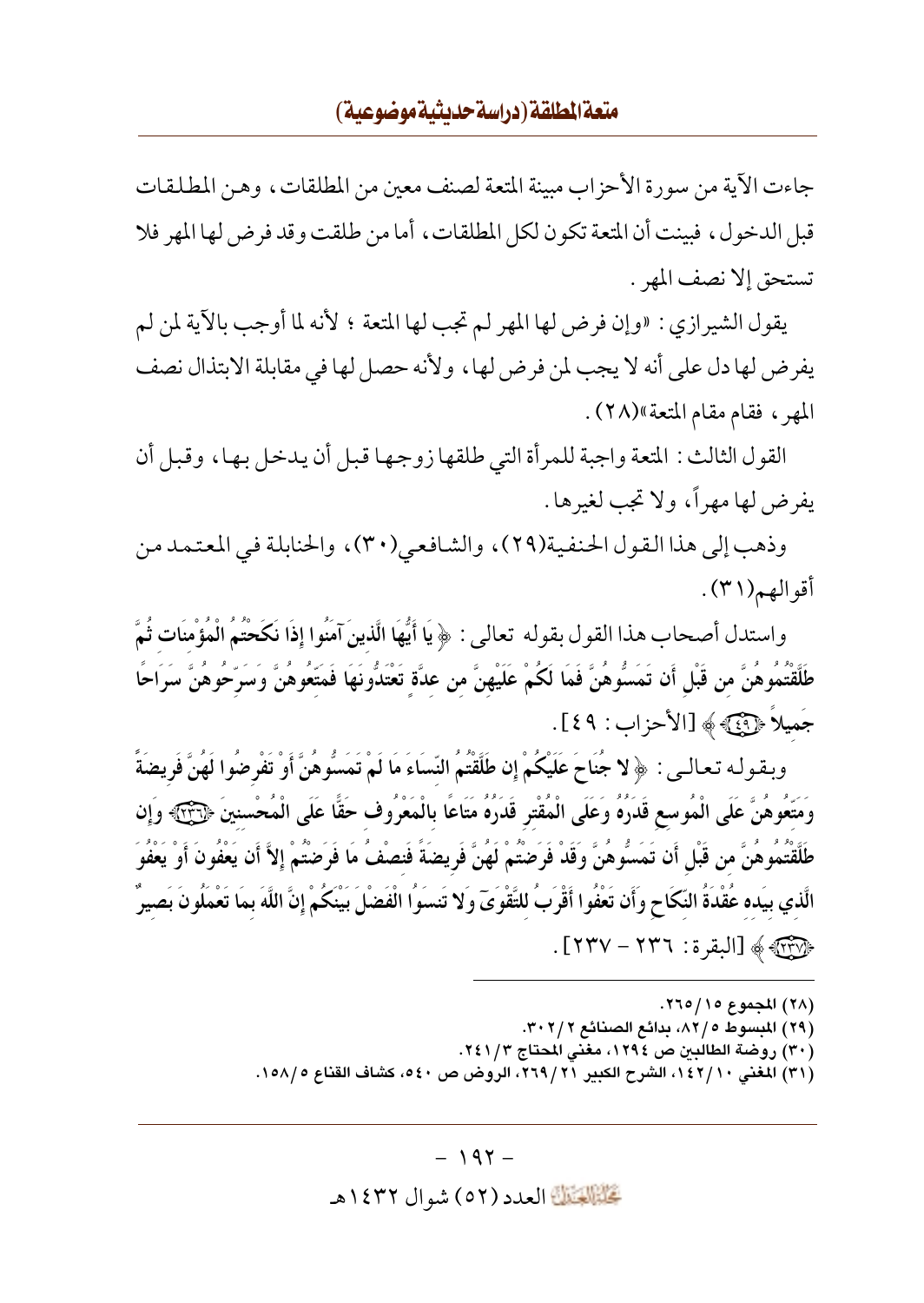جاءت الآية من سورة الأحزاب مبينة المتعة لصنف معين من المطلقات، وهن المطلقات قبل الدخو ل ، فيينت أن المتعة تكون لكل المطلقات ، أما من طلقت وقد فرض لها المهر فلا تستحق إلا نصف المهر .

يقول الشيرازي : «وإن فرض لها المهر لم تجب لها المتعة ؛ لأنه لما أوجب بالآية لمن لم يفرض لها دل على أنه لا يجب لمن فرض لها ، ولأنه حصل لها في مقابلة الابتذال نصف المهر ، فقام مقام المتعة»(٢٨).

القول الثالث: المتعة واجبة للمرأة التي طلقها زوجها قبل أن يدخل بها، وقبل أن يفرض لها مهراً، ولا تجب لغيرها .

وذهب إلى هذا القول الحنفية(٢٩)، والشافعي(٣٠)، والحنابلة في المعتمد من أقوالهم(٣١).

واستدل أصحاب هذا القو ل بقو له تعالى : ﴿ يَا أَيُّهَا الَّذِينَ آمَنُوا إِذَا نَكَحْتُمُ الْمُؤْمِنَات ثُمَّ طَلَّقْتُمُوهُنَّ من قَبْل أَن تَمَسُّوهُنَّ فَمَا لَكُمْ عَلَيْهِنَّ من عدَّة ِ تَعْتَدُّونَهَا فَمَتَعُوهُنَّ وَسَرِّحُوهُنَّ سَرَاحًا جَميلاً ﴿ فَيَ ﴾ [الأحزاب: ٤٩].

وبقوله تعالىي : ﴿ لا جُنَاحَ عَلَيْكُمْ إِن طَلَّقْتُمُ النِّسَاءَ مَا لَمْ تَمَسُّوهُنَّ أَوْ تَفْرضُوا لَهُنَّ فَريضَةً وَمَتَّعُوهُنَّ عَلَى الْمُوسع قَدَرُهُ وَعَلَى الْمُقْتِرِ قَدَرُهُ مَتَاعًا بِالْمَعْرُوف حَقًّا عَلَى الْمُحْسنينَ ﴿لِآئِيَ وَإِن طَلَّقْتُمُوهُنَّ من قَبْل أَن تَمَسُّوهُنَّ وَقَدْ فَرَضْتُمْ لَهُنَّ فَرِيضَةَ فَنصْفُ مَا فَرَضْتُمْ إِلاَّ أَن يَعْفَونَ أَوْ يَعْفَوَ الَّذي بيَده عُقْدَةُ النِّكَاحِ وَأَن تَعْفُوا أَقْرَبُ للتَّقْوَىٓ وَلا تَنسَوُا الْفَضْلَ بَيْنَكُمْ إنَّ اللَّهَ بمَا تَعْمَلُونَ بَصيرٌ ﴿لَآلِآتِهِ ﴾ [البقرة: ٢٣٦ – ٢٣٧].

> (٢٨) المجموع ١٥/ ٢٦٥. (٢٩) المبسوط ٨٢/٥، بدائع الصنائع ٣٠٢/٢. (٣٠) روضة الطالبين ص ١٢٩٤، مغنى المحتاج ٢٤١/٣. (٣١) المغنى ١٤٢/١٠، الشرح الكبير ٢٦٩/٢١، الروض ص ٤٠، كشاف القناع ١٥٨/٥.

#### $-197-$

تَحَلَّمُ الْقَالَةَ العدد (٥٢) شو ال ١٤٣٢هـ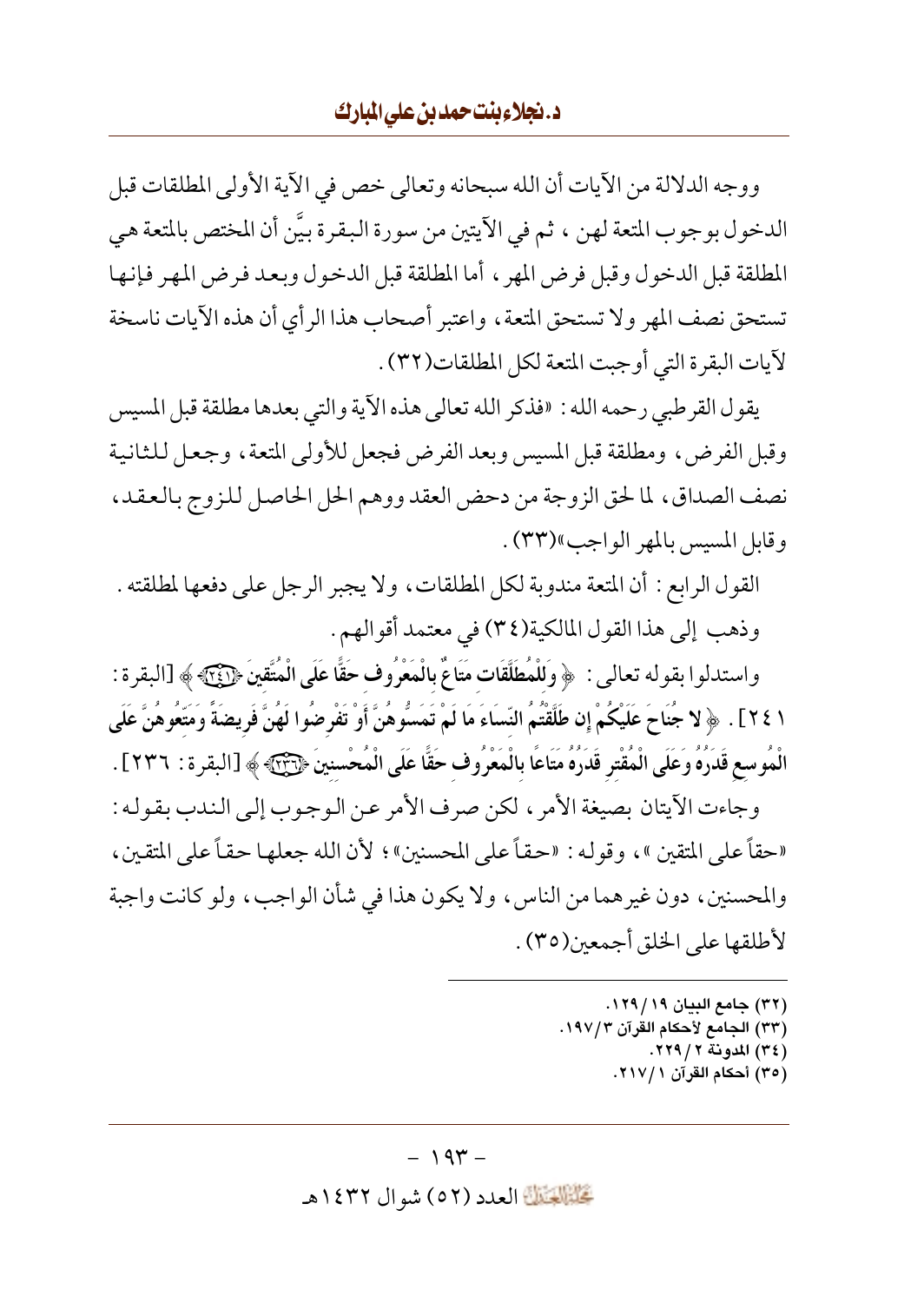### د. نجلاءِ بنت حمد بن على المارك

ووجه الدلالة من الآيات أن الله سبحانه وتعالى خص في الآية الأولى المطلقات قبل الدخول بوجوب المتعة لهن ، ثم في الأيتين من سورة البقرة بيَّن أن المختص بالمتعة هي المطلقة قبل الدخول وقبل فرض المهر ، أما المطلقة قبل الدخول وبعد فرض المهر فإنها تستحق نصف المهر ولا تستحق المتعة، واعتبر أصحاب هذا الرأى أن هذه الآيات ناسخة لآيات البقرة التي أوجبت المتعة لكل المطلقات(٣٢) .

يقول القرطبي رحمه الله : «فذكر الله تعالى هذه الآية والتي بعدها مطلقة قبل المسيس وقبل الفرض، ومطلقة قبل المسيس ويعد الفرض فجعل للأولى المتعة، وجعل للثانية نصف الصداق، لما لحق الزوجة من دحض العقد ووهم الحل الحاصل للزوج بالعقد، وقابل المسيس بالمهر الواجب»(٣٣).

القول الرابع : أن المتعة مندوبة لكل المطلقات، ولا يجبر الرجل على دفعها لمطلقته . وذهب إلى هذا القول المالكية(٣٤) في معتمد أقوالهم .

واستدلوا بقو له تعالى : ﴿ وَلَلْمُطَلَّقَاتِ مَتَاعٌ بِالْمَعْرُوفِ حَقًّا عَلَى الْمُتَّقِينَ ﴿ آَئِيَّ ﴾ [البقر ة : ١ ٢٤] . ﴿ لا جُنَاحَ عَلَيْكُمْ إِن طَلَّقْتُمُ النِّسَاءَ مَا لَمْ تَمَسُّوهُنَّ أَوْ تَفْرِضُوا لَهُنَّ فَريضَةً وَمَتَّعُوهُنَّ عَلَى الْمُوسع قَدَرُهُ وَعَلَى الْمُقْترِ قَدَرُهُ مَتَاعًا بِالْمَعْرُوف حَقًّا عَلَى الْمُحْسنينَ ﴿ وَآتِي ﴾ [البقرة : ٢٣٦] .

وجاءت الآيتان بصيغة الأمر ، لكن صرف الأمر عن الوجوب إلى الندب بقوله : «حقاً على المتقين »، وقوله : «حقاً على المحسنين»؛ لأن الله جعلها حقاً على المتقين ، والمحسنين، دون غيرهما من الناس، ولا يكون هذا في شأن الواجب، ولو كانت واجبة لأطلقها على الخلق أجمعين(٣٥) .

> (٣٢) جامع البيان ١٢٩/ ١٢٩. (٣٣) الجامع لأحكام القرآن ١٩٧/٣. (٣٤) المدونة ٢ / ٢٢٩. (٣٥) أحكام القرآن ٢١٧/١.

#### $-194$

تَحَلَّمُ الْعَدَدِ (٥٢) شوال ١٤٣٢هـ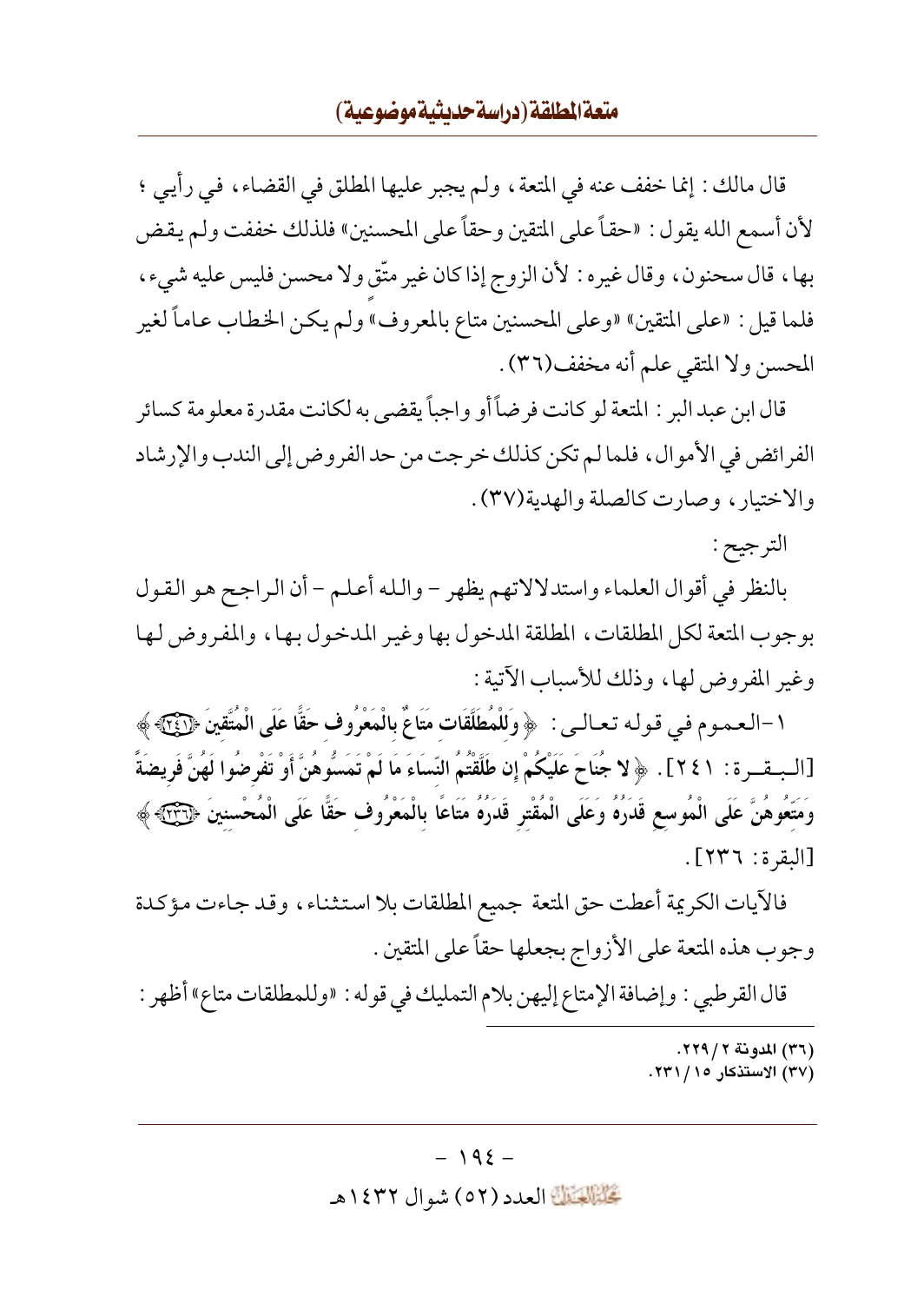## متعة المطلقة (دراسة حديثية موضوعية)

قال مالك : إنما خفف عنه في المتعة ، ولم يجبر عليها المطلق في القضاء ، في رأيي ؛ لأن أسمع الله يقول : «حقاً على المتقين وحقاً على المحسنين» فلذلك خففت ولم يقض بها، قال سحنون، وقال غيره : لأن الزوج إذاكان غير متَّق ولا محسن فليس عليه شيء، فلما قيل : «على المتقين» «وعلى المحسنين متاع بالمعروف» ولم يكن الخطاب عاماً لغير المحسن ولا المتقى علم أنه مخفف(٣٦).

قال ابن عبد البر : المتعة لو كانت فرضاً أو واجباً يقضي به لكانت مقدرة معلومة كسائر الفرائض في الأموال ، فلما لم تكن كذلك خرجت من حد الفروض إلى الندب والإرشاد والاختيار ، وصارت كالصلة والهدية(٣٧) .

الترجيح :

بالنظر في أقوال العلماء واستدلالاتهم يظهر – والله أعلم – أن الراجح هو القول بوجوب المتعة لكل المطلقات، المطلقة المدخول بها وغير المدخول بها، والمفروض لها وغير المفروض لها، وذلك للأسباب الآتية :

١-العموم في قوله تعـالـي : ﴿ وَلَلْمُطَلَّقَاتِ مَتَاعٌ بِالْمَعْرُوفِ حَقًّا عَلَى الْمُتَّقِينَ ﴿ يَجَحَ [الـبــقــرة : ٢٤١] . ﴿ لا جُنَاحَ عَلَيْكُمْ إِن طَلَّقْتُمُ النِّسَاءَ مَا لَمْ تَمَسُّوهُنَّ أَوْ تَفْرضُوا لَهُنَّ فَريضَةً وَمَتَّعُوهُنَّ عَلَى الْمُوسع قَدَرُهُ وَعَلَى الْمُقْتر قَدَرُهُ مَتَاعًا بالْمَعْرُوف حَقًّا عَلَى الْمُحْسنينَ ﴿لَّـٰٓئَ ﴾ [البقرة: ٢٣٦].

فالأيات الكريمة أعطت حق المتعة جميع المطلقات بلا استثناء، وقد جاءت مؤكدة وجوب هذه المتعة على الأزواج بجعلها حقاً على المتقين .

قال القرطبي : وإضافة الإمتاع إليهن بلام التمليك في قوله : «وللمطلقات متاع» أظهر :

- (٣٦) المدونة ٢ / ٢٢٩.
- (۳۷) الاستذکار ۱۵/ ۲۳۱.

#### $-192-$

تَحَلَّمُوا الْعَدَدِ (٥٢ ) شوال ١٤٣٢هـ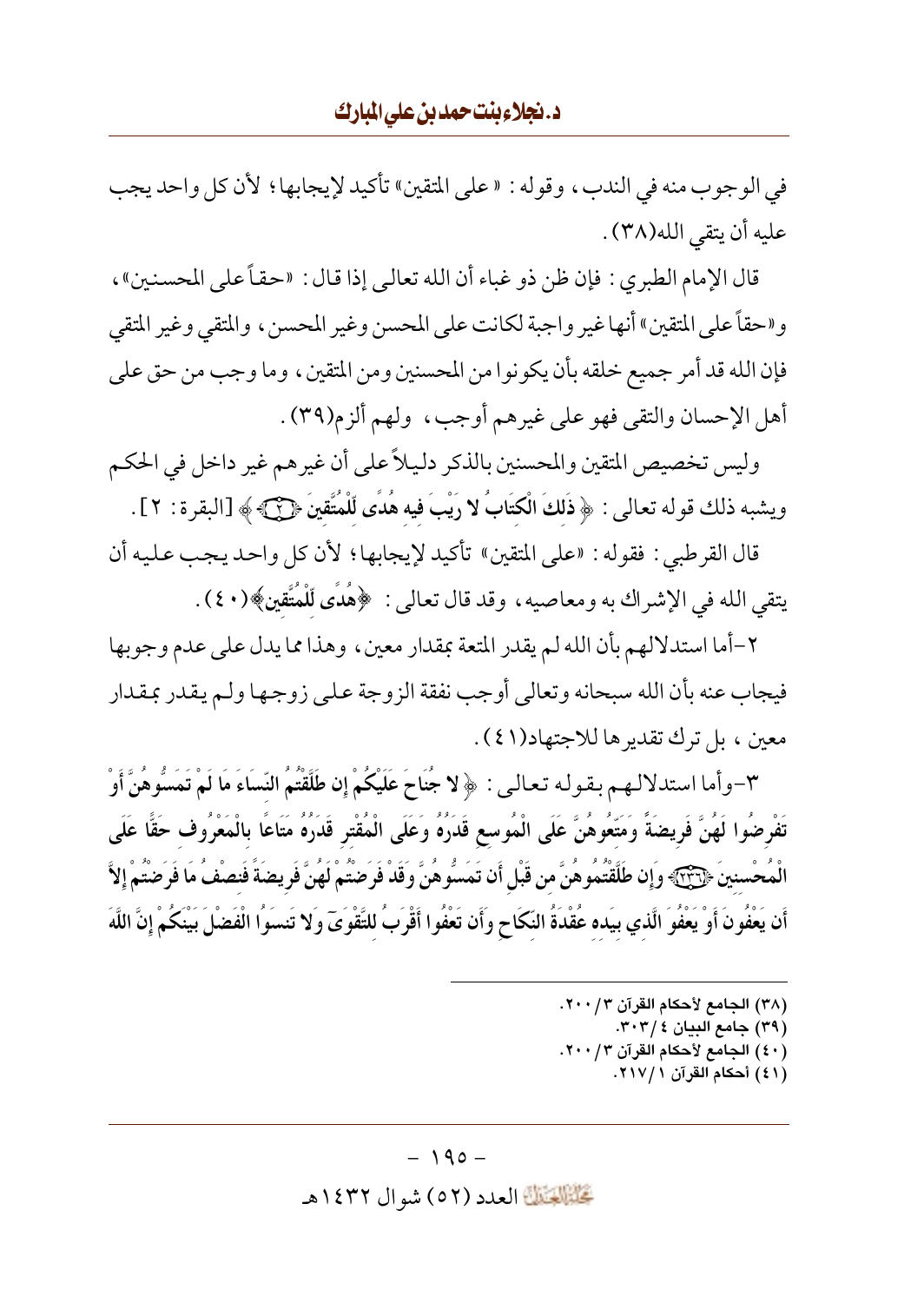في الوجوب منه في الندب، وقوله : « على المتقين» تأكيد لإيجابها ؛ لأن كل واحد يجب عليه أن يتقى الله(٣٨) .

قال الإمام الطبري : فإن ظن ذو غباء أن الله تعالى إذا قال : «حقاً على المحسنين» ، و«حقاً على المتقين» أنها غير واجبة لكانت على المحسن وغير المحسن ، والمتقى وغير المتقى فإن الله قد أمر جميع خلقه بأن يكونوا من المحسنين ومن المتقين ، وما وجب من حق على أهل الإحسان والتقى فهو على غيرهم أوجب، ولهم ألزم(٣٩).

وليس تخصيص المتقين والمحسنين بالذكر دليلاً على أن غيرهم غير داخل في الحكم ويشبه ذلك قوله تعالى : ﴿ ذَلِكَ الْكِتَابُ لا رَيْبَ فِيهِ هُدًى لِّلْمُتَّقِينَ ﴿ آَلِ إِلَّا لِمَعْ ة : ٢] .

قال القرطبي : فقوله : «على المتقين» تأكيد لإيجابها ؛ لأن كل واحد يجب عليه أن يتقي الله في الإشراك به ومعاصيه، وقد قال تعالى : ﴿هُدِّي لِّلْمُتَّقِينَ﴾(٤٠) .

٢-أما استدلالهم بأن الله لم يقدر المتعة بمقدار معين ، وهذا مما يدل على عدم وجو بها فيجاب عنه بأن الله سبحانه وتعالى أوجب نفقة الزوجة على زوجها ولم يقدر بمقدار معين ، بل ترك تقدير ها للاجتهاد(٤١).

٣-وأما استدلالهم بقوله تعالى: ﴿ لا جُنَاحَ عَلَيْكُمْ إِن طَلَّقْتُمُ النِّسَاءَ مَا لَمْ تَمَسُّوهُنَّ أَوْ تَفْرِضُوا لَهُنَّ فَرِيضَةً وَمَتَّعُوهُنَّ عَلَى الْمُوسع قَدَرُهُ وَعَلَى الْمُقْترِ قَدَرُهُ مَتَاعًا بالْمَعْرُوف حَقًّا عَلَى الْمُحْسنينَ ﴿ ۖ ۚ وَإِن طَلَقْتُمُوهُنَّ من قَبْلِ أَن تَمَسُّوهُنَّ وَقَدْ فَرَضَتُمْ لَهُنَّ فَرِيضَةً فَنصْفُ مَا فَرَضْتُمْ إِلاَّ أَن يَعْفُونَ أَوْ يَعْفُوَ الَّذي بِيَده عُقْدَةُ النِّكَاحِ وَأَن تَعْفُوا أَقْرَبُ للتَّقْوَىَ وَلا تَنسَوُا الْفَضْلَ بَيْنَكُمْ إِنَّ اللَّهَ

- (٣٨) الجامع لأحكام القرآن ٢٠٠/٣.
	- (٣٩) جامع البيان ٣٠٣/٤.
- (٤٠) الجامع لأحكام القرآن ٢٠٠/٣.
	- (٤١) أحكام القرآن ٢١٧/١.

 $-190-$ 

كَتَبَيَّلَكَ العدد (٥٢) شو ال ١٤٣٢هـ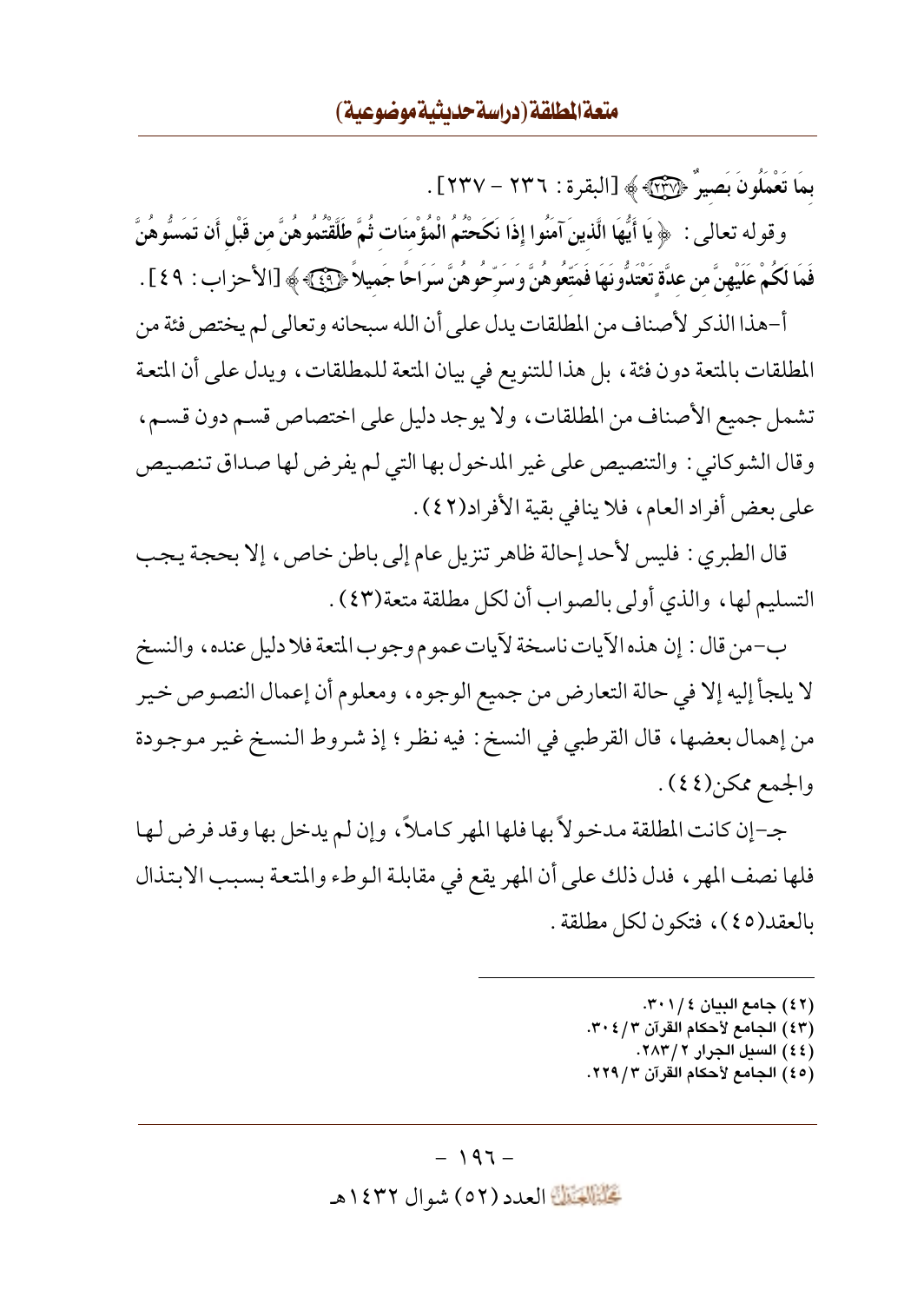بِمَا تَعْمَلُونَ بَصِيرٌ ﴿ وَالْبَلْهَ ﴾ [البقر ة : ٢٣٦ – ٢٣٧] .

وقوله تعالى : ﴿ يَا أَيُّهَا الَّذينَ آمَنُوا إِذَا نَكَحْتُمُ الْمُؤْمِنَات ثُمَّ طَلَّقْتُمُوهُنَّ من قَبْل أن تَمَسُّوهُنَّ فَمَا لَكُمْ عَلَيْهِنَّ من عدَّة تَعْتَدُّونَهَا فَمَتَعُوهُنَّ وَسَرِّحُوهُنَّ سَرَاحًا جَميلاً ﴿ فَئَ ﴾ [الأحزاب : ٤٩] .

أ-هذا الذكر لأصناف من المطلقات يدل على أن الله سبحانه وتعالى لم يختص فئة من المطلقات بالمتعة دون فئة ، بل هذا للتنويع في بيان المتعة للمطلقات ، ويدل على أن المتعة تشمل جميع الأصناف من المطلقات، ولا يوجد دليل على اختصاص قسم دون قسم، وقال الشوكاني : والتنصيص على غير المدخول بها التي لم يفرض لها صداق تنصيص على بعض أفراد العام، فلا ينافي بقية الأفراد(٤٢).

قال الطبري : فليس لأحد إحالة ظاهر تنزيل عام إلى باطن خاص، إلا بحجة يجب التسليم لها، والذي أولى بالصواب أن لكل مطلقة متعة(٤٣) .

ب-من قال : إن هذه الآيات ناسخة لآيات عموم وجوب المتعة فلا دليل عنده، والنسخ لا يلجأ إليه إلا في حالة التعارض من جميع الوجوه، ومعلوم أن إعمال النصوص خير من إهمال بعضها، قال القرطبي في النسخ : فيه نظر ؛ إذ شروط النسخ غير موجودة والجمع ممكن(٤٤).

جـ-إن كانت المطلقة مدخوٍ لأ بها فلها المهر كـاملاً ، وإن لم يدخل بها وقد فرض لها فلها نصف المهر ، فدل ذلك على أن المهر يقع في مقابلة الوطء والمتعة بسبب الابتذال بالعقد(٤٥)، فتكون لكل مطلقة.

- (٤٢) جامع البيان ٢٠١/٤.
- (٤٣) الجامع لأحكام القرآن ٣٠٤/٣.
- (٤٤) السيل الجرار ٢ / ٢٨٣. (٤٥) الجامع لأحكام القرآن ٢/ ٢٢٩.
- 

#### $-197-$

تَحَلَّمُ الْقَالَةَ العدد (٥٢) شو ال ١٤٣٢هـ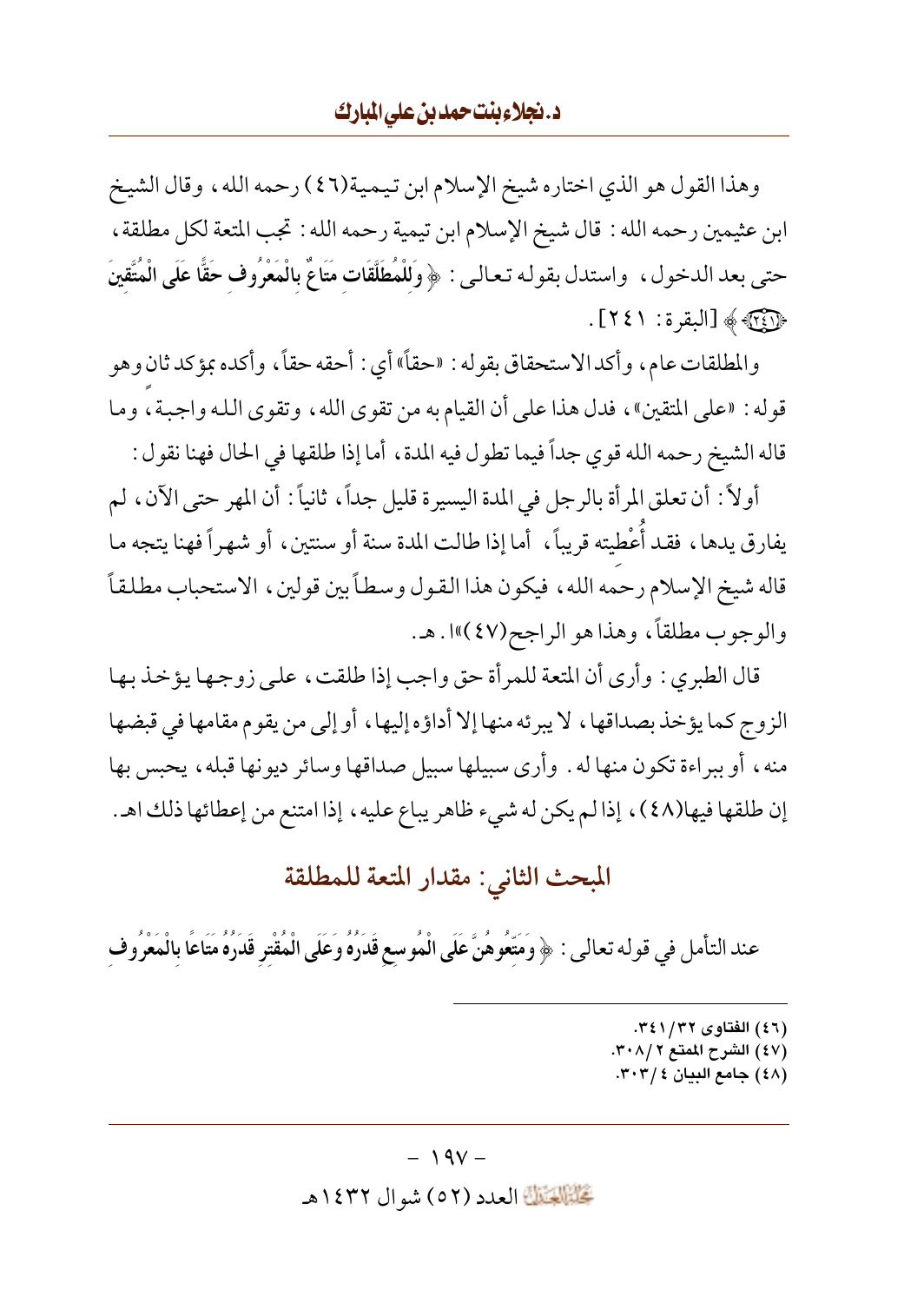وهذا القول هو الذي اختاره شيخ الإسلام ابن تيمية(٤٦) رحمه الله، وقال الشيخ ابن عثيمين رحمه الله : قال شيخ الإسلام ابن تيمية رحمه الله : تجب المتعة لكل مطلقة ، حتى بعد الدخول، واستدل بقوله تعالى : ﴿ وَلَلْمُطَلَّقَاتِ مَتَاعٌ بِالْمَعْرُوفِ حَقًّا عَلَى الْمُتَّقِينَ ﴿ آيَاتِهِ ﴾ [البقرة: ٤١].

والمطلقات عام، وأكدالاستحقاق بقوله : «حقاً» أي : أحقه حقاً، وأكده بمؤكد ثان وهو قوله : «على المتقين»، فدل هذا على أن القيام به من تقوى الله ، وتقوى الله واجبة ، وما قاله الشيخ رحمه الله قوى جداً فيما تطول فيه المدة ، أما إذا طلقها في الحال فهنا نقول :

أولاً : أن تعلق المرأة بالرجل في المدة اليسير ة قليل جداً، ثانياً : أن المهر حتى الآن، لم يفارق يدها، فقد أُعْطيته قريباً، أما إذا طالت المدة سنة أو سنتين، أو شهراً فهنا يتجه ما قاله شيخ الإسلام رحمه الله، فيكون هذا القول وسطاً بين قولين، الاستحباب مطلقاً والوجوب مطلقاً، وهذا هو الراجح(٤٧)»ا . هـ.

قال الطبري : وأرى أن المتعة للمر أة حق واجب إذا طلقت ، على زوجها يؤخذ بها الزوج كما يؤخذ بصداقها، لا يبرئه منها إلا أداؤه إليها، أو إلى من يقوم مقامها في قبضها منه، أو ببراءة تكون منها له . وأرى سبيلها سبيل صداقها وسائر ديونها قبله، يحبس بها إن طلقها فيها(٤٨)، إذا لم يكن له شيء ظاهر يباع عليه، إذا امتنع من إعطائها ذلك اهـ.

# المبحث الثاني: مقدار المتعة للمطلقة

عند التأمل في قوله تعالى : ﴿ وَمَتِّعُوهُنَّ عَلَى الْمُوسِعِ قَدَرُهُ وَعَلَى الْمُقْتِرِ قَدَرُهُ مَتَاعًا بالْمَعْرُوفِ

- (٤٦) الفتاوى ٣٤١/٣٢.
- (٤٧) الشرح الممتع ٣٠٨/٢.
- (٤٨) جامع البيان ٢٠٣/٤.

#### $-19V -$

تَحَلَّمُ الْعَدَدِ (٥٢) شوال ١٤٣٢هـ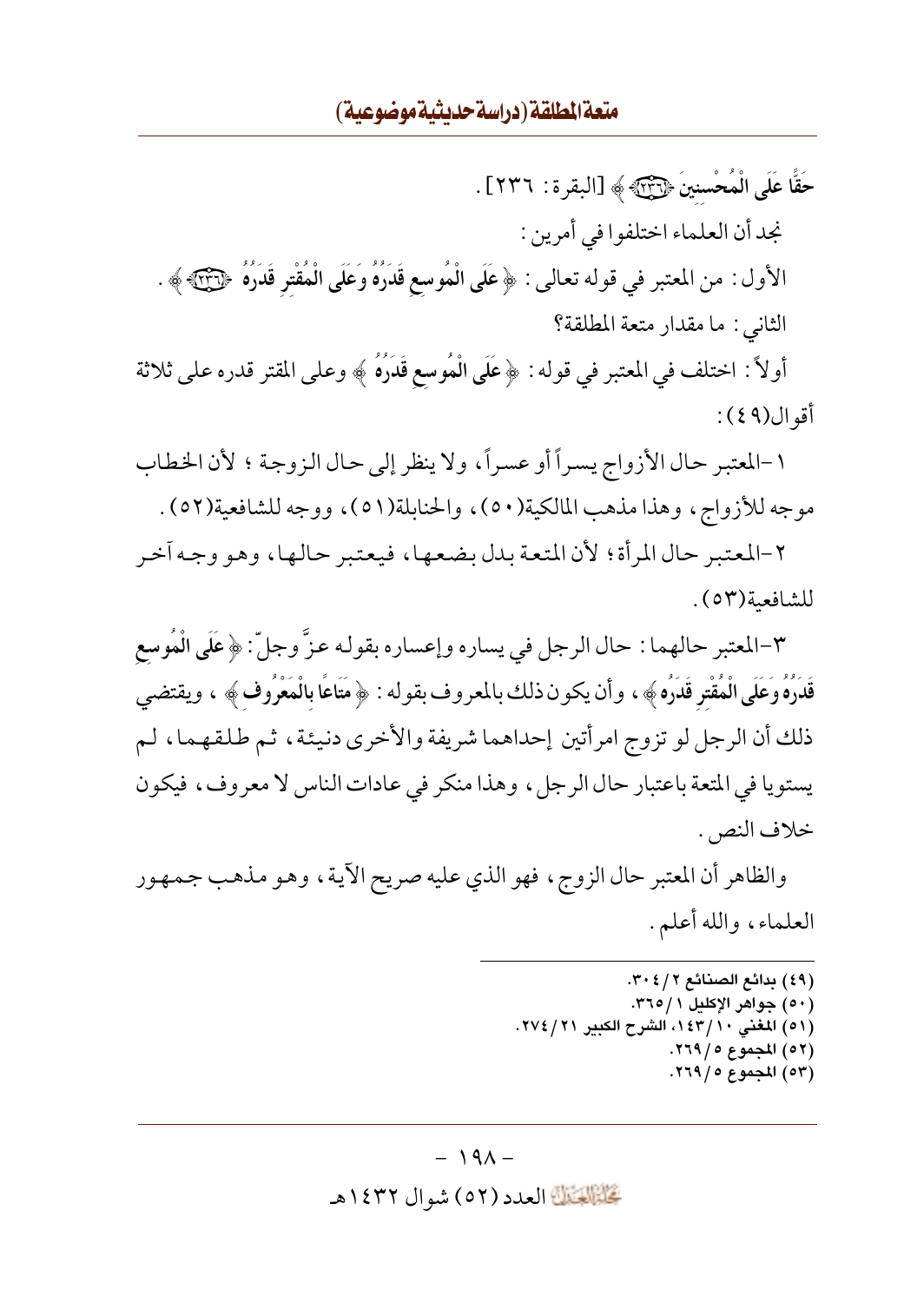حَقًّا عَلَى الْمُحْسنينَ ﴿ يَبْنَيْهِ ﴾ [البقر ة : ٢٣٦] . نجد أن العلماء اختلفوا في أمرين : الأول : من المعتبر في قوله تعالى : ﴿ عَلَى الْمُوسِعِ قَدَرُهُ وَعَلَى الْمُقْتِرِ قَدَرُهُ ﴿ وَٱلْمَ الثاني : ما مقدار متعة المطلقة؟

أولاً : اختلف في المعتبر في قوله : ﴿ عَلَى الْمُوسِعِ قَدَرَهُ ﴾ وعلى المقتر قدره على ثلاثة أقو ال(٩ ٤ ) :

١-المعتبر حال الأزواج يسراً أو عسراً، ولا ينظر إلى حال الزوجة ؛ لأن الخطاب موجه للأزواج، وهذا مذهب المالكية(٥٠)، والحنابلة(٥١)، ووجه للشافعية(٥٢).

٢-المعتبر حال المرأة؛ لأن المتعة بدل بضعها، فيعتبر حالها، وهو وجه اَخر للشافعية(٥٣).

٣-المعتبر حالهما : حال الرجل في يساره وإعساره بقوله عزَّ وجلَّ : ﴿ عَلَى الْمُوسِعِ قَدَرُهُ وَعَلَى الْمُقْتِرِ قَدَرُهِ ﴾ ، وأن يكون ذلك بالمعروف بقوله : ﴿ مَتَاعًا بِالْمَعْرُوفِ ﴾ ، ويقتضي ذلك أن الرجل لو تزوج امرأتين إحداهما شريفة والأخرى دنيئة، ثم طلقهما، لم يستويا في المتعة باعتبار حال الرجل، وهذا منكر في عادات الناس لا معروف، فيكون خلاف النص. .

والظاهر أن المعتبر حال الزوج، فهو الذي عليه صريح الآية، وهو مذهب جمهور العلماء، والله أعلم.

> (٤٩) بدائع الصنائع ٣٠٤/٢. (٥٠) جواهر الإكليل ٢٦٥/١. (٥١) المغنى ١٤٣/١٠، الشرح الكبير ٢١/٤/٢١. (٥٢) المجموع ٥ / ٢٦٩. (٥٣) المجموع ٥ / ٢٦٩.

#### $-191-$

تَحَلَّمُ الْقَالَةَ العدد (٥٢) شو ال ١٤٣٢هـ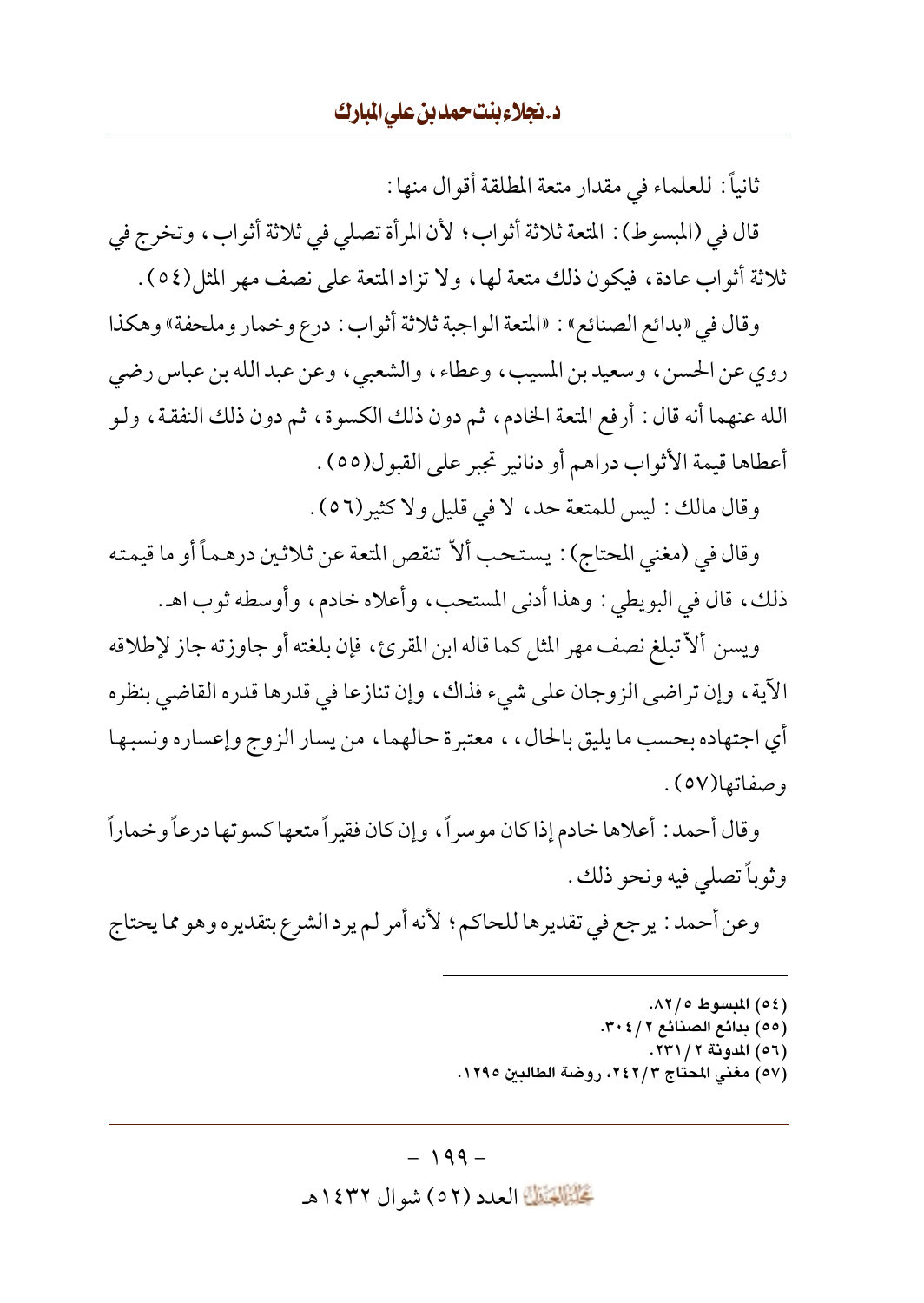ثانياً : للعلماء في مقدار متعة المطلقة أقوال منها :

قال في (المبسوط) : المتعة ثلاثة أثواب؛ لأن المرأة تصلى في ثلاثة أثواب، وتخرج في ثلاثة أثواب عادة، فيكون ذلك متعة لها، ولا تزاد المتعة على نصف مهر المثل(٥٤).

وقال في «بدائع الصنائع» : «المتعة الواجبة ثلاثة أثواب : درع وخمار وملحفة» وهكذا روي عن الحسن، وسعيدبن المسيب، وعطاء، والشعبي، وعن عبدالله بن عباس رضي الله عنهما أنه قال : أرفع المتعة الخادم، ثم دون ذلك الكسوة، ثم دون ذلك النفقة، ولو أعطاها قيمة الأثواب دراهم أو دنانير تجبر على القبول(٥٥) .

وقال مالك : ليس للمتعة حد، لا في قليل ولا كثير(٥٦) .

وقال في (مغنى المحتاج) : يستحب ألاّ تنقص المتعة عن ثلاثين درهماً أو ما قيمته ذلك، قال في البويطي : وهذا أدنى المستحب، وأعلاه خادم، وأوسطه ثوب اهـ.

ويسن ألاَّ تبلغ نصف مهر المثل كما قاله ابن المقرئ، فإن بلغته أو جاوزته جاز لإطلاقه الآية ، وإن تراضى الزوجان على شيء فذاك ، وإن تنازعا في قدرها قدره القاضي بنظره أي اجتهاده بحسب ما يليق بالحال ، ، معتبر ة حالهما ، من يسار الزوج وإعساره ونسبها وصفاتعا(٥٧).

وقال أحمد : أعلاها خادم إذا كان موسراً، وإن كان فقيراً متعها كسوتها درعاً وخماراً وثوباً تصلي فيه ونحو ذلك .

وعن أحمد : يرجع في تقديرها للحاكم ؛ لأنه أمر لم يرد الشرع بتقديره وهو مما يحتاج

(٥٤) المبسوط ٨٢/٥. (٥٥) بدائع الصنائع ٣٠٤/٢٠. (٥٦) المدونة ٢٣١/٢٣. (٥٧) مغنى المحتاج ٢٤٢/٣، روضة الطالبين ١٢٩٥.

#### $-199-$

كَتَبَيَّلَكَ العدد (٥٢) شو ال ١٤٣٢هـ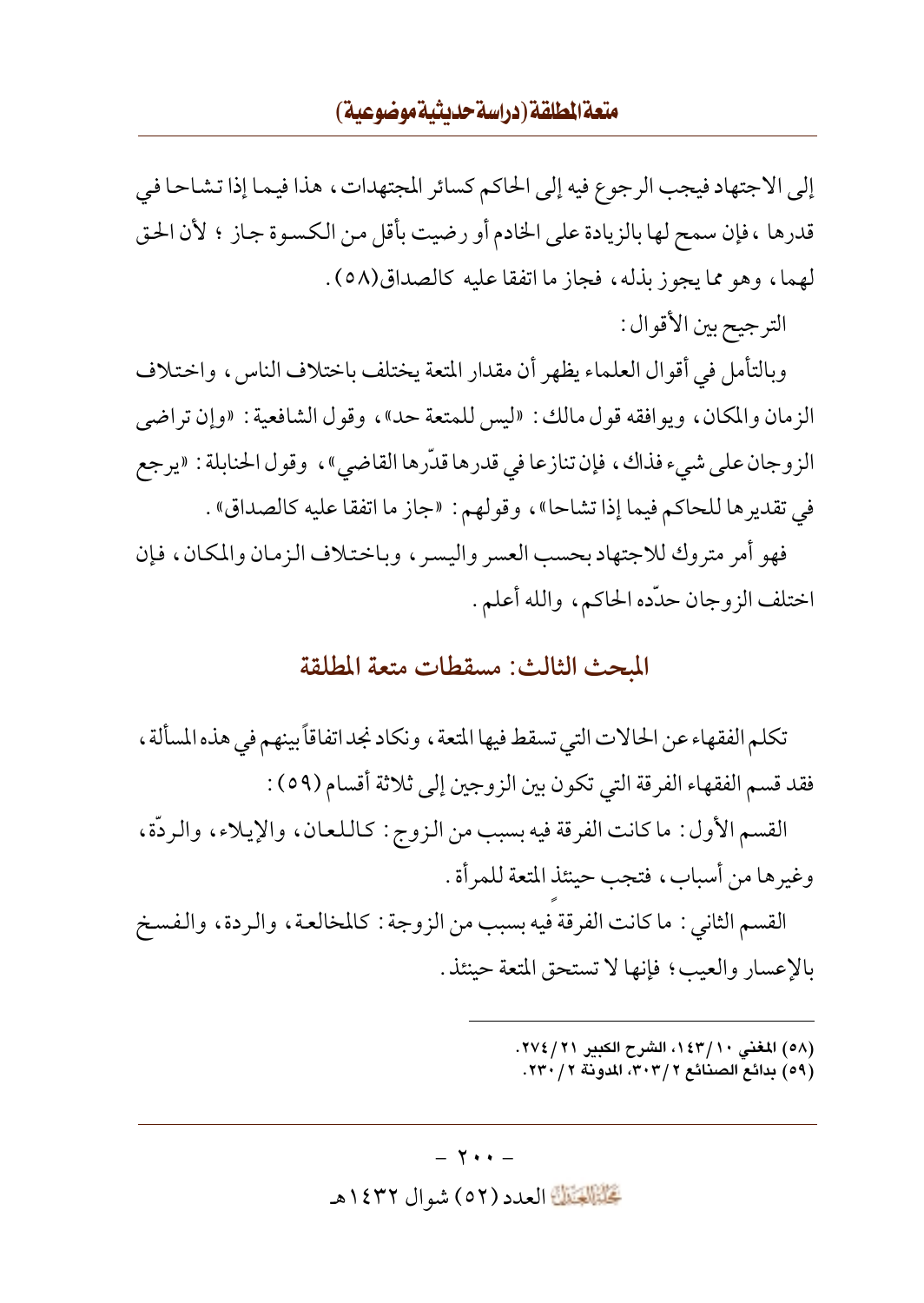## متعة المطلقة (دراسة حديثية موضوعية)

إلى الاجتهاد فيجب الرجوع فيه إلى الحاكم كسائر المجتهدات، هذا فيما إذا تشاحا في قدرها ، فإن سمح لها بالزيادة على الخادم أو رضيت بأقل من الكسوة جاز ؛ لأن الحق لهما، وهو مما يجوز بذله، فجاز ما اتفقا عليه كالصداق(٥٨).

الترجيح بين الأقو ال :

وبالتأمل في أقوال العلماء يظهر أن مقدار المتعة يختلف باختلاف الناس، واختلاف الزمان والمكان ، ويوافقه قول مالك : «ليس للمتعة حد» ، وقول الشافعية : «وإن تراضى الزوجان على شيء فذاك ، فإن تنازعا في قدرها قدَّرها القاضي» ، وقول الحنابلة : «يرجع في تقديرها للحاكم فيما إذا تشاحا» ، وقولهم : «جاز ما اتفقا عليه كالصداق» .

فهو أمر متروك للاجتهاد بحسب العسر واليسر ، وباختلاف الزمان والمكان ، فإن اختلف الزوجان حدّده الحاكم، والله أعلم.

## المحث الثالث: مسقطات متعة المطلقة

تكلم الفقهاء عن الحالات التي تسقط فيها المتعة ، ونكاد نجد اتفاقاً بينهم في هذه المسألة ، فقد قسم الفقهاء الفرقة التي تكون بين الزوجين إلى ثلاثة أقسام (٥٩) :

القسم الأول: ما كانت الفرقة فيه بسبب من الزوج: كاللعان، والإيلاء، والردَّة، وغيرها من أسباب، فتجب حينئذ المتعة للمرأة .

القسم الثاني : ما كانت الفرقة فيه بسبب من الزوجة : كالمخالعة ، والردة ، والفسخ بالإعسار والعيب؛ فإنها لا تستحق المتعة حينئذ .

> (٥٨) المغنى ١٤٣/١٠، الشرح الكبير ٢٧٤/٢١. (٥٩) بدائع الصنائع ٣٠٣/٢، المدونة ٢/ ٢٣٠.

#### $- Y + -$

تَحَلَّمُوا الْعَدَدِ (٥٢ ) شوال ١٤٣٢هـ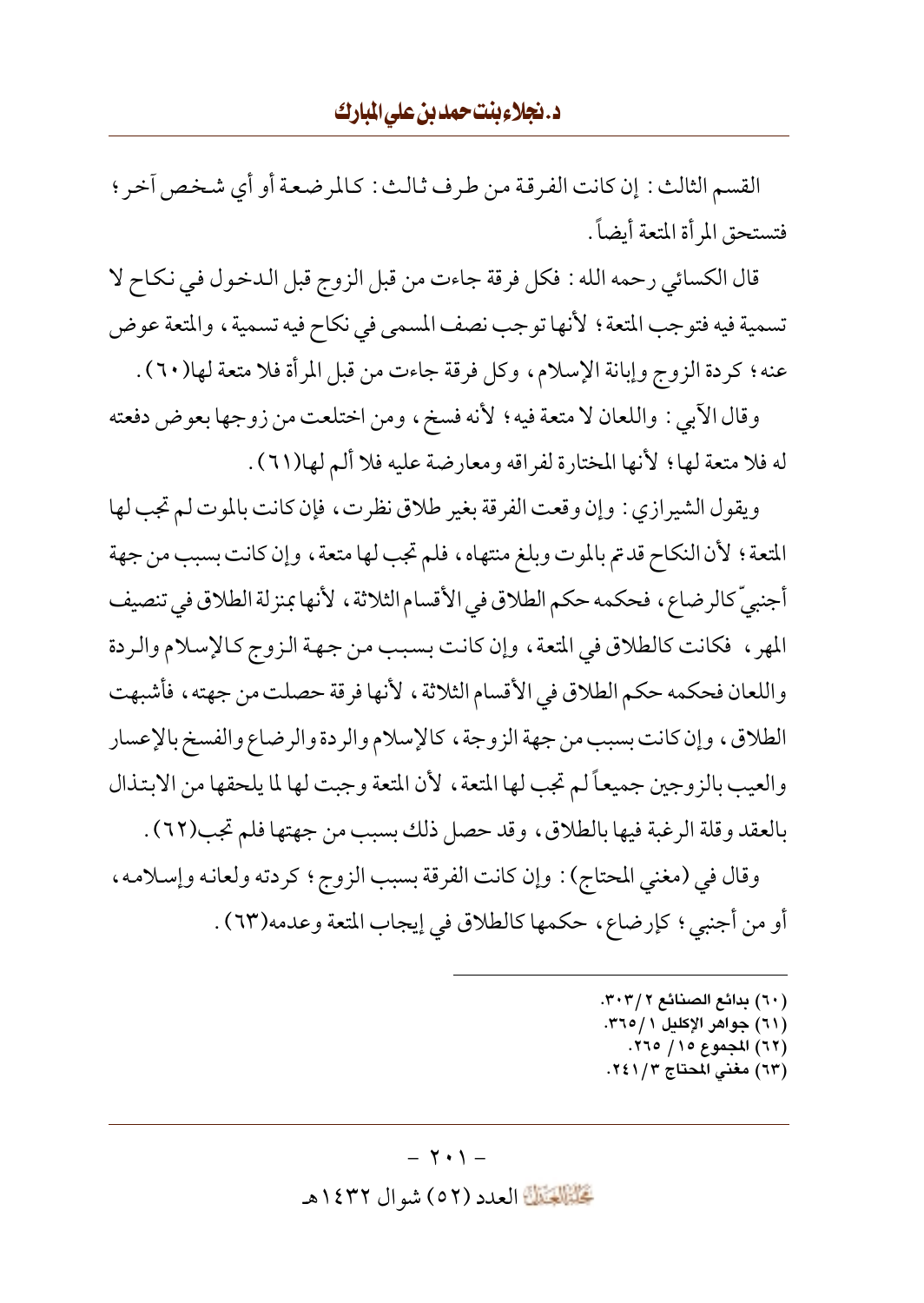القسم الثالث : إن كانت الفرقة من طرف ثالث : كالمرضعة أو أي شخص آخر ؛ فتستحق المرأة المتعة أيضاً .

قال الكسائي رحمه الله : فكل فرقة جاءت من قبل الزوج قبل الدخول في نكاح لا تسمية فيه فتوجب المتعة ؛ لأنها توجب نصف المسمى في نكاح فيه تسمية ، والمتعة عوض عنه؛ كردة الزوج وإبانة الإسلام، وكل فرقة جاءت من قبل المرأة فلا متعة لها(٦٠) .

وقال الآبي : واللعان لا متعة فيه ؛ لأنه فسخ، ومن اختلعت من زوجها بعوض دفعته له فلا متعة لها ؛ لأنها المختارة لفراقه ومعارضة عليه فلا ألم لها(٦١) .

ويقول الشيرازي : وإن وقعت الفرقة بغير طلاق نظرت ، فإن كانت بالموت لم تجب لها المتعة ؛ لأن النكاح قدتم بالموت وبلغ منتهاه ، فلم تجب لها متعة ، وإن كانت بسبب من جهة أجنبيّ كالرضاع، فحكمه حكم الطلاق في الأقسام الثلاثة، لأنها بمنزلة الطلاق في تنصيف المهر ، فكانت كالطلاق في المتعة ، وإن كانت بسبب من جهة الزوج كالإسلام والردة واللعان فحكمه حكم الطلاق في الأقسام الثلاثة ، لأنها فرقة حصلت من جهته ، فأشبهت الطلاق، وإن كانت بسبب من جهة الزوجة، كالإسلام والردة والرضاع والفسخ بالإعسار والعيب بالزوجين جميعاً لم تجب لها المتعة ، لأن المتعة وجبت لها لما يلحقها من الابتذال بالعقد وقلة الرغبة فيها بالطلاق، وقد حصل ذلك بسبب من جهتها فلم تجب(٦٢) .

وقال في (مغنى المحتاج): وإن كانت الفرقة بسبب الزوج؛ كردته ولعانه وإسلامه، أو من أجنبي؛ كإرضاع، حكمها كالطلاق في إيجاب المتعة وعدمه(٦٣).

- (٦٠) بدائع الصنائع ٣٠٣/٢.
- (٦١) جواهر الإكليل ٢١٥/١.
- (٦٢) المجموع ١٥/ ٢٦٥. (٦٣) مغنى المحتاج ٢٤١/٢.
- 

#### $- Y \cdot 1 -$

تَحَلَّمُ الْعَدَدِ (٥٢) شوال ١٤٣٢هـ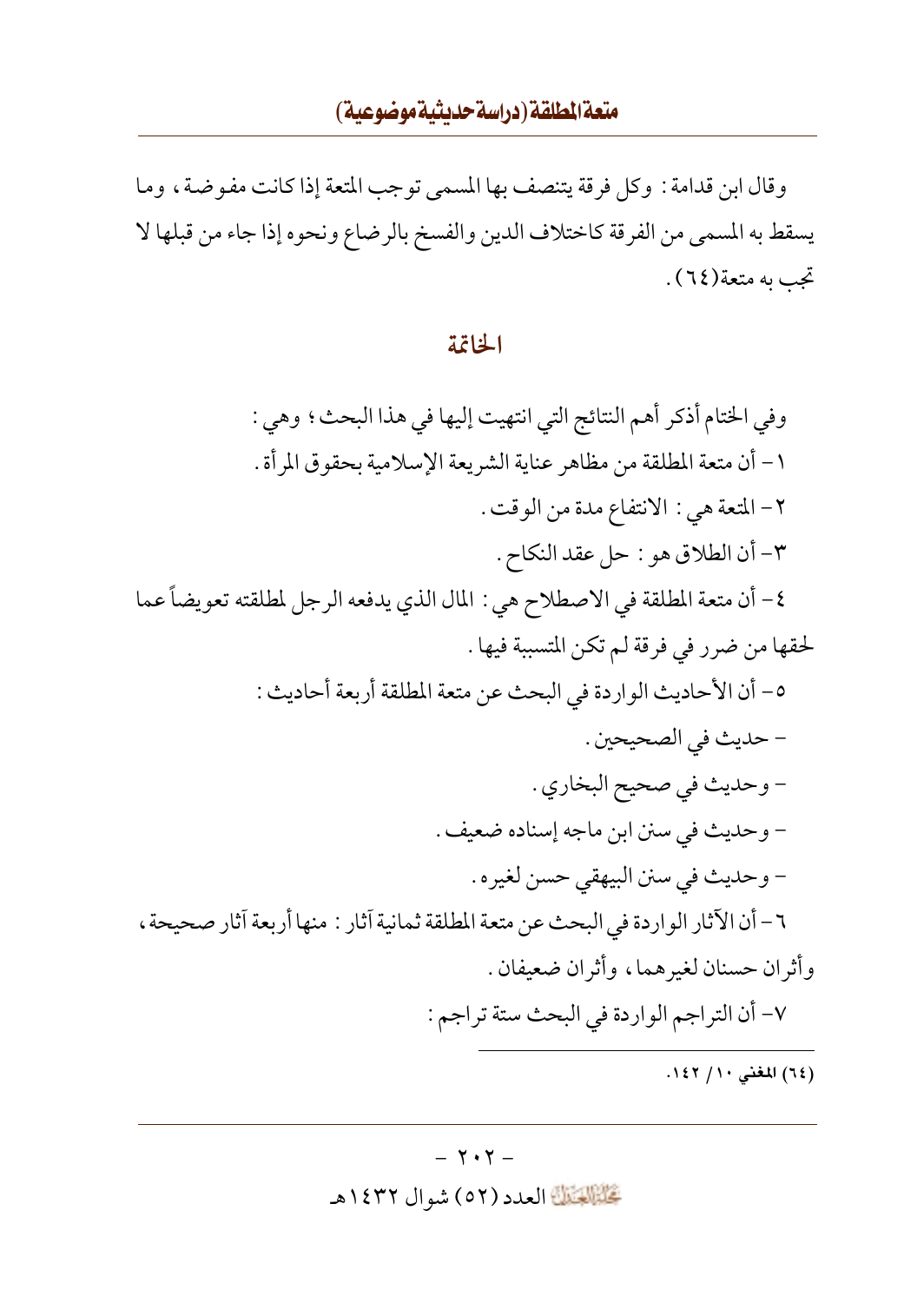وقال ابن قدامة : وكل فرقة يتنصف بها المسمى توجب المتعة إذا كانت مفوضية ، وما يسقط به المسمى من الفرقة كاختلاف الدين والفسخ بالرضاع ونحوه إذا جاء من قبلها لا تجب په متعة(٦٤).

#### الخاتمة

وفي الختام أذكر أهم النتائج التي انتهيت إليها في هذا البحث؛ وهي : ١ – أن متعة المطلقة من مظاهر عناية الشريعة الإسلامية بحقوق المرأة . ٢- المتعة هي : الانتفاع مدة من الوقت . ٣- أن الطلاق هو : حل عقد النكاح . ٤- أن متعة المطلقة في الاصطلاح هي : المال الذي يدفعه الرجل لمطلقته تعويضاً عما لحقها من ضرر في فرقة لم تكن المتسببة فيها . ٥- أن الأحاديث الواردة في البحث عن متعة المطلقة أربعة أحاديث : - حديث في الصحيحين . - وحديث في صحيح البخاري . - وحديث في سنن ابن ماجه إسناده ضعيف . - وحديث في سنن البيهقي حسن لغيره . ٦- أن الآثار الواردة في البحث عن متعة المطلقة ثمانية آثار : منها أربعة آثار صحيحة ، وأثران حسنان لغير هما، وأثران ضعيفان . ٧- أن التراجم الواردة في البحث ستة تراجم :

(٦٤) المغنى ١١/ ١٤٢.

#### $- Y \cdot Y -$

تَحَلَّمُوا الْعَدَدِ (٥٢) شو ال ١٤٣٢هـ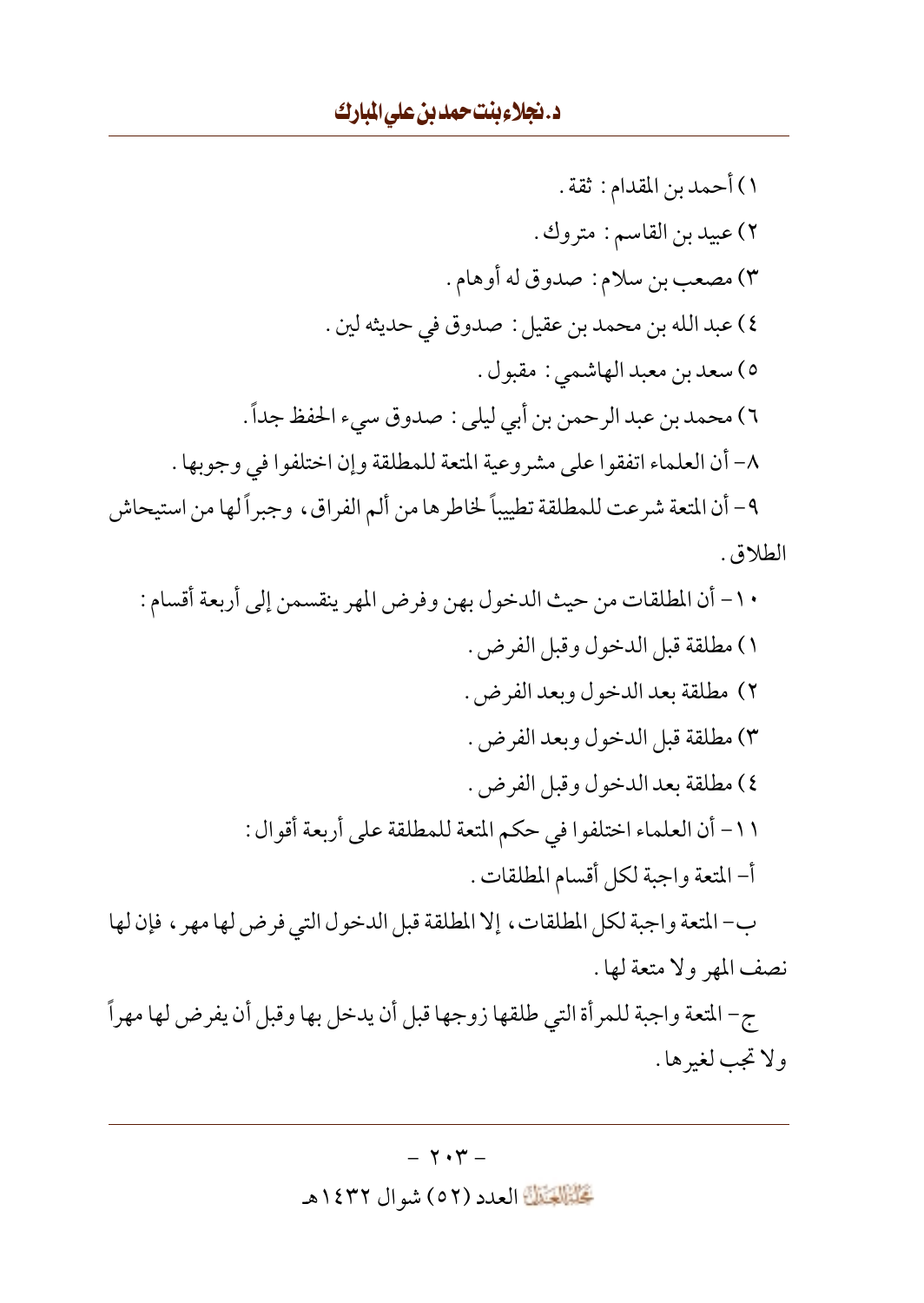ولاتجب لغيرها.

## $-7.7 -$

كَتَنْتَلَهُ العدد (٥٢) شوال ١٤٣٢هـ